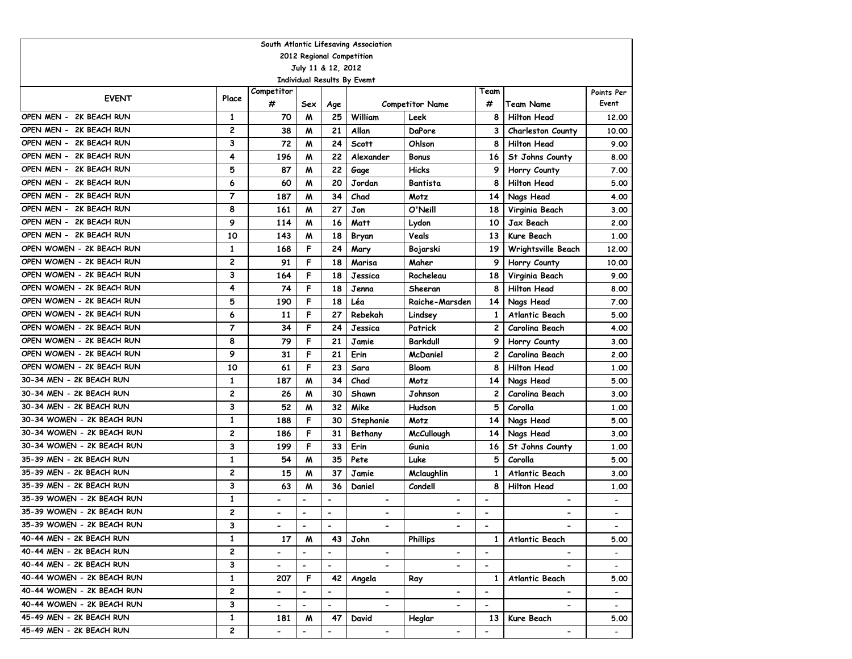| South Atlantic Lifesaving Association |                |                          |                          |                          |                             |                        |                          |                          |                          |  |  |  |
|---------------------------------------|----------------|--------------------------|--------------------------|--------------------------|-----------------------------|------------------------|--------------------------|--------------------------|--------------------------|--|--|--|
| 2012 Regional Competition             |                |                          |                          |                          |                             |                        |                          |                          |                          |  |  |  |
| July 11 & 12, 2012                    |                |                          |                          |                          |                             |                        |                          |                          |                          |  |  |  |
|                                       |                |                          |                          |                          | Individual Results By Evemt |                        |                          |                          |                          |  |  |  |
| <b>EVENT</b>                          | Place          | Competitor               |                          |                          |                             |                        | Team                     |                          | Points Per               |  |  |  |
|                                       |                | #                        | Sex                      | Age                      |                             | <b>Competitor Name</b> | #                        | Team Name                | Event                    |  |  |  |
| OPEN MEN - 2K BEACH RUN               | $\mathbf{1}$   | 70                       | M                        | 25                       | William                     | Leek                   | 8                        | <b>Hilton Head</b>       | 12.00                    |  |  |  |
| OPEN MEN -<br>2K BEACH RUN            | $\overline{c}$ | 38                       | M                        | 21                       | Allan                       | DaPore                 | 3                        | <b>Charleston County</b> | 10.00                    |  |  |  |
| OPEN MEN - 2K BEACH RUN               | 3              | 72                       | M                        | 24                       | <b>Scott</b>                | Ohlson                 | 8                        | <b>Hilton Head</b>       | 9.00                     |  |  |  |
| OPEN MEN - 2K BEACH RUN               | 4              | 196                      | M                        | 22                       | Alexander                   | <b>Bonus</b>           | 16                       | St Johns County          | 8.00                     |  |  |  |
| OPEN MEN - 2K BEACH RUN               | 5              | 87                       | M                        | 22                       | Gage                        | <b>Hicks</b>           | 9                        | Horry County             | 7.00                     |  |  |  |
| OPEN MEN -<br>2K BEACH RUN            | 6              | 60                       | M                        | 20                       | Jordan                      | Bantista               | 8                        | <b>Hilton Head</b>       | 5.00                     |  |  |  |
| OPEN MEN - 2K BEACH RUN               | $\overline{7}$ | 187                      | M                        | 34                       | Chad                        | Motz                   | 14                       | Nags Head                | 4.00                     |  |  |  |
| OPEN MEN - 2K BEACH RUN               | 8              | 161                      | M                        | 27                       | Jon                         | O'Neill                | 18                       | Virginia Beach           | 3.00                     |  |  |  |
| OPEN MEN - 2K BEACH RUN               | 9              | 114                      | M                        | 16                       | Matt                        | Lydon                  | 10                       | Jax Beach                | 2.00                     |  |  |  |
| OPEN MEN - 2K BEACH RUN               | 10             | 143                      | M                        | 18                       | Bryan                       | Veals                  | 13                       | Kure Beach               | 1.00                     |  |  |  |
| OPEN WOMEN - 2K BEACH RUN             | $\mathbf{1}$   | 168                      | F                        | 24                       | Mary                        | Bojarski               | 19                       | Wrightsville Beach       | 12.00                    |  |  |  |
| OPEN WOMEN - 2K BEACH RUN             | $\overline{c}$ | 91                       | F                        | 18                       | Marisa                      | Maher                  | 9                        | Horry County             | 10.00                    |  |  |  |
| OPEN WOMEN - 2K BEACH RUN             | 3              | 164                      | F                        | 18                       | Jessica                     | Rocheleau              | 18                       | Virginia Beach           | 9.00                     |  |  |  |
| OPEN WOMEN - 2K BEACH RUN             | 4              | 74                       | F                        | 18                       | Jenna                       | Sheeran                | 8                        | <b>Hilton Head</b>       | 8.00                     |  |  |  |
| OPEN WOMEN - 2K BEACH RUN             | 5              | 190                      | F                        | 18                       | Léa                         | Raiche-Marsden         | 14                       | Nags Head                | 7.00                     |  |  |  |
| OPEN WOMEN - 2K BEACH RUN             | 6              | 11                       | F                        | 27                       | Rebekah                     | Lindsey                | 1                        | <b>Atlantic Beach</b>    | 5.00                     |  |  |  |
| OPEN WOMEN - 2K BEACH RUN             | $\overline{7}$ | 34                       | F                        | 24                       | Jessica                     | Patrick                | 2                        | Carolina Beach           | 4.00                     |  |  |  |
| OPEN WOMEN - 2K BEACH RUN             | 8              | 79                       | F                        | 21                       | Jamie                       | <b>Barkdull</b>        | 9                        | Horry County             | 3.00                     |  |  |  |
| OPEN WOMEN - 2K BEACH RUN             | 9              | 31                       | F                        | 21                       | Erin                        | <b>McDaniel</b>        | $\mathbf{2}$             | Carolina Beach           | 2.00                     |  |  |  |
| OPEN WOMEN - 2K BEACH RUN             | 10             | 61                       | F                        | 23                       | Sara                        | <b>Bloom</b>           | 8                        | <b>Hilton Head</b>       | 1.00                     |  |  |  |
| 30-34 MEN - 2K BEACH RUN              | $\mathbf{1}$   | 187                      | M                        | 34                       | Chad                        | Motz                   | 14                       | Nags Head                | 5.00                     |  |  |  |
| 30-34 MEN - 2K BEACH RUN              | 2              | 26                       | M                        | 30                       | Shawn                       | Johnson                | $\overline{2}$           | Carolina Beach           | 3.00                     |  |  |  |
| 30-34 MEN - 2K BEACH RUN              | 3              | 52                       | М                        | 32                       | Mike                        | Hudson                 | 5                        | Corolla                  | 1.00                     |  |  |  |
| 30-34 WOMEN - 2K BEACH RUN            | $\mathbf{1}$   | 188                      | F                        | 30                       | Stephanie                   | Motz                   | 14                       | Nags Head                | 5.00                     |  |  |  |
| 30-34 WOMEN - 2K BEACH RUN            | $\overline{c}$ | 186                      | F                        | 31                       | Bethany                     | <b>McCullough</b>      | 14                       | Nags Head                | 3.00                     |  |  |  |
| 30-34 WOMEN - 2K BEACH RUN            | 3              | 199                      | F                        | 33                       | Erin                        | Gunia                  | 16                       | St Johns County          | 1.00                     |  |  |  |
| 35-39 MEN - 2K BEACH RUN              | $\mathbf{1}$   | 54                       | M                        | 35                       | Pete                        | Luke                   | 5                        | Corolla                  | 5.00                     |  |  |  |
| 35-39 MEN - 2K BEACH RUN              | 2              | 15                       | M                        | 37                       | Jamie                       | Mclaughlin             | 1                        | <b>Atlantic Beach</b>    | 3.00                     |  |  |  |
| 35-39 MEN - 2K BEACH RUN              | 3              | 63                       | M                        | 36                       | Daniel                      | Condell                | 8                        | <b>Hilton Head</b>       | 1.00                     |  |  |  |
| 35-39 WOMEN - 2K BEACH RUN            | $\mathbf{1}$   | -                        | $\blacksquare$           | $\overline{\phantom{a}}$ | $\overline{\phantom{0}}$    | $\blacksquare$         | $\overline{\phantom{a}}$ | $\blacksquare$           |                          |  |  |  |
| 35-39 WOMEN - 2K BEACH RUN            | $\overline{c}$ |                          | $\hbox{\small -}$        | $\overline{\phantom{a}}$ | $\overline{\phantom{0}}$    | $\overline{a}$         | $\overline{a}$           | $\overline{\phantom{0}}$ |                          |  |  |  |
| 35-39 WOMEN - 2K BEACH RUN            | 3              | $\blacksquare$           | $\overline{\phantom{a}}$ | $\overline{\phantom{a}}$ |                             | $\hbox{\small -}$      | $\overline{\phantom{a}}$ |                          | $\overline{\phantom{a}}$ |  |  |  |
| 40-44 MEN - 2K BEACH RUN              | $\mathbf{1}$   | 17                       | M                        | 43                       | John                        | <b>Phillips</b>        | $\mathbf{1}$             | Atlantic Beach           | 5.00                     |  |  |  |
| 40-44 MEN - 2K BEACH RUN              | 2              | $\overline{\phantom{0}}$ | $\overline{\phantom{a}}$ | $\blacksquare$           | $\blacksquare$              |                        | $\blacksquare$           |                          | $\blacksquare$           |  |  |  |
| 40-44 MEN - 2K BEACH RUN              | 3              | $\overline{\phantom{0}}$ | $\blacksquare$           | $\blacksquare$           | $\overline{\phantom{a}}$    | $\blacksquare$         | $\overline{\phantom{a}}$ | $\overline{\phantom{a}}$ | $\overline{\phantom{a}}$ |  |  |  |
| 40-44 WOMEN - 2K BEACH RUN            | $\mathbf{1}$   | 207                      | F                        | 42                       | Angela                      | Ray                    | $\mathbf{1}$             | <b>Atlantic Beach</b>    | 5.00                     |  |  |  |
| 40-44 WOMEN - 2K BEACH RUN            | 2              | -                        | $\overline{\phantom{a}}$ | $\blacksquare$           |                             | $\blacksquare$         | $\overline{\phantom{a}}$ | $\overline{\phantom{0}}$ | $\blacksquare$           |  |  |  |
| 40-44 WOMEN - 2K BEACH RUN            | 3              | $\overline{\phantom{0}}$ | $\blacksquare$           | $\blacksquare$           | $\blacksquare$              |                        | $\overline{\phantom{a}}$ | $\blacksquare$           | $\overline{\phantom{0}}$ |  |  |  |
| 45-49 MEN - 2K BEACH RUN              | $\mathbf{1}$   | 181                      | M                        | 47                       | David                       | Heglar                 | 13                       | Kure Beach               | 5.00                     |  |  |  |
| 45-49 MEN - 2K BEACH RUN              | 2              | $\overline{\phantom{0}}$ | $\overline{\phantom{a}}$ | $\overline{\phantom{a}}$ | $\blacksquare$              | $\hbox{\small -}$      | $\overline{\phantom{a}}$ | $\blacksquare$           |                          |  |  |  |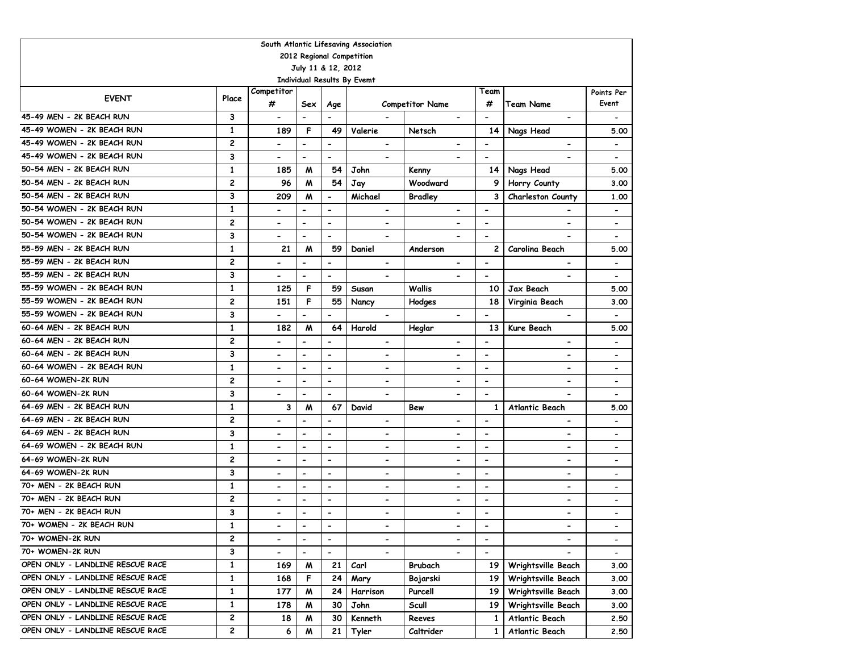| South Atlantic Lifesaving Association             |                |                              |                              |                              |                              |                              |                              |                          |                              |  |  |  |  |
|---------------------------------------------------|----------------|------------------------------|------------------------------|------------------------------|------------------------------|------------------------------|------------------------------|--------------------------|------------------------------|--|--|--|--|
| 2012 Regional Competition                         |                |                              |                              |                              |                              |                              |                              |                          |                              |  |  |  |  |
| July 11 & 12, 2012<br>Individual Results By Evemt |                |                              |                              |                              |                              |                              |                              |                          |                              |  |  |  |  |
|                                                   |                |                              |                              |                              |                              |                              |                              |                          |                              |  |  |  |  |
| <b>EVENT</b>                                      | Place          | Competitor                   |                              |                              |                              |                              | Team                         |                          | Points Per                   |  |  |  |  |
|                                                   |                | #                            | Sex                          | Age                          |                              | <b>Competitor Name</b>       | #                            | <b>Team Name</b>         | Event                        |  |  |  |  |
| 45-49 MEN - 2K BEACH RUN                          | 3              | $\overline{\phantom{a}}$     | $\overline{\phantom{a}}$     | $\overline{\phantom{a}}$     |                              | $\blacksquare$               | $\overline{\phantom{a}}$     | $\overline{\phantom{a}}$ |                              |  |  |  |  |
| 45-49 WOMEN - 2K BEACH RUN                        | 1              | 189                          | F                            | 49                           | Valerie                      | Netsch                       | 14                           | Nags Head                | 5.00                         |  |  |  |  |
| 45-49 WOMEN - 2K BEACH RUN                        | 2              | $\overline{\phantom{a}}$     | $\overline{\phantom{a}}$     | $\overline{a}$               | $\overline{\phantom{a}}$     | $\blacksquare$               | $\overline{\phantom{a}}$     | $\blacksquare$           | $\blacksquare$               |  |  |  |  |
| 45-49 WOMEN - 2K BEACH RUN                        | 3              | $\overline{\phantom{a}}$     | $\blacksquare$               | $\overline{\phantom{a}}$     | $\blacksquare$               |                              | $\overline{\phantom{a}}$     |                          | $\overline{\phantom{a}}$     |  |  |  |  |
| 50-54 MEN - 2K BEACH RUN                          | 1              | 185                          | M                            | 54                           | John                         | Kenny                        | 14                           | Nags Head                | 5.00                         |  |  |  |  |
| 50-54 MEN - 2K BEACH RUN                          | $\overline{c}$ | 96                           | M                            | 54                           | Jay                          | Woodward                     | 9                            | Horry County             | 3.00                         |  |  |  |  |
| 50-54 MEN - 2K BEACH RUN                          | 3              | 209                          | M                            | $\overline{\phantom{a}}$     | Michael                      | <b>Bradley</b>               | 3                            | Charleston County        | 1.00                         |  |  |  |  |
| 50-54 WOMEN - 2K BEACH RUN                        | 1              | $\qquad \qquad \blacksquare$ | $\qquad \qquad \blacksquare$ | $\overline{\phantom{0}}$     | $\overline{\phantom{a}}$     | $\overline{\phantom{0}}$     | $\overline{\phantom{a}}$     |                          | $\overline{\phantom{a}}$     |  |  |  |  |
| 50-54 WOMEN - 2K BEACH RUN                        | $\overline{c}$ | $\blacksquare$               | $\blacksquare$               | $\blacksquare$               | $\blacksquare$               | $\overline{\phantom{a}}$     | $\blacksquare$               | $\overline{\phantom{a}}$ | $\overline{\phantom{a}}$     |  |  |  |  |
| 50-54 WOMEN - 2K BEACH RUN                        | 3              | $\blacksquare$               | $\blacksquare$               | $\blacksquare$               | $\blacksquare$               |                              | $\blacksquare$               |                          | $\qquad \qquad \blacksquare$ |  |  |  |  |
| 55-59 MEN - 2K BEACH RUN                          | $\mathbf{1}$   | 21                           | M                            | 59                           | Daniel                       | Anderson                     | 2                            | Carolina Beach           | 5.00                         |  |  |  |  |
| 55-59 MEN - 2K BEACH RUN                          | $\overline{c}$ | $\overline{\phantom{0}}$     | $\overline{a}$               | $\overline{\phantom{0}}$     | $\overline{\phantom{a}}$     |                              | $\overline{\phantom{a}}$     |                          | $\overline{\phantom{a}}$     |  |  |  |  |
| 55-59 MEN - 2K BEACH RUN                          | 3              | $\qquad \qquad \blacksquare$ | $\overline{\phantom{0}}$     | $\blacksquare$               | $\overline{\phantom{a}}$     |                              | $\overline{\phantom{a}}$     |                          | $\qquad \qquad \blacksquare$ |  |  |  |  |
| 55-59 WOMEN - 2K BEACH RUN                        | $\mathbf{1}$   | 125                          | F                            | 59                           | Susan                        | Wallis                       | 10                           | Jax Beach                | 5.00                         |  |  |  |  |
| 55-59 WOMEN - 2K BEACH RUN                        | $\overline{c}$ | 151                          | F                            | 55                           | Nancy                        | Hodges                       | 18                           | Virginia Beach           | 3.00                         |  |  |  |  |
| 55-59 WOMEN - 2K BEACH RUN                        | 3              |                              | $\blacksquare$               |                              | $\blacksquare$               |                              | $\qquad \qquad \blacksquare$ |                          | $\overline{\phantom{a}}$     |  |  |  |  |
| 60-64 MEN - 2K BEACH RUN                          | 1              | 182                          | M                            | 64                           | Harold                       | Heglar                       | 13                           | Kure Beach               | 5.00                         |  |  |  |  |
| 60-64 MEN - 2K BEACH RUN                          | $\overline{c}$ |                              | $\overline{\phantom{0}}$     | $\blacksquare$               | $\blacksquare$               | $\overline{\phantom{a}}$     | $\overline{\phantom{a}}$     | $\blacksquare$           | $\blacksquare$               |  |  |  |  |
| 60-64 MEN - 2K BEACH RUN                          | 3              | $\hbox{\small -}$            | $\qquad \qquad \blacksquare$ | $\overline{\phantom{0}}$     | $\overline{\phantom{a}}$     | $\qquad \qquad \blacksquare$ | $\overline{\phantom{a}}$     | $\overline{\phantom{0}}$ | $\overline{\phantom{a}}$     |  |  |  |  |
| 60-64 WOMEN - 2K BEACH RUN                        | 1              | $\qquad \qquad \blacksquare$ | $\qquad \qquad \blacksquare$ | $\overline{\phantom{0}}$     | $\overline{\phantom{a}}$     | $\overline{\phantom{a}}$     | $\overline{\phantom{a}}$     | $\overline{\phantom{0}}$ | $\overline{\phantom{a}}$     |  |  |  |  |
| 60-64 WOMEN-2K RUN                                | 2              | $\qquad \qquad \blacksquare$ | $\hbox{\small -}$            | $\overline{\phantom{0}}$     | $\hbox{\small -}$            | $\hbox{\small -}$            | $\overline{\phantom{a}}$     | $\overline{\phantom{0}}$ | $\overline{\phantom{a}}$     |  |  |  |  |
| 60-64 WOMEN-2K RUN                                | 3              | $\blacksquare$               | $\blacksquare$               | $\blacksquare$               | $\blacksquare$               | $\blacksquare$               | $\blacksquare$               | $\overline{\phantom{a}}$ | $\overline{\phantom{a}}$     |  |  |  |  |
| 64-69 MEN - 2K BEACH RUN                          | $\mathbf{1}$   | 3                            | M                            | 67                           | David                        | Bew                          | $\mathbf{1}$                 | Atlantic Beach           | 5.00                         |  |  |  |  |
| 64-69 MEN - 2K BEACH RUN                          | 2              | $\overline{\phantom{0}}$     | $\blacksquare$               | $\overline{\phantom{a}}$     | $\blacksquare$               | $\overline{\phantom{a}}$     | $\overline{\phantom{a}}$     | $\overline{\phantom{a}}$ | $\overline{\phantom{a}}$     |  |  |  |  |
| 64-69 MEN - 2K BEACH RUN                          | 3              | $\qquad \qquad \blacksquare$ | $\hbox{\small -}$            | $\overline{\phantom{0}}$     | $\overline{\phantom{a}}$     | $\overline{\phantom{a}}$     | $\overline{\phantom{a}}$     | $\overline{\phantom{0}}$ | $\overline{\phantom{a}}$     |  |  |  |  |
| 64-69 WOMEN - 2K BEACH RUN                        | 1              | $\overline{\phantom{0}}$     | $\blacksquare$               | $\blacksquare$               | $\qquad \qquad \blacksquare$ | $\overline{\phantom{0}}$     | $\blacksquare$               | $\blacksquare$           | $\overline{\phantom{a}}$     |  |  |  |  |
| 64-69 WOMEN-2K RUN                                | $\overline{c}$ | $\overline{\phantom{0}}$     | $\blacksquare$               | $\blacksquare$               | $\qquad \qquad \blacksquare$ | $\overline{\phantom{a}}$     | $\blacksquare$               | $\blacksquare$           | $\overline{\phantom{a}}$     |  |  |  |  |
| 64-69 WOMEN-2K RUN                                | 3              | $\hbox{\small -}$            | $\overline{\phantom{a}}$     | $\overline{\phantom{a}}$     | $\overline{\phantom{a}}$     | $\hbox{\small -}$            | $\overline{\phantom{a}}$     | $\overline{\phantom{0}}$ | $\overline{\phantom{a}}$     |  |  |  |  |
| 70+ MEN - 2K BEACH RUN                            | 1              | $\hbox{\small -}$            | $\hbox{\small -}$            | $\overline{\phantom{a}}$     | $\overline{\phantom{a}}$     | $\overline{\phantom{a}}$     | $\overline{\phantom{a}}$     | $\overline{\phantom{a}}$ | $\overline{\phantom{a}}$     |  |  |  |  |
| 70+ MEN - 2K BEACH RUN                            | $\overline{c}$ | $\hbox{\small -}$            | $\overline{\phantom{a}}$     | $\overline{\phantom{a}}$     | $\overline{\phantom{a}}$     | $\overline{\phantom{a}}$     | $\blacksquare$               | $\hbox{\small -}$        | $\overline{\phantom{a}}$     |  |  |  |  |
| 70+ MEN - 2K BEACH RUN                            | 3              |                              | $\hbox{\small -}$            | $\overline{\phantom{0}}$     |                              | $\overline{\phantom{a}}$     | $\overline{\phantom{a}}$     |                          | $\qquad \qquad \blacksquare$ |  |  |  |  |
| 70+ WOMEN - 2K BEACH RUN                          | 1              | $\overline{\phantom{a}}$     | $\overline{\phantom{a}}$     | $\qquad \qquad \blacksquare$ | $\blacksquare$               | $\overline{\phantom{a}}$     | $\qquad \qquad \blacksquare$ | $\blacksquare$           | $\overline{\phantom{a}}$     |  |  |  |  |
| 70+ WOMEN-2K RUN                                  | 2              | $\qquad \qquad \blacksquare$ |                              |                              | $\blacksquare$               | $\hbox{\small -}$            | $\qquad \qquad \blacksquare$ |                          | $\overline{\phantom{0}}$     |  |  |  |  |
| 70+ WOMEN-2K RUN                                  | 3              | $\overline{\phantom{0}}$     | $\overline{\phantom{a}}$     | $\overline{\phantom{a}}$     | $\hbox{\small -}$            | $\blacksquare$               | $\overline{\phantom{a}}$     |                          | $\overline{\phantom{a}}$     |  |  |  |  |
| OPEN ONLY - LANDLINE RESCUE RACE                  | $\mathbf{1}$   | 169                          | W                            | 21                           | Carl                         | Brubach                      | 19                           | Wrightsville Beach       | 3.00                         |  |  |  |  |
| OPEN ONLY - LANDLINE RESCUE RACE                  | $\mathbf{1}$   | 168                          | F                            | 24                           | Mary                         | Bojarski                     | 19                           | Wrightsville Beach       | 3.00                         |  |  |  |  |
| OPEN ONLY - LANDLINE RESCUE RACE                  | $\mathbf{1}$   | 177                          | W                            | 24                           | Harrison                     | Purcell                      | 19                           | Wrightsville Beach       | 3.00                         |  |  |  |  |
| OPEN ONLY - LANDLINE RESCUE RACE                  | $\mathbf{1}$   | 178                          | M                            | 30                           | John                         | Scull                        | 19                           | Wrightsville Beach       | 3.00                         |  |  |  |  |
| OPEN ONLY - LANDLINE RESCUE RACE                  | 2              | 18                           | M                            | 30                           | Kenneth                      | Reeves                       | 1                            | Atlantic Beach           | 2.50                         |  |  |  |  |
| OPEN ONLY - LANDLINE RESCUE RACE                  | $\mathbf{2}$   | 6                            | M                            | 21                           | Tyler                        | Caltrider                    | 1                            | Atlantic Beach           | 2.50                         |  |  |  |  |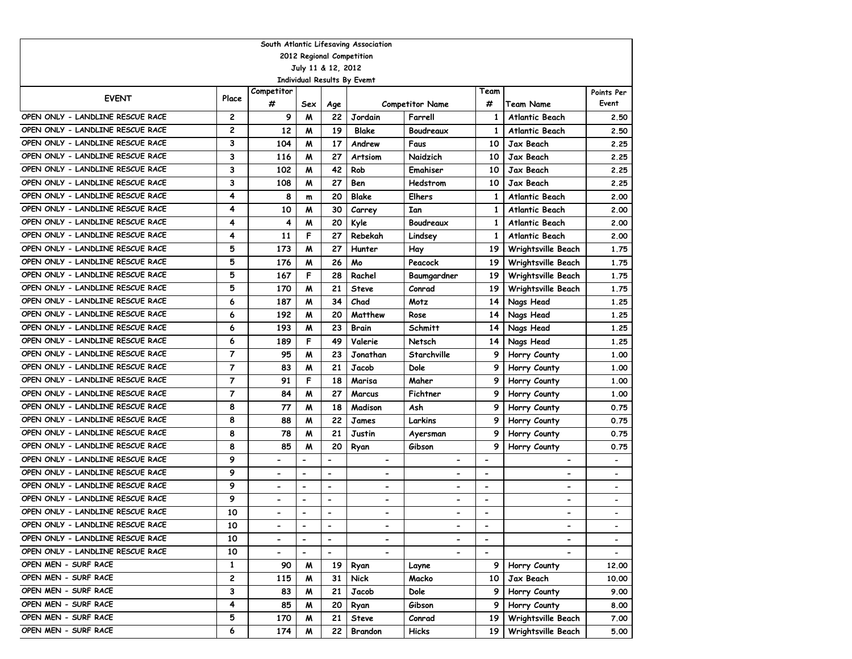| South Atlantic Lifesaving Association<br>2012 Regional Competition |                |                          |                          |                              |                              |                          |                          |                          |                          |  |  |  |  |
|--------------------------------------------------------------------|----------------|--------------------------|--------------------------|------------------------------|------------------------------|--------------------------|--------------------------|--------------------------|--------------------------|--|--|--|--|
|                                                                    |                |                          |                          |                              |                              |                          |                          |                          |                          |  |  |  |  |
|                                                                    |                |                          | July 11 & 12, 2012       |                              |                              |                          |                          |                          |                          |  |  |  |  |
|                                                                    |                | Competitor               |                          |                              | Individual Results By Evemt  |                          | Team                     |                          |                          |  |  |  |  |
| <b>EVENT</b>                                                       | Place          | #                        | Sex                      | Age                          |                              | <b>Competitor Name</b>   | #                        | <b>Team Name</b>         | Points Per<br>Event      |  |  |  |  |
| OPEN ONLY - LANDLINE RESCUE RACE                                   | $\overline{c}$ | 9                        | M                        | 22                           | Jordain                      | Farrell                  | 1                        | <b>Atlantic Beach</b>    | 2.50                     |  |  |  |  |
| OPEN ONLY - LANDLINE RESCUE RACE                                   | $\overline{c}$ | 12                       | M                        | 19                           | <b>Blake</b>                 | Boudreaux                | 1                        | <b>Atlantic Beach</b>    | 2.50                     |  |  |  |  |
| OPEN ONLY - LANDLINE RESCUE RACE                                   | 3              | 104                      | M                        | 17                           | Andrew                       | Faus                     | 10                       | <b>Jax Beach</b>         | 2.25                     |  |  |  |  |
| OPEN ONLY - LANDLINE RESCUE RACE                                   | 3              | 116                      | M                        | 27                           | Artsiom                      | Naidzich                 | 10                       | Jax Beach                | 2.25                     |  |  |  |  |
| OPEN ONLY - LANDLINE RESCUE RACE                                   | 3              | 102                      | M                        | 42                           | Rob                          | Emahiser                 | 10                       | Jax Beach                | 2.25                     |  |  |  |  |
| OPEN ONLY - LANDLINE RESCUE RACE                                   | 3              | 108                      | W                        | 27                           | Ben                          | Hedstrom                 | 10                       | Jax Beach                | 2.25                     |  |  |  |  |
| OPEN ONLY - LANDLINE RESCUE RACE                                   | 4              | 8                        | m                        | 20                           | Blake                        | Elhers                   | 1                        | Atlantic Beach           | 2.00                     |  |  |  |  |
| OPEN ONLY - LANDLINE RESCUE RACE                                   | 4              | 10                       | M                        | 30                           | Carrey                       | Ian                      | 1                        | <b>Atlantic Beach</b>    | 2.00                     |  |  |  |  |
| OPEN ONLY - LANDLINE RESCUE RACE                                   | 4              | 4                        | M                        | 20                           | Kyle                         | Boudreaux                | 1                        | Atlantic Beach           | 2.00                     |  |  |  |  |
| OPEN ONLY - LANDLINE RESCUE RACE                                   | 4              | 11                       | F                        | 27                           | Rebekah                      | Lindsey                  | 1                        | <b>Atlantic Beach</b>    | 2.00                     |  |  |  |  |
| OPEN ONLY - LANDLINE RESCUE RACE                                   | 5              | 173                      | M                        | 27                           | Hunter                       | Hay                      | 19                       | Wrightsville Beach       | 1.75                     |  |  |  |  |
| OPEN ONLY - LANDLINE RESCUE RACE                                   | 5              | 176                      | M                        | 26                           | Mo                           | Peacock                  | 19                       | Wrightsville Beach       | 1.75                     |  |  |  |  |
| OPEN ONLY - LANDLINE RESCUE RACE                                   | 5              | 167                      | F                        | 28                           | Rachel                       | Baumgardner              | 19                       | Wrightsville Beach       | 1.75                     |  |  |  |  |
| OPEN ONLY - LANDLINE RESCUE RACE                                   | 5              | 170                      | M                        | 21                           | Steve                        | Conrad                   | 19                       | Wrightsville Beach       | 1.75                     |  |  |  |  |
| OPEN ONLY - LANDLINE RESCUE RACE                                   | 6              | 187                      | M                        | 34                           | Chad                         | Motz                     | 14                       | Nags Head                | 1.25                     |  |  |  |  |
| OPEN ONLY - LANDLINE RESCUE RACE                                   | 6              | 192                      | M                        | 20                           | Matthew                      | Rose                     | 14                       | Nags Head                | 1.25                     |  |  |  |  |
| OPEN ONLY - LANDLINE RESCUE RACE                                   | 6              | 193                      | M                        | 23                           | <b>Brain</b>                 | Schmitt                  | 14                       | Nags Head                | 1.25                     |  |  |  |  |
| OPEN ONLY - LANDLINE RESCUE RACE                                   | 6              | 189                      | F                        | 49                           | Valerie                      | Netsch                   | 14                       | Nags Head                | 1.25                     |  |  |  |  |
| OPEN ONLY - LANDLINE RESCUE RACE                                   | $\overline{7}$ | 95                       | W                        | 23                           | Jonathan                     | Starchville              | 9                        | Horry County             | 1.00                     |  |  |  |  |
| OPEN ONLY - LANDLINE RESCUE RACE                                   | $\overline{7}$ | 83                       | M                        | 21                           | Jacob                        | Dole                     | 9                        | Horry County             | 1.00                     |  |  |  |  |
| OPEN ONLY - LANDLINE RESCUE RACE                                   | $\overline{7}$ | 91                       | F                        | 18                           | Marisa                       | Maher                    | 9                        | Horry County             | 1.00                     |  |  |  |  |
| OPEN ONLY - LANDLINE RESCUE RACE                                   | $\overline{7}$ | 84                       | M                        | 27                           | Marcus                       | Fichtner                 | 9                        | Horry County             | 1.00                     |  |  |  |  |
| OPEN ONLY - LANDLINE RESCUE RACE                                   | 8              | 77                       | M                        | 18                           | Madison                      | Ash                      | 9                        | Horry County             | 0.75                     |  |  |  |  |
| OPEN ONLY - LANDLINE RESCUE RACE                                   | 8              | 88                       | M                        | 22                           | James                        | Larkins                  | 9                        | Horry County             | 0.75                     |  |  |  |  |
| OPEN ONLY - LANDLINE RESCUE RACE                                   | 8              | 78                       | M                        | 21                           | Justin                       | Ayersman                 | 9                        | Horry County             | 0.75                     |  |  |  |  |
| OPEN ONLY - LANDLINE RESCUE RACE                                   | 8              | 85                       | M                        | 20                           | Ryan                         | Gibson                   | 9                        | Horry County             | 0.75                     |  |  |  |  |
| OPEN ONLY - LANDLINE RESCUE RACE                                   | 9              | $\blacksquare$           | $\blacksquare$           | $\overline{a}$               | $\overline{\phantom{0}}$     | $\blacksquare$           | $\blacksquare$           | $\blacksquare$           | $\overline{\phantom{a}}$ |  |  |  |  |
| OPEN ONLY - LANDLINE RESCUE RACE                                   | 9              | $\overline{\phantom{a}}$ | $\overline{a}$           | $\overline{\phantom{0}}$     | $\overline{\phantom{a}}$     | $\hbox{\small -}$        | $\overline{\phantom{a}}$ | $\blacksquare$           | $\overline{\phantom{a}}$ |  |  |  |  |
| OPEN ONLY - LANDLINE RESCUE RACE                                   | 9              | $\blacksquare$           | $\overline{\phantom{0}}$ | $\qquad \qquad \blacksquare$ | $\overline{\phantom{a}}$     | $\hbox{\small -}$        | $\overline{\phantom{a}}$ | $\overline{\phantom{a}}$ |                          |  |  |  |  |
| OPEN ONLY - LANDLINE RESCUE RACE                                   | 9              | $\blacksquare$           | $\hbox{\small -}$        | $\hbox{\small -}$            | $\blacksquare$               | $\overline{\phantom{0}}$ | $\overline{\phantom{a}}$ | $\overline{\phantom{a}}$ | $\overline{\phantom{a}}$ |  |  |  |  |
| OPEN ONLY - LANDLINE RESCUE RACE                                   | 10             |                          |                          | $\overline{a}$               |                              |                          |                          |                          |                          |  |  |  |  |
| OPEN ONLY - LANDLINE RESCUE RACE                                   | 10             | $\overline{\phantom{a}}$ | $\overline{a}$           | $\qquad \qquad \blacksquare$ | $\qquad \qquad \blacksquare$ |                          | $\overline{\phantom{a}}$ | $\overline{\phantom{a}}$ | $\overline{\phantom{a}}$ |  |  |  |  |
| OPEN ONLY - LANDLINE RESCUE RACE                                   | 10             |                          |                          |                              |                              |                          |                          |                          | $\overline{\phantom{0}}$ |  |  |  |  |
| OPEN ONLY - LANDLINE RESCUE RACE                                   | 10             | $\blacksquare$           |                          | $\overline{a}$               | $\overline{\phantom{0}}$     | $\blacksquare$           | $\blacksquare$           |                          |                          |  |  |  |  |
| OPEN MEN - SURF RACE                                               | 1              | 90                       | M                        | 19                           | Ryan                         | Layne                    | 9 <sup>1</sup>           | Horry County             | 12.00                    |  |  |  |  |
| OPEN MEN - SURF RACE                                               | 2              | 115                      | M                        | 31                           | <b>Nick</b>                  | Macko                    | 10                       | Jax Beach                | 10.00                    |  |  |  |  |
| OPEN MEN - SURF RACE                                               | 3              | 83                       | M                        | 21                           | Jacob                        | Dole                     | 9                        | Horry County             | 9.00                     |  |  |  |  |
| OPEN MEN - SURF RACE                                               | 4              | 85                       | M                        | 20                           | Ryan                         | Gibson                   | 9                        | Horry County             | 8.00                     |  |  |  |  |
| OPEN MEN - SURF RACE                                               | 5              | 170                      | M                        | 21                           | Steve                        | Conrad                   | 19                       | Wrightsville Beach       | 7.00                     |  |  |  |  |
| OPEN MEN - SURF RACE                                               | 6              | 174                      | M                        | 22                           | Brandon                      | Hicks                    | 19 I                     | Wrightsville Beach       | 5.00                     |  |  |  |  |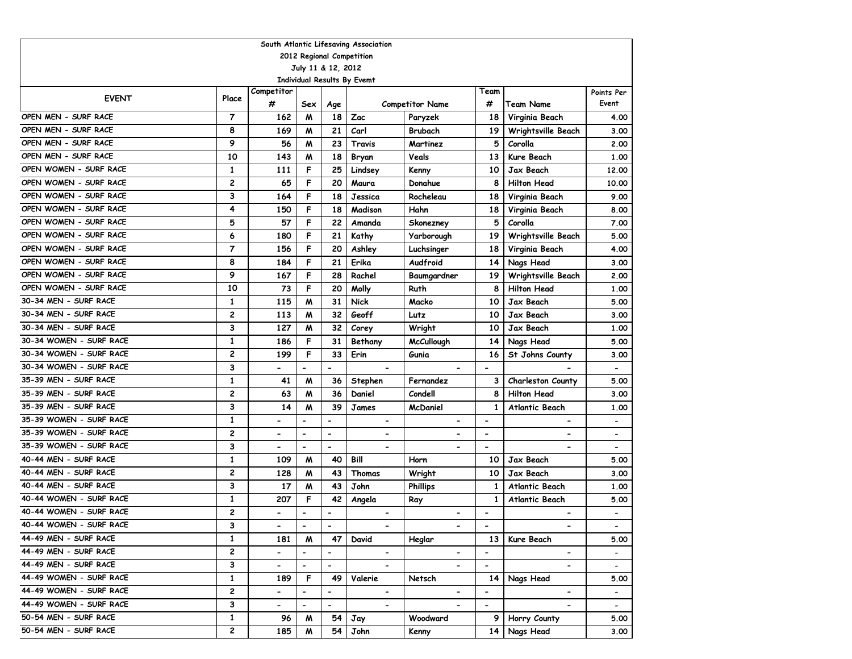| South Atlantic Lifesaving Association |                |                              |                          |                          |                          |                          |                          |                          |                          |  |  |  |  |
|---------------------------------------|----------------|------------------------------|--------------------------|--------------------------|--------------------------|--------------------------|--------------------------|--------------------------|--------------------------|--|--|--|--|
| 2012 Regional Competition             |                |                              |                          |                          |                          |                          |                          |                          |                          |  |  |  |  |
| July 11 & 12, 2012                    |                |                              |                          |                          |                          |                          |                          |                          |                          |  |  |  |  |
| Individual Results By Evemt<br>Team   |                |                              |                          |                          |                          |                          |                          |                          |                          |  |  |  |  |
| <b>EVENT</b>                          | Place          | Competitor                   |                          |                          |                          |                          |                          |                          | Points Per               |  |  |  |  |
|                                       |                | #                            | Sex                      | Age                      |                          | <b>Competitor Name</b>   | #                        | <b>Team Name</b>         | Event                    |  |  |  |  |
| OPEN MEN - SURF RACE                  | 7              | 162                          | M                        | 18                       | Zac                      | Paryzek                  | 18                       | Virginia Beach           | 4.00                     |  |  |  |  |
| OPEN MEN - SURF RACE                  | 8              | 169                          | M                        | 21                       | Carl                     | Brubach                  | 19                       | Wrightsville Beach       | 3.00                     |  |  |  |  |
| OPEN MEN - SURF RACE                  | 9              | 56                           | M                        | 23                       | Travis                   | Martinez                 | 5                        | Corolla                  | 2.00                     |  |  |  |  |
| OPEN MEN - SURF RACE                  | 10             | 143                          | M                        | 18                       | Bryan                    | Veals                    | 13                       | Kure Beach               | 1.00                     |  |  |  |  |
| OPEN WOMEN - SURF RACE                | $\mathbf{1}$   | 111                          | F                        | 25                       | Lindsey                  | Kenny                    | 10                       | Jax Beach                | 12.00                    |  |  |  |  |
| OPEN WOMEN - SURF RACE                | 2              | 65                           | F                        | 20                       | Maura                    | Donahue                  | 8                        | <b>Hilton Head</b>       | 10.00                    |  |  |  |  |
| OPEN WOMEN - SURF RACE                | 3              | 164                          | F                        | 18                       | Jessica                  | Rocheleau                | 18                       | Virginia Beach           | 9.00                     |  |  |  |  |
| OPEN WOMEN - SURF RACE                | 4              | 150                          | F                        | 18                       | Madison                  | Hahn                     | 18                       | Virginia Beach           | 8.00                     |  |  |  |  |
| OPEN WOMEN - SURF RACE                | 5              | 57                           | F                        | 22                       | Amanda                   | Skonezney                | 5                        | Corolla                  | 7.00                     |  |  |  |  |
| OPEN WOMEN - SURF RACE                | 6              | 180                          | F                        | 21                       | Kathy                    | Yarborough               | 19                       | Wrightsville Beach       | 5.00                     |  |  |  |  |
| OPEN WOMEN - SURF RACE                | $\overline{7}$ | 156                          | F                        | 20                       | Ashley                   | Luchsinger               | 18                       | Virginia Beach           | 4.00                     |  |  |  |  |
| OPEN WOMEN - SURF RACE                | 8              | 184                          | F                        | 21                       | Erika                    | Audfroid                 | 14                       | Nags Head                | 3.00                     |  |  |  |  |
| OPEN WOMEN - SURF RACE                | 9              | 167                          | F                        | 28                       | Rachel                   | Baumgardner              | 19                       | Wrightsville Beach       | 2.00                     |  |  |  |  |
| OPEN WOMEN - SURF RACE                | 10             | 73                           | F                        | 20                       | Molly                    | Ruth                     | 8                        | <b>Hilton Head</b>       | 1.00                     |  |  |  |  |
| 30-34 MEN - SURF RACE                 | 1              | 115                          | м                        | 31                       | <b>Nick</b>              | Macko                    | 10                       | Jax Beach                | 5.00                     |  |  |  |  |
| 30-34 MEN - SURF RACE                 | 2              | 113                          | м                        | 32                       | Geoff                    | Lutz                     | 10                       | Jax Beach                | 3.00                     |  |  |  |  |
| 30-34 MEN - SURF RACE                 | 3              | 127                          | м                        | 32                       | Corey                    | Wright                   | 10                       | Jax Beach                | 1.00                     |  |  |  |  |
| 30-34 WOMEN - SURF RACE               | 1              | 186                          | F                        | 31                       | Bethany                  | <b>McCullough</b>        | 14                       | Nags Head                | 5.00                     |  |  |  |  |
| 30-34 WOMEN - SURF RACE               | 2              | 199                          | F                        | 33                       | Erin                     | Gunia                    | 16                       | St Johns County          | 3.00                     |  |  |  |  |
| 30-34 WOMEN - SURF RACE               | 3              |                              | $\overline{\phantom{a}}$ | $\overline{\phantom{a}}$ | $\hbox{\small -}$        |                          | $\overline{\phantom{a}}$ |                          |                          |  |  |  |  |
| 35-39 MEN - SURF RACE                 | 1              | 41                           | M                        | 36                       | Stephen                  | Fernandez                | 3                        | Charleston County        | 5.00                     |  |  |  |  |
| 35-39 MEN - SURF RACE                 | 2              | 63                           | м                        | 36                       | Daniel                   | Condell                  | 8                        | <b>Hilton Head</b>       | 3.00                     |  |  |  |  |
| 35-39 MEN - SURF RACE                 | 3              | 14                           | W                        | 39                       | James                    | McDaniel                 | 1                        | Atlantic Beach           | 1.00                     |  |  |  |  |
| 35-39 WOMEN - SURF RACE               | $\mathbf{1}$   | $\qquad \qquad \blacksquare$ | $\overline{\phantom{a}}$ | $\blacksquare$           | $\hbox{\small -}$        | $\overline{\phantom{a}}$ | $\overline{\phantom{a}}$ | $\overline{\phantom{a}}$ | $\overline{\phantom{a}}$ |  |  |  |  |
| 35-39 WOMEN - SURF RACE               | 2              | $\overline{\phantom{0}}$     | $\blacksquare$           | $\blacksquare$           | $\overline{\phantom{a}}$ | $\blacksquare$           | $\blacksquare$           | $\blacksquare$           | $\overline{\phantom{a}}$ |  |  |  |  |
| 35-39 WOMEN - SURF RACE               | 3              | $\overline{\phantom{0}}$     | $\blacksquare$           | $\blacksquare$           | $\overline{\phantom{a}}$ | $\blacksquare$           | $\blacksquare$           | $\blacksquare$           |                          |  |  |  |  |
| 40-44 MEN - SURF RACE                 | $\mathbf{1}$   | 109                          | M                        | 40                       | Bill                     | Horn                     | 10                       | Jax Beach                | 5.00                     |  |  |  |  |
| 40-44 MEN - SURF RACE                 | 2              | 128                          | M                        | 43                       | Thomas                   | Wright                   | 10                       | Jax Beach                | 3.00                     |  |  |  |  |
| 40-44 MEN - SURF RACE                 | 3              | 17                           | M                        | 43                       | John                     | <b>Phillips</b>          | $\mathbf{1}$             | <b>Atlantic Beach</b>    | 1.00                     |  |  |  |  |
| 40-44 WOMEN - SURF RACE               | $\mathbf{1}$   | 207                          | F                        | 42                       | Angela                   | Ray                      | 1                        | Atlantic Beach           | 5.00                     |  |  |  |  |
| 40-44 WOMEN - SURF RACE               | 2              |                              |                          | $\overline{\phantom{a}}$ | $\overline{\phantom{a}}$ |                          |                          |                          |                          |  |  |  |  |
| 40-44 WOMEN - SURF RACE               | з              | $\overline{\phantom{0}}$     | $\blacksquare$           | $\blacksquare$           |                          | $\overline{\phantom{a}}$ | $\overline{\phantom{a}}$ |                          |                          |  |  |  |  |
| 44-49 MEN - SURF RACE                 | 1              | 181                          | M                        | 47                       | David                    | Heglar                   | 13                       | Kure Beach               | 5.00                     |  |  |  |  |
| 44-49 MEN - SURF RACE                 | 2              | $\overline{\phantom{0}}$     | $\overline{\phantom{a}}$ | $\overline{\phantom{a}}$ |                          |                          | $\overline{\phantom{0}}$ |                          |                          |  |  |  |  |
| 44-49 MEN - SURF RACE                 | 3              | $\overline{\phantom{0}}$     | $\overline{\phantom{a}}$ | $\overline{\phantom{a}}$ | $\overline{\phantom{0}}$ | $\overline{\phantom{a}}$ | $\overline{\phantom{a}}$ |                          |                          |  |  |  |  |
| 44-49 WOMEN - SURF RACE               | $\mathbf{1}$   | 189                          | F                        | 49                       | Valerie                  | Netsch                   | 14                       | Nags Head                | 5.00                     |  |  |  |  |
| 44-49 WOMEN - SURF RACE               | 2              | $\overline{\phantom{a}}$     | $\overline{\phantom{a}}$ | $\overline{\phantom{a}}$ |                          |                          | $\overline{\phantom{a}}$ | $\overline{\phantom{a}}$ | $\overline{\phantom{0}}$ |  |  |  |  |
| 44-49 WOMEN - SURF RACE               | 3              | $\overline{\phantom{0}}$     | $\overline{\phantom{a}}$ | $\blacksquare$           | $\hbox{\small -}$        | $\blacksquare$           | $\overline{\phantom{a}}$ | $\hbox{\small -}$        |                          |  |  |  |  |
| 50-54 MEN - SURF RACE                 | $\mathbf{1}$   | 96                           | M                        | 54                       | Jay                      | Woodward                 | 9                        | Horry County             | 5.00                     |  |  |  |  |
| 50-54 MEN - SURF RACE                 | 2              | 185                          | M                        | 54                       | John                     | Kenny                    | 14                       | Nags Head                | 3.00                     |  |  |  |  |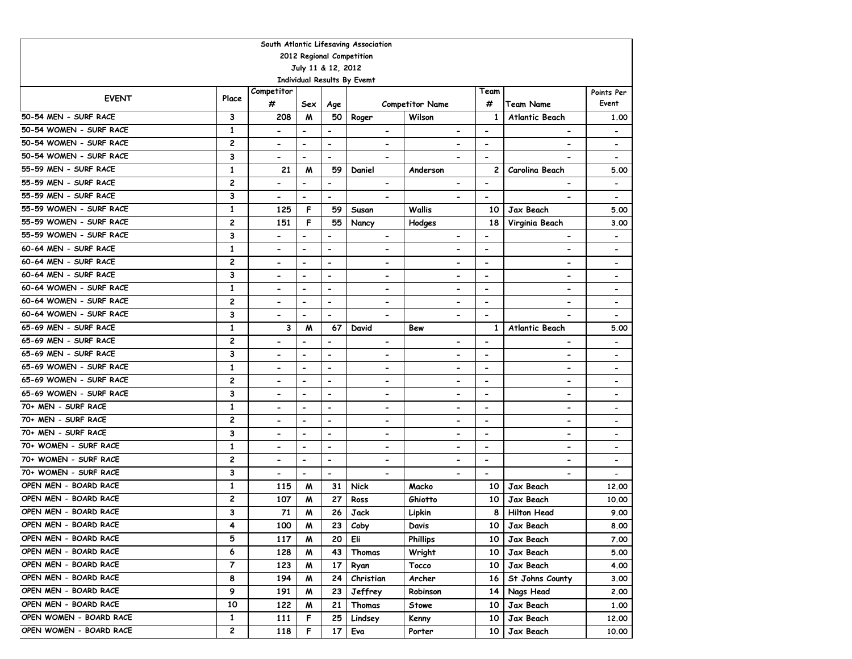| South Atlantic Lifesaving Association              |                   |                              |                              |                          |                |                              |                        |                          |                          |                          |                              |  |  |
|----------------------------------------------------|-------------------|------------------------------|------------------------------|--------------------------|----------------|------------------------------|------------------------|--------------------------|--------------------------|--------------------------|------------------------------|--|--|
| 2012 Regional Competition                          |                   |                              |                              |                          |                |                              |                        |                          |                          |                          |                              |  |  |
| July 11 & 12, 2012<br>Individual Results By Evemt  |                   |                              |                              |                          |                |                              |                        |                          |                          |                          |                              |  |  |
|                                                    |                   |                              |                              |                          |                |                              |                        |                          |                          |                          |                              |  |  |
| <b>EVENT</b>                                       | Place             | Competitor<br>#              |                              |                          |                |                              |                        |                          | Team<br>#                |                          | Points Per<br>Event          |  |  |
|                                                    |                   |                              | Sex                          | Age                      |                |                              | <b>Competitor Name</b> |                          |                          | <b>Team Name</b>         |                              |  |  |
| 50-54 MEN - SURF RACE                              | 3                 | 208                          | M                            | 50                       | Roger          |                              | Wilson                 |                          | 1                        | Atlantic Beach           | 1.00                         |  |  |
| 50-54 WOMEN - SURF RACE                            | $\mathbf{1}$      | $\overline{\phantom{0}}$     | $\blacksquare$               | $\blacksquare$           |                | $\overline{\phantom{a}}$     |                        | $\blacksquare$           | $\overline{\phantom{a}}$ | $\overline{\phantom{0}}$ | $\overline{\phantom{a}}$     |  |  |
| 50-54 WOMEN - SURF RACE                            | $\overline{c}$    | $\blacksquare$               | $\blacksquare$               | $\overline{\phantom{a}}$ |                | $\qquad \qquad \blacksquare$ |                        | $\blacksquare$           | $\overline{\phantom{a}}$ |                          | $\overline{\phantom{a}}$     |  |  |
| 50-54 WOMEN - SURF RACE                            | 3                 | $\overline{\phantom{a}}$     | $\blacksquare$               | $\blacksquare$           |                | $\blacksquare$               |                        |                          | $\overline{\phantom{a}}$ |                          | $\overline{\phantom{a}}$     |  |  |
| 55-59 MEN - SURF RACE                              | $\mathbf{1}$      | 21                           | M                            | 59                       | Daniel         |                              | Anderson               |                          | 2                        | Carolina Beach           | 5.00                         |  |  |
| 55-59 MEN - SURF RACE                              | $\overline{c}$    | $\overline{\phantom{a}}$     | $\overline{\phantom{a}}$     | $\overline{\phantom{a}}$ |                | $\blacksquare$               |                        | $\hbox{\small -}$        | $\overline{\phantom{a}}$ |                          | $\blacksquare$               |  |  |
| 55-59 MEN - SURF RACE                              | 3                 | $\hbox{\small -}$            | $\qquad \qquad \blacksquare$ | $\overline{\phantom{a}}$ |                |                              |                        |                          | $\overline{\phantom{a}}$ |                          | $\overline{\phantom{a}}$     |  |  |
| 55-59 WOMEN - SURF RACE                            | 1                 | 125                          | F                            | 59                       | Susan          |                              | Wallis                 |                          | 10                       | Jax Beach                | 5.00                         |  |  |
| 55-59 WOMEN - SURF RACE                            | $\overline{c}$    | 151                          | F                            | 55                       | Nancy          |                              | Hodges                 |                          | 18                       | Virginia Beach           | 3.00                         |  |  |
| 55-59 WOMEN - SURF RACE                            | 3                 | $\overline{\phantom{0}}$     | $\blacksquare$               | $\blacksquare$           |                | $\overline{\phantom{a}}$     |                        | $\blacksquare$           | $\blacksquare$           | $\blacksquare$           | $\overline{\phantom{a}}$     |  |  |
| 60-64 MEN - SURF RACE                              | $\mathbf{1}$      | $\blacksquare$               | $\overline{\phantom{a}}$     | $\overline{\phantom{a}}$ |                | $\overline{\phantom{0}}$     |                        |                          | $\overline{\phantom{a}}$ | $\overline{\phantom{0}}$ | $\qquad \qquad \blacksquare$ |  |  |
| 60-64 MEN - SURF RACE                              | $\overline{c}$    |                              | $\overline{a}$               | $\overline{\phantom{0}}$ |                | -                            |                        |                          | $\overline{\phantom{a}}$ | $\blacksquare$           | $\overline{a}$               |  |  |
| 60-64 MEN - SURF RACE                              | 3                 | $\overline{\phantom{0}}$     | $\overline{a}$               | $\overline{\phantom{0}}$ |                | $\qquad \qquad \blacksquare$ |                        |                          | $\overline{\phantom{a}}$ |                          | $\overline{a}$               |  |  |
| 60-64 WOMEN - SURF RACE                            | $\mathbf{1}$      |                              | $\blacksquare$               | $\blacksquare$           |                | $\blacksquare$               |                        |                          | $\blacksquare$           | $\blacksquare$           |                              |  |  |
| 60-64 WOMEN - SURF RACE                            | $\overline{c}$    |                              | $\blacksquare$               | $\blacksquare$           |                | $\qquad \qquad \blacksquare$ |                        |                          | $\overline{\phantom{a}}$ |                          | $\overline{\phantom{a}}$     |  |  |
| 60-64 WOMEN - SURF RACE                            | 3                 | $\hbox{\small -}$            | $\blacksquare$               | $\blacksquare$           |                | $\overline{\phantom{a}}$     |                        |                          | $\overline{\phantom{a}}$ |                          | $\blacksquare$               |  |  |
| 65-69 MEN - SURF RACE                              | 1                 | 3                            | M                            | 67                       | David          |                              | Bew                    |                          | 1                        | <b>Atlantic Beach</b>    | 5.00                         |  |  |
| 65-69 MEN - SURF RACE                              | $\overline{c}$    | $\qquad \qquad \blacksquare$ | $\overline{\phantom{0}}$     | $\blacksquare$           |                | $\overline{\phantom{a}}$     |                        | $\overline{\phantom{a}}$ | $\overline{\phantom{a}}$ | $\overline{\phantom{0}}$ | $\overline{\phantom{a}}$     |  |  |
| 65-69 MEN - SURF RACE                              | 3                 | $\hbox{\small -}$            | $\qquad \qquad \blacksquare$ | $\overline{\phantom{0}}$ |                | $\overline{\phantom{a}}$     |                        | $\overline{\phantom{a}}$ | $\hbox{\small -}$        | $\overline{\phantom{0}}$ | $\overline{\phantom{a}}$     |  |  |
| 65-69 WOMEN - SURF RACE                            | 1                 | $\hbox{\small -}$            | $\qquad \qquad \blacksquare$ | $\overline{\phantom{0}}$ |                | $\overline{\phantom{a}}$     |                        | $\overline{\phantom{a}}$ | $\overline{\phantom{a}}$ | $\overline{\phantom{0}}$ | $\overline{\phantom{a}}$     |  |  |
| 65-69 WOMEN - SURF RACE<br>65-69 WOMEN - SURF RACE | $\overline{c}$    | $\hbox{\small -}$            | $\hbox{\small -}$            | $\overline{\phantom{0}}$ |                | $\overline{\phantom{a}}$     |                        | $\hbox{\small -}$        | $\overline{\phantom{a}}$ | $\overline{\phantom{a}}$ | $\qquad \qquad \blacksquare$ |  |  |
| 70+ MEN - SURF RACE                                | 3                 | $\blacksquare$               | $\blacksquare$               | $\blacksquare$           |                | $\blacksquare$               |                        | $\overline{\phantom{a}}$ | $\blacksquare$           | $\overline{\phantom{a}}$ | $\overline{\phantom{a}}$     |  |  |
| 70+ MEN - SURF RACE                                | $\mathbf{1}$      | $\overline{\phantom{0}}$     | $\blacksquare$               | $\overline{\phantom{a}}$ |                | $\qquad \qquad \blacksquare$ |                        | $\overline{\phantom{a}}$ | $\blacksquare$           | $\blacksquare$           | $\qquad \qquad \blacksquare$ |  |  |
| 70+ MEN - SURF RACE                                | $\overline{c}$    | $\overline{\phantom{0}}$     | $\blacksquare$               | $\overline{\phantom{a}}$ |                | $\qquad \qquad \blacksquare$ |                        | $\overline{\phantom{a}}$ | $\overline{\phantom{a}}$ | $\overline{\phantom{a}}$ | $\qquad \qquad \blacksquare$ |  |  |
| 70+ WOMEN - SURF RACE                              | 3<br>$\mathbf{1}$ | $\qquad \qquad \blacksquare$ | $\overline{\phantom{a}}$     | $\overline{\phantom{0}}$ |                | $\overline{\phantom{a}}$     |                        | $\overline{\phantom{a}}$ | $\overline{\phantom{a}}$ | $\overline{\phantom{0}}$ | $\qquad \qquad \blacksquare$ |  |  |
| 70+ WOMEN - SURF RACE                              | $\overline{c}$    | $\overline{\phantom{0}}$     | $\blacksquare$               | $\blacksquare$           |                | $\qquad \qquad \blacksquare$ |                        | $\overline{\phantom{a}}$ | $\overline{\phantom{a}}$ | $\blacksquare$           | $\overline{\phantom{a}}$     |  |  |
| 70+ WOMEN - SURF RACE                              | 3                 | $\blacksquare$               | $\blacksquare$               | $\blacksquare$           |                | $\overline{\phantom{a}}$     |                        | $\overline{\phantom{a}}$ | $\overline{\phantom{a}}$ | $\blacksquare$           | $\overline{\phantom{a}}$     |  |  |
| OPEN MEN - BOARD RACE                              | 1                 | $\overline{\phantom{a}}$     | $\blacksquare$               | $\overline{\phantom{a}}$ |                | $\overline{\phantom{a}}$     |                        |                          | $\overline{\phantom{a}}$ |                          | $\blacksquare$               |  |  |
| OPEN MEN - BOARD RACE                              | $\overline{c}$    | 115<br>107                   | M<br>M                       | 31<br>27                 | Nick<br>Ross   |                              | Macko<br>Ghiotto       |                          | 10<br>10                 | Jax Beach<br>Jax Beach   | 12,00<br>10.00               |  |  |
| OPEN MEN - BOARD RACE                              | 3                 | 71                           | M                            | 26                       | Jack           |                              |                        |                          | 8                        | <b>Hilton Head</b>       | 9.00                         |  |  |
| OPEN MEN - BOARD RACE                              |                   |                              |                              |                          |                |                              | Lipkin                 |                          |                          |                          |                              |  |  |
| OPEN MEN - BOARD RACE                              | 4<br>5            | 100                          | M                            | 23                       | Coby<br>Eli    |                              | Davis<br>Phillips      |                          | 10                       | Jax Beach                | 8.00                         |  |  |
| OPEN MEN - BOARD RACE                              | 6                 | 117                          | M                            | 20                       |                |                              |                        |                          | 10                       | Jax Beach                | 7.00                         |  |  |
| OPEN MEN - BOARD RACE                              | $\overline{7}$    | 128                          | M                            | 43                       | Thomas         |                              | Wright                 |                          | 10 <sup>1</sup>          | Jax Beach                | 5.00                         |  |  |
| OPEN MEN - BOARD RACE                              |                   | 123                          | W                            | 17                       | Ryan           |                              | Tocco                  |                          | 10                       | Jax Beach                | 4.00                         |  |  |
| OPEN MEN - BOARD RACE                              | 8<br>9            | 194                          | W                            | 24                       | Christian      |                              | Archer                 |                          | 16                       | St Johns County          | 3.00                         |  |  |
| OPEN MEN - BOARD RACE                              |                   | 191                          | M                            | 23                       | Jeffrey        |                              | Robinson               |                          | 14                       | Nags Head                | 2.00                         |  |  |
| OPEN WOMEN - BOARD RACE                            | 10                | 122                          | M                            | 21                       | Thomas         |                              | Stowe                  |                          | 10                       | Jax Beach                | 1.00                         |  |  |
| OPEN WOMEN - BOARD RACE                            | 1<br>2            | 111<br>118                   | F<br>F                       | 25<br>17                 | Lindsey<br>Eva |                              | Kenny<br>Porter        |                          | 10<br>10                 | Jax Beach<br>Jax Beach   | 12.00<br>10.00               |  |  |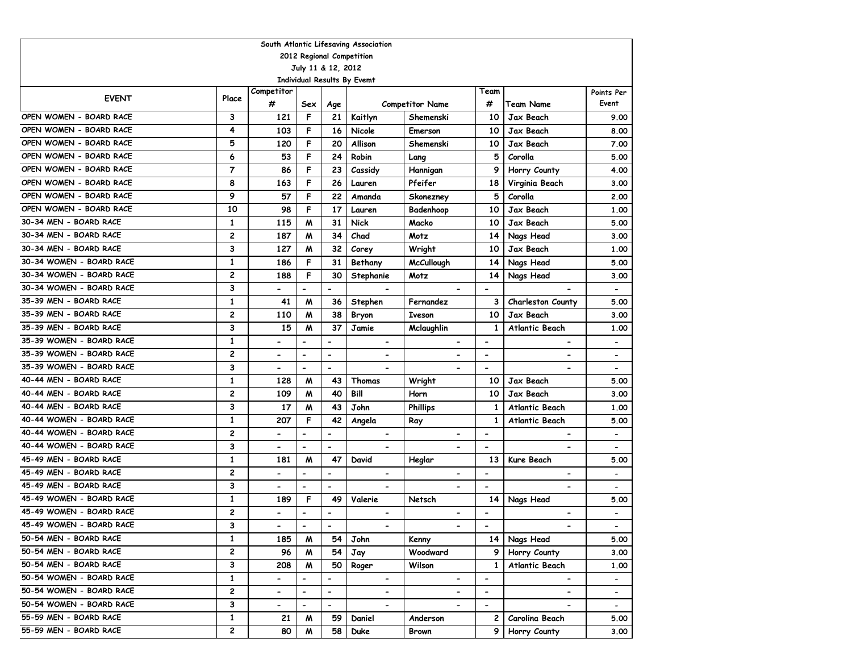| South Atlantic Lifesaving Association             |                |                              |                              |                          |                              |                              |                          |                              |                          |  |  |  |  |
|---------------------------------------------------|----------------|------------------------------|------------------------------|--------------------------|------------------------------|------------------------------|--------------------------|------------------------------|--------------------------|--|--|--|--|
| 2012 Regional Competition                         |                |                              |                              |                          |                              |                              |                          |                              |                          |  |  |  |  |
| July 11 & 12, 2012                                |                |                              |                              |                          |                              |                              |                          |                              |                          |  |  |  |  |
| Individual Results By Evemt<br>Competitor<br>Team |                |                              |                              |                          |                              |                              |                          |                              |                          |  |  |  |  |
| <b>EVENT</b>                                      | Place          |                              |                              |                          |                              |                              |                          |                              | Points Per               |  |  |  |  |
|                                                   |                | #                            | Sex                          | Age                      |                              | <b>Competitor Name</b>       | #                        | Team Name                    | Event                    |  |  |  |  |
| OPEN WOMEN - BOARD RACE                           | 3              | 121                          | F                            | 21                       | Kaitlyn                      | Shemenski                    | 10                       | Jax Beach                    | 9.00                     |  |  |  |  |
| OPEN WOMEN - BOARD RACE                           | 4              | 103                          | F                            | 16                       | Nicole                       | Emerson                      | 10                       | Jax Beach                    | 8.00                     |  |  |  |  |
| OPEN WOMEN - BOARD RACE                           | 5              | 120                          | F                            | 20                       | Allison                      | Shemenski                    | 10                       | Jax Beach                    | 7.00                     |  |  |  |  |
| OPEN WOMEN - BOARD RACE                           | 6              | 53                           | F                            | 24                       | Robin                        | Lang                         | 5                        | Corolla                      | 5.00                     |  |  |  |  |
| OPEN WOMEN - BOARD RACE                           | $\overline{7}$ | 86                           | F                            | 23                       | Cassidy                      | Hannigan                     | 9                        | Horry County                 | 4.00                     |  |  |  |  |
| OPEN WOMEN - BOARD RACE                           | 8              | 163                          | F                            | 26                       | Lauren                       | Pfeifer                      | 18                       | Virginia Beach               | 3.00                     |  |  |  |  |
| OPEN WOMEN - BOARD RACE                           | 9              | 57                           | F                            | 22                       | Amanda                       | Skonezney                    | 5                        | Corolla                      | 2.00                     |  |  |  |  |
| OPEN WOMEN - BOARD RACE                           | 10             | 98                           | F                            | 17                       | Lauren                       | Badenhoop                    | 10                       | <b>Jax Beach</b>             | 1.00                     |  |  |  |  |
| 30-34 MEN - BOARD RACE                            | $\mathbf{1}$   | 115                          | M                            | 31                       | <b>Nick</b>                  | Macko                        | 10                       | Jax Beach                    | 5.00                     |  |  |  |  |
| 30-34 MEN - BOARD RACE                            | 2              | 187                          | M                            | 34                       | Chad                         | Motz                         | 14                       | Nags Head                    | 3.00                     |  |  |  |  |
| 30-34 MEN - BOARD RACE                            | 3              | 127                          | M                            | 32                       | Corey                        | Wright                       | 10                       | <b>Jax Beach</b>             | 1.00                     |  |  |  |  |
| 30-34 WOMEN - BOARD RACE                          | $\mathbf{1}$   | 186                          | F                            | 31                       | Bethany                      | <b>McCullough</b>            | 14                       | Nags Head                    | 5.00                     |  |  |  |  |
| 30-34 WOMEN - BOARD RACE                          | $\overline{c}$ | 188                          | F                            | 30                       | Stephanie                    | Motz                         | 14                       | Nags Head                    | 3.00                     |  |  |  |  |
| 30-34 WOMEN - BOARD RACE                          | 3              |                              | $\overline{\phantom{0}}$     | $\overline{\phantom{a}}$ |                              |                              | $\overline{\phantom{a}}$ |                              |                          |  |  |  |  |
| 35-39 MEN - BOARD RACE                            | $\mathbf{1}$   | 41                           | M                            | 36                       | Stephen                      | Fernandez                    | 3                        | Charleston County            | 5.00                     |  |  |  |  |
| 35-39 MEN - BOARD RACE                            | 2              | 110                          | M                            | 38                       | Bryon                        | <b>Iveson</b>                | 10                       | <b>Jax Beach</b>             | 3.00                     |  |  |  |  |
| 35-39 MEN - BOARD RACE                            | 3              | 15                           | M                            | 37                       | Jamie                        | Mclaughlin                   | $\mathbf{1}$             | <b>Atlantic Beach</b>        | 1.00                     |  |  |  |  |
| 35-39 WOMEN - BOARD RACE                          | $\mathbf{1}$   |                              | $\qquad \qquad \blacksquare$ | $\overline{\phantom{a}}$ | $\blacksquare$               | $\qquad \qquad \blacksquare$ | $\overline{\phantom{a}}$ | $\overline{\phantom{a}}$     | $\overline{\phantom{a}}$ |  |  |  |  |
| 35-39 WOMEN - BOARD RACE                          | 2              | $\blacksquare$               | $\overline{\phantom{0}}$     | $\overline{\phantom{a}}$ | $\hbox{\small -}$            | $\overline{\phantom{0}}$     | $\blacksquare$           | $\qquad \qquad \blacksquare$ | $\overline{\phantom{a}}$ |  |  |  |  |
| 35-39 WOMEN - BOARD RACE                          | 3              | $\blacksquare$               | $\overline{\phantom{0}}$     | $\blacksquare$           | $\blacksquare$               | $\overline{a}$               | $\blacksquare$           | $\qquad \qquad \blacksquare$ | $\overline{\phantom{a}}$ |  |  |  |  |
| 40-44 MEN - BOARD RACE                            | $\mathbf{1}$   | 128                          | M                            | 43                       | Thomas                       | Wright                       | 10                       | Jax Beach                    | 5.00                     |  |  |  |  |
| 40-44 MEN - BOARD RACE                            | 2              | 109                          | M                            | 40                       | Bill                         | Horn                         | 10                       | <b>Jax Beach</b>             | 3.00                     |  |  |  |  |
| 40-44 MEN - BOARD RACE                            | 3              | 17                           | M                            | 43                       | John                         | <b>Phillips</b>              | $\mathbf{1}$             | <b>Atlantic Beach</b>        | 1.00                     |  |  |  |  |
| 40-44 WOMEN - BOARD RACE                          | $\mathbf{1}$   | 207                          | F                            | 42                       | Angela                       | Ray                          | $\mathbf{1}$             | Atlantic Beach               | 5.00                     |  |  |  |  |
| 40-44 WOMEN - BOARD RACE                          | $\overline{c}$ | $\qquad \qquad \blacksquare$ | $\overline{\phantom{0}}$     | $\overline{\phantom{a}}$ | $\qquad \qquad \blacksquare$ | $\overline{\phantom{0}}$     | $\overline{\phantom{a}}$ | $\overline{\phantom{0}}$     |                          |  |  |  |  |
| 40-44 WOMEN - BOARD RACE                          | 3              | $\blacksquare$               | $\qquad \qquad \blacksquare$ | $\overline{\phantom{a}}$ |                              | $\overline{\phantom{0}}$     | $\overline{\phantom{a}}$ | $\qquad \qquad \blacksquare$ |                          |  |  |  |  |
| 45-49 MEN - BOARD RACE                            | $\mathbf{1}$   | 181                          | M                            | 47                       | David                        | Heglar                       | 13                       | Kure Beach                   | 5.00                     |  |  |  |  |
| 45-49 MEN - BOARD RACE                            | 2              | $\blacksquare$               | $\overline{a}$               | $\overline{\phantom{m}}$ | $\hbox{\small -}$            |                              | $\overline{\phantom{a}}$ | -                            | $\overline{\phantom{a}}$ |  |  |  |  |
| 45-49 MEN - BOARD RACE                            | 3              | $\overline{\phantom{a}}$     | $\qquad \qquad \blacksquare$ | $\overline{\phantom{a}}$ |                              | $\overline{\phantom{0}}$     | $\overline{\phantom{a}}$ |                              |                          |  |  |  |  |
| 45-49 WOMEN - BOARD RACE                          | 1              | 189                          | F                            | 49                       | Valerie                      | Netsch                       | 14                       | Nags Head                    | 5.00                     |  |  |  |  |
| 45-49 WOMEN - BOARD RACE                          | $\overline{c}$ |                              | $\overline{\phantom{0}}$     | $\overline{\phantom{a}}$ | $\blacksquare$               | $\overline{\phantom{0}}$     | $\blacksquare$           | $\qquad \qquad \blacksquare$ |                          |  |  |  |  |
| 45-49 WOMEN - BOARD RACE                          | 3              | $\blacksquare$               | $\overline{\phantom{a}}$     | $\blacksquare$           |                              | $\qquad \qquad \blacksquare$ | $\overline{\phantom{a}}$ | $\qquad \qquad \blacksquare$ |                          |  |  |  |  |
| 50-54 MEN - BOARD RACE                            | $\mathbf{1}$   | 185                          | M                            | 54                       | John                         | Kenny                        | 14                       | Nags Head                    | 5.00                     |  |  |  |  |
| 50-54 MEN - BOARD RACE                            | 2              | 96                           | M                            | 54                       | Jay                          | Woodward                     | 9                        | Horry County                 | 3.00                     |  |  |  |  |
| 50-54 MEN - BOARD RACE                            | 3              | 208                          | M                            | 50                       | Roger                        | Wilson                       | $\mathbf{1}$             | Atlantic Beach               | 1.00                     |  |  |  |  |
| 50-54 WOMEN - BOARD RACE                          | $\mathbf{1}$   | $\qquad \qquad \blacksquare$ | $\qquad \qquad \blacksquare$ | $\overline{\phantom{a}}$ | $\blacksquare$               | $\qquad \qquad \blacksquare$ | $\overline{\phantom{a}}$ | $\blacksquare$               |                          |  |  |  |  |
| 50-54 WOMEN - BOARD RACE                          | 2              | $\overline{\phantom{0}}$     | $\qquad \qquad \blacksquare$ | $\overline{\phantom{a}}$ | $\overline{\phantom{a}}$     | $\qquad \qquad \blacksquare$ | $\overline{\phantom{a}}$ | $\overline{\phantom{a}}$     | $\overline{\phantom{a}}$ |  |  |  |  |
| 50-54 WOMEN - BOARD RACE                          | 3              | $\blacksquare$               | $\overline{\phantom{0}}$     | $\blacksquare$           | $\blacksquare$               |                              | $\overline{\phantom{a}}$ | $\overline{\phantom{0}}$     | $\blacksquare$           |  |  |  |  |
| 55-59 MEN - BOARD RACE                            | 1              | 21                           | M                            | 59                       | Daniel                       | Anderson                     | 2                        | Carolina Beach               | 5.00                     |  |  |  |  |
| 55-59 MEN - BOARD RACE                            | 2              | 80                           | M                            | 58                       | Duke                         | Brown                        | 9                        | Horry County                 | 3.00                     |  |  |  |  |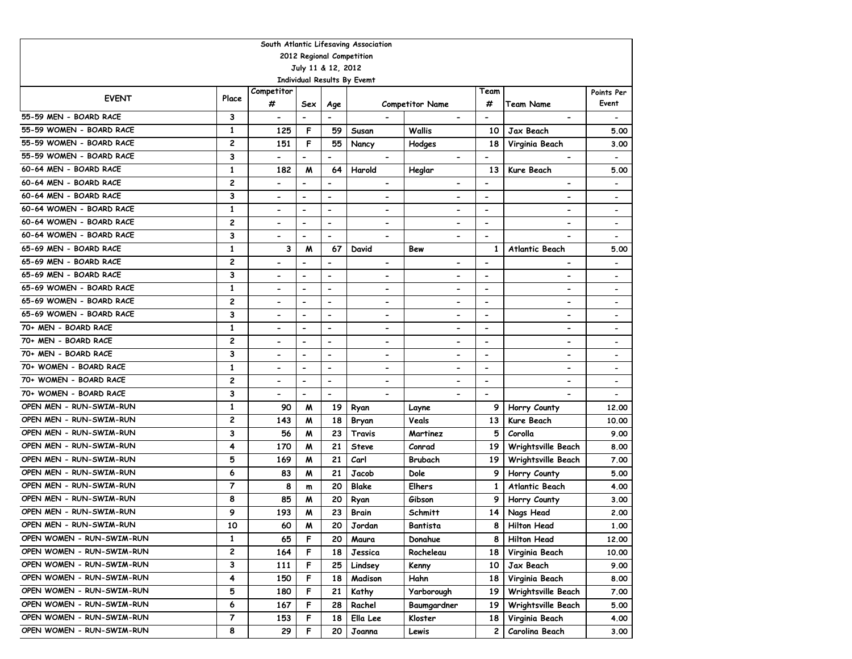| South Atlantic Lifesaving Association |                         |                              |                              |                          |                             |                              |                          |                              |                              |  |  |  |  |
|---------------------------------------|-------------------------|------------------------------|------------------------------|--------------------------|-----------------------------|------------------------------|--------------------------|------------------------------|------------------------------|--|--|--|--|
| 2012 Regional Competition             |                         |                              |                              |                          |                             |                              |                          |                              |                              |  |  |  |  |
|                                       |                         |                              | July 11 & 12, 2012           |                          |                             |                              |                          |                              |                              |  |  |  |  |
|                                       |                         |                              |                              |                          | Individual Results By Evemt |                              |                          |                              |                              |  |  |  |  |
| <b>EVENT</b>                          | Place                   | Competitor<br>#              |                              |                          |                             |                              | Team                     |                              | Points Per<br>Event          |  |  |  |  |
|                                       |                         |                              | Sex                          | Age                      |                             | <b>Competitor Name</b>       | #                        | <b>Team Name</b>             |                              |  |  |  |  |
| 55-59 MEN - BOARD RACE                | 3                       | $\overline{\phantom{a}}$     | $\overline{\phantom{a}}$     | $\overline{\phantom{a}}$ |                             | $\blacksquare$               | $\overline{\phantom{a}}$ | $\blacksquare$               |                              |  |  |  |  |
| 55-59 WOMEN - BOARD RACE              | 1                       | 125                          | F                            | 59                       | Susan                       | Wallis                       | 10                       | Jax Beach                    | 5.00                         |  |  |  |  |
| 55-59 WOMEN - BOARD RACE              | $\overline{\mathbf{c}}$ | 151                          | F                            | 55                       | Nancy                       | Hodges                       | 18                       | Virginia Beach               | 3.00                         |  |  |  |  |
| 55-59 WOMEN - BOARD RACE              | 3                       | $\overline{\phantom{0}}$     | $\overline{\phantom{0}}$     | $\blacksquare$           | $\blacksquare$              | $\overline{\phantom{a}}$     | $\overline{\phantom{a}}$ | $\blacksquare$               | $\blacksquare$               |  |  |  |  |
| 60-64 MEN - BOARD RACE                | 1                       | 182                          | M                            | 64                       | Harold                      | Heglar                       | 13                       | <b>Kure Beach</b>            | 5.00                         |  |  |  |  |
| 60-64 MEN - BOARD RACE                | $\overline{c}$          | $\overline{\phantom{0}}$     | $\hbox{\small -}$            | $\overline{\phantom{a}}$ |                             | $\qquad \qquad \blacksquare$ | $\overline{\phantom{a}}$ |                              | $\overline{\phantom{a}}$     |  |  |  |  |
| 60-64 MEN - BOARD RACE                | 3                       | $\blacksquare$               | -                            | $\overline{\phantom{a}}$ | $\overline{\phantom{a}}$    | $\qquad \qquad \blacksquare$ | $\overline{\phantom{a}}$ |                              | $\overline{\phantom{a}}$     |  |  |  |  |
| 60-64 WOMEN - BOARD RACE              | 1                       | $\overline{\phantom{0}}$     | $\overline{\phantom{0}}$     | $\blacksquare$           | -                           | $\overline{\phantom{a}}$     | $\overline{\phantom{a}}$ | $\overline{\phantom{0}}$     | $\overline{\phantom{0}}$     |  |  |  |  |
| 60-64 WOMEN - BOARD RACE              | $\overline{\mathbf{c}}$ | $\blacksquare$               | $\blacksquare$               | $\blacksquare$           | $\blacksquare$              | $\overline{\phantom{a}}$     | $\overline{\phantom{a}}$ | $\blacksquare$               | $\overline{\phantom{0}}$     |  |  |  |  |
| 60-64 WOMEN - BOARD RACE              | 3                       | $\overline{\phantom{a}}$     | $\blacksquare$               | $\blacksquare$           | $\blacksquare$              | $\overline{\phantom{0}}$     | $\overline{\phantom{a}}$ |                              | $\overline{\phantom{0}}$     |  |  |  |  |
| 65-69 MEN - BOARD RACE                | $\mathbf{1}$            | 3                            | M                            | 67                       | David                       | Bew                          | 1                        | <b>Atlantic Beach</b>        | 5.00                         |  |  |  |  |
| 65-69 MEN - BOARD RACE                | $\overline{c}$          |                              | $\overline{\phantom{0}}$     | $\overline{\phantom{a}}$ | $\overline{\phantom{a}}$    |                              | $\overline{\phantom{a}}$ |                              |                              |  |  |  |  |
| 65-69 MEN - BOARD RACE                | 3                       |                              | $\overline{\phantom{0}}$     | $\overline{\phantom{a}}$ | -                           |                              | $\overline{\phantom{a}}$ |                              |                              |  |  |  |  |
| 65-69 WOMEN - BOARD RACE              | $\mathbf{1}$            |                              |                              | $\blacksquare$           | $\overline{\phantom{0}}$    |                              | $\blacksquare$           |                              |                              |  |  |  |  |
| 65-69 WOMEN - BOARD RACE              | $\overline{c}$          |                              | $\blacksquare$               | $\overline{\phantom{a}}$ | $\overline{\phantom{a}}$    |                              | $\overline{\phantom{a}}$ |                              | $\qquad \qquad \blacksquare$ |  |  |  |  |
| 65-69 WOMEN - BOARD RACE              | 3                       | $\hbox{\small -}$            | $\blacksquare$               | $\overline{\phantom{a}}$ | $\blacksquare$              |                              | $\overline{\phantom{a}}$ |                              | $\qquad \qquad \blacksquare$ |  |  |  |  |
| 70+ MEN - BOARD RACE                  | 1                       | $\qquad \qquad \blacksquare$ | $\overline{\phantom{0}}$     | $\overline{\phantom{a}}$ | -                           | $\qquad \qquad \blacksquare$ | $\overline{\phantom{a}}$ | $\overline{\phantom{a}}$     |                              |  |  |  |  |
| 70+ MEN - BOARD RACE                  | $\overline{c}$          | $\overline{\phantom{a}}$     | $\qquad \qquad \blacksquare$ | $\overline{\phantom{a}}$ | $\blacksquare$              | $\qquad \qquad \blacksquare$ | $\blacksquare$           | $\overline{\phantom{a}}$     | $\qquad \qquad \blacksquare$ |  |  |  |  |
| 70+ MEN - BOARD RACE                  | 3                       | $\qquad \qquad \blacksquare$ | $\hbox{\small -}$            | $\overline{\phantom{a}}$ | $\overline{\phantom{a}}$    | $\qquad \qquad \blacksquare$ | $\overline{\phantom{a}}$ | $\qquad \qquad \blacksquare$ | $\overline{\phantom{a}}$     |  |  |  |  |
| 70+ WOMEN - BOARD RACE                | 1                       | $\qquad \qquad \blacksquare$ | -                            | $\overline{\phantom{a}}$ | $\hbox{\small -}$           | $\overline{\phantom{a}}$     | $\overline{\phantom{a}}$ | $\qquad \qquad \blacksquare$ | $\overline{\phantom{0}}$     |  |  |  |  |
| 70+ WOMEN - BOARD RACE                | $\overline{\mathbf{c}}$ | $\overline{\phantom{a}}$     | $\hbox{\small -}$            | $\overline{\phantom{a}}$ | $\hbox{\small -}$           | $\hbox{\small -}$            | $\overline{\phantom{a}}$ | $\overline{\phantom{a}}$     | $\overline{\phantom{0}}$     |  |  |  |  |
| 70+ WOMEN - BOARD RACE                | 3                       | $\blacksquare$               | $\blacksquare$               | $\overline{\phantom{0}}$ | $\blacksquare$              | $\blacksquare$               | $\blacksquare$           |                              | $\overline{\phantom{a}}$     |  |  |  |  |
| OPEN MEN - RUN-SWIM-RUN               | $\mathbf{1}$            | 90                           | M                            | 19                       | Ryan                        | Layne                        | 9                        | Horry County                 | 12,00                        |  |  |  |  |
| OPEN MEN - RUN-SWIM-RUN               | $\overline{c}$          | 143                          | M                            | 18                       | Bryan                       | Veals                        | 13                       | <b>Kure Beach</b>            | 10.00                        |  |  |  |  |
| OPEN MEN - RUN-SWIM-RUN               | 3                       | 56                           | M                            | 23                       | Travis                      | Martinez                     | 5                        | Corolla                      | 9.00                         |  |  |  |  |
| OPEN MEN - RUN-SWIM-RUN               | 4                       | 170                          | M                            | 21                       | <b>Steve</b>                | Conrad                       | 19                       | Wrightsville Beach           | 8.00                         |  |  |  |  |
| OPEN MEN - RUN-SWIM-RUN               | 5                       | 169                          | M                            | 21                       | Carl                        | Brubach                      | 19                       | Wrightsville Beach           | 7.00                         |  |  |  |  |
| OPEN MEN - RUN-SWIM-RUN               | 6                       | 83                           | M                            | 21                       | Jacob                       | Dole                         | 9                        | Horry County                 | 5.00                         |  |  |  |  |
| OPEN MEN - RUN-SWIM-RUN               | $\overline{7}$          | 8                            | m                            | 20                       | Blake                       | <b>Elhers</b>                | 1                        | Atlantic Beach               | 4.00                         |  |  |  |  |
| OPEN MEN - RUN-SWIM-RUN               | 8                       | 85                           | M                            | 20                       | Ryan                        | Gibson                       | 9                        | Horry County                 | 3.00                         |  |  |  |  |
| OPEN MEN - RUN-SWIM-RUN               | 9                       | 193                          | M                            | 23                       | Brain                       | Schmitt                      | 14                       | Nags Head                    | 2.00                         |  |  |  |  |
| OPEN MEN - RUN-SWIM-RUN               | 10                      | 60                           | M                            | 20                       | Jordan                      | Bantista                     | 8                        | <b>Hilton Head</b>           | 1.00                         |  |  |  |  |
| OPEN WOMEN - RUN-SWIM-RUN             | 1                       | 65                           | F                            | 20                       | Maura                       | Donahue                      | 8                        | <b>Hilton Head</b>           | 12.00                        |  |  |  |  |
| OPEN WOMEN - RUN-SWIM-RUN             | 2                       | 164                          | F                            | 18                       | Jessica                     | Rocheleau                    | 18                       | Virginia Beach               | 10.00                        |  |  |  |  |
| OPEN WOMEN - RUN-SWIM-RUN             | 3                       | 111                          | F                            | 25                       | Lindsey                     | Kenny                        | 10                       | Jax Beach                    | 9.00                         |  |  |  |  |
| OPEN WOMEN - RUN-SWIM-RUN             | 4                       | 150                          | F                            | 18                       | Madison                     | Hahn                         | 18                       | Virginia Beach               | 8.00                         |  |  |  |  |
| OPEN WOMEN - RUN-SWIM-RUN             | 5                       | 180                          | F                            | 21                       | Kathy                       | Yarborough                   | 19                       | Wrightsville Beach           | 7.00                         |  |  |  |  |
| OPEN WOMEN - RUN-SWIM-RUN             | 6                       | 167                          | F                            | 28                       | Rachel                      | Baumgardner                  | 19                       | Wrightsville Beach           | 5.00                         |  |  |  |  |
| OPEN WOMEN - RUN-SWIM-RUN             | $\overline{7}$          | 153                          | F                            | 18                       | Ella Lee                    | Kloster                      | 18                       | Virginia Beach               | 4.00                         |  |  |  |  |
| OPEN WOMEN - RUN-SWIM-RUN             | 8                       | 29                           | F                            | 20                       | Joanna                      | Lewis                        | 2                        | Carolina Beach               | 3.00                         |  |  |  |  |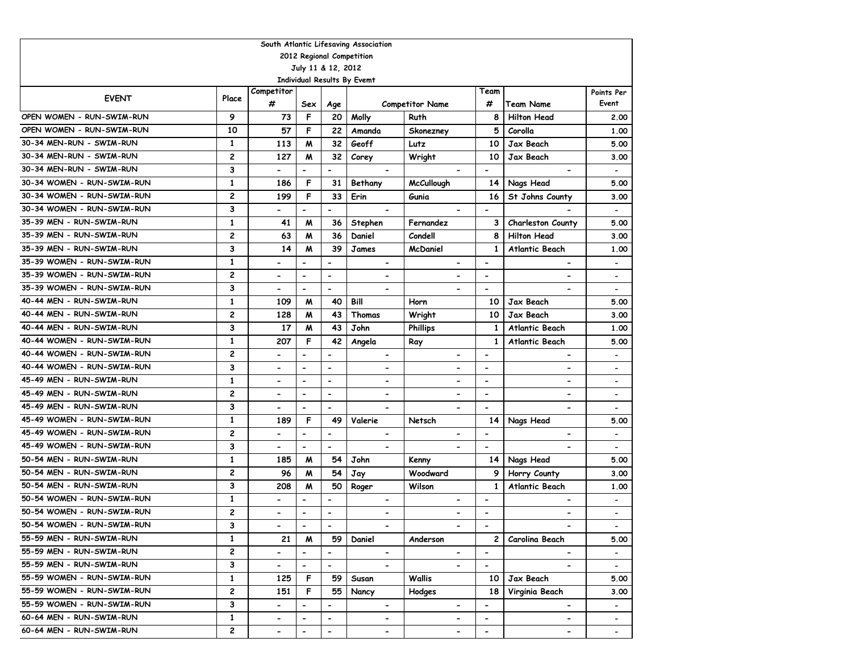| South Atlantic Lifesaving Association                                                                                                                                                                                    |              |                          |                              |                          |                              |                          |                          |                              |                          |  |  |  |  |
|--------------------------------------------------------------------------------------------------------------------------------------------------------------------------------------------------------------------------|--------------|--------------------------|------------------------------|--------------------------|------------------------------|--------------------------|--------------------------|------------------------------|--------------------------|--|--|--|--|
| 2012 Regional Competition                                                                                                                                                                                                |              |                          |                              |                          |                              |                          |                          |                              |                          |  |  |  |  |
| July 11 & 12, 2012                                                                                                                                                                                                       |              |                          |                              |                          |                              |                          |                          |                              |                          |  |  |  |  |
| <b>Individual Results By Evemt</b>                                                                                                                                                                                       |              |                          |                              |                          |                              |                          |                          |                              |                          |  |  |  |  |
| <b>EVENT</b>                                                                                                                                                                                                             | Place        | Competitor               |                              |                          |                              |                          | Team                     |                              | Points Per               |  |  |  |  |
|                                                                                                                                                                                                                          |              | #                        | Sex                          | Age                      |                              | <b>Competitor Name</b>   | #                        | Team Name                    | Event                    |  |  |  |  |
| OPEN WOMEN - RUN-SWIM-RUN                                                                                                                                                                                                | 9            | 73                       | F                            | 20                       | Molly                        | Ruth                     | 8                        | <b>Hilton Head</b>           | 2.00                     |  |  |  |  |
| OPEN WOMEN - RUN-SWIM-RUN                                                                                                                                                                                                | 10           | 57                       | F                            | 22                       | Amanda                       | Skonezney                | 5                        | Corolla                      | 1.00                     |  |  |  |  |
| 30-34 MEN-RUN - SWIM-RUN                                                                                                                                                                                                 | $\mathbf{1}$ | 113                      | M                            | 32                       | Geoff<br>Lutz                |                          |                          | Jax Beach                    | 5.00                     |  |  |  |  |
| 30-34 MEN-RUN - SWIM-RUN                                                                                                                                                                                                 | 2            | 127                      | M                            | 32                       | Corey                        | Wright                   | 10                       | Jax Beach                    | 3.00                     |  |  |  |  |
| 30-34 MEN-RUN - SWIM-RUN                                                                                                                                                                                                 | 3            | $\overline{\phantom{0}}$ | $\overline{\phantom{0}}$     | $\overline{a}$           |                              |                          | $\blacksquare$           |                              | $\overline{\phantom{a}}$ |  |  |  |  |
| 30-34 WOMEN - RUN-SWIM-RUN                                                                                                                                                                                               | $\mathbf{1}$ | 186                      | F                            | 31                       | Bethany                      | <b>McCullough</b>        | 14                       | Nags Head                    | 5.00                     |  |  |  |  |
| 30-34 WOMEN - RUN-SWIM-RUN                                                                                                                                                                                               | 2            | 199                      | F                            | 33                       | Erin                         | Gunia                    | 16                       | St Johns County              | 3.00                     |  |  |  |  |
| 30-34 WOMEN - RUN-SWIM-RUN                                                                                                                                                                                               | 3            | $\overline{\phantom{a}}$ | $\qquad \qquad \blacksquare$ | $\overline{\phantom{a}}$ |                              |                          | $\overline{\phantom{a}}$ |                              | $\overline{\phantom{a}}$ |  |  |  |  |
| 35-39 MEN - RUN-SWIM-RUN                                                                                                                                                                                                 | $\mathbf{1}$ | 41                       | M                            | 36                       | Stephen                      | Fernandez                | 3                        | Charleston County            | 5.00                     |  |  |  |  |
| 35-39 MEN - RUN-SWIM-RUN                                                                                                                                                                                                 | 2            | 63                       | M                            | 36                       | Daniel                       | Condell                  | 8                        | <b>Hilton Head</b>           | 3.00                     |  |  |  |  |
| 35-39 MEN - RUN-SWIM-RUN                                                                                                                                                                                                 | 3            | 14                       | M                            | 39                       | James                        | <b>McDaniel</b>          | $\mathbf{1}$             | Atlantic Beach               | 1.00                     |  |  |  |  |
| 35-39 WOMEN - RUN-SWIM-RUN                                                                                                                                                                                               | $\mathbf{1}$ | $\overline{\phantom{0}}$ | $\blacksquare$               | $\overline{\phantom{a}}$ | $\hbox{\small -}$            | $\blacksquare$           | $\overline{\phantom{a}}$ | $\overline{\phantom{a}}$     |                          |  |  |  |  |
| 35-39 WOMEN - RUN-SWIM-RUN                                                                                                                                                                                               | 2            |                          | $\blacksquare$               | $\overline{\phantom{a}}$ | $\qquad \qquad \blacksquare$ |                          | $\overline{\phantom{a}}$ | -                            | $\overline{\phantom{a}}$ |  |  |  |  |
| 35-39 WOMEN - RUN-SWIM-RUN                                                                                                                                                                                               | 3            |                          | $\blacksquare$               | $\overline{\phantom{a}}$ |                              |                          | $\blacksquare$           |                              | $\overline{\phantom{a}}$ |  |  |  |  |
| 40-44 MEN - RUN-SWIM-RUN                                                                                                                                                                                                 | $\mathbf{1}$ | 109                      | M                            | 40                       | Bill                         | Horn                     | 10                       | Jax Beach                    | 5.00                     |  |  |  |  |
| 40-44 MEN - RUN-SWIM-RUN                                                                                                                                                                                                 | 2            | 128                      | M                            | 43                       | Thomas                       | Wright                   | 10                       | <b>Jax Beach</b>             | 3.00                     |  |  |  |  |
| 40-44 MEN - RUN-SWIM-RUN                                                                                                                                                                                                 | 3            | 17                       | M                            | 43                       | John                         | <b>Phillips</b>          | 1                        | <b>Atlantic Beach</b>        | 1.00                     |  |  |  |  |
| 40-44 WOMEN - RUN-SWIM-RUN                                                                                                                                                                                               | $\mathbf{1}$ | 207                      | F                            | 42                       | Angela                       | Ray                      | 1                        | Atlantic Beach               | 5.00                     |  |  |  |  |
| 40-44 WOMEN - RUN-SWIM-RUN                                                                                                                                                                                               | 2            |                          | $\overline{a}$               |                          | $\blacksquare$               | -                        | $\blacksquare$           | $\overline{\phantom{a}}$     | $\overline{\phantom{a}}$ |  |  |  |  |
| 40-44 WOMEN - RUN-SWIM-RUN                                                                                                                                                                                               | 3            | $\overline{\phantom{0}}$ | $\blacksquare$               | $\overline{\phantom{0}}$ | $\overline{\phantom{a}}$     | $\blacksquare$           | $\overline{\phantom{a}}$ | $\overline{\phantom{a}}$     | $\overline{\phantom{a}}$ |  |  |  |  |
| 45-49 MEN - RUN-SWIM-RUN                                                                                                                                                                                                 | $\mathbf{1}$ | $\overline{\phantom{0}}$ | $\overline{\phantom{0}}$     | $\blacksquare$           | $\overline{\phantom{a}}$     | $\overline{a}$           | $\overline{\phantom{a}}$ | $\overline{\phantom{a}}$     | $\overline{\phantom{a}}$ |  |  |  |  |
| 45-49 MEN - RUN-SWIM-RUN                                                                                                                                                                                                 | 2            | $\blacksquare$           | $\blacksquare$               | $\overline{\phantom{a}}$ | $\overline{\phantom{a}}$     | $\blacksquare$           | $\blacksquare$           | $\qquad \qquad \blacksquare$ | $\overline{\phantom{a}}$ |  |  |  |  |
| 45-49 MEN - RUN-SWIM-RUN                                                                                                                                                                                                 | 3            | $\blacksquare$           | $\overline{a}$               | $\blacksquare$           | $\overline{\phantom{a}}$     | $\overline{\phantom{a}}$ | $\blacksquare$           | $\qquad \qquad \blacksquare$ | $\overline{\phantom{a}}$ |  |  |  |  |
| 45-49 WOMEN - RUN-SWIM-RUN                                                                                                                                                                                               | $\mathbf{1}$ | 189                      | F                            | 49                       | Valerie                      | Netsch                   | 14                       | Nags Head                    | 5.00                     |  |  |  |  |
| 45-49 WOMEN - RUN-SWIM-RUN                                                                                                                                                                                               | 2            | $\overline{\phantom{0}}$ | $\qquad \qquad \blacksquare$ | $\overline{\phantom{a}}$ | $\blacksquare$               | $\blacksquare$           | $\overline{\phantom{a}}$ | -                            |                          |  |  |  |  |
| 45-49 WOMEN - RUN-SWIM-RUN                                                                                                                                                                                               | 3            |                          | $\overline{a}$               | $\overline{\phantom{a}}$ |                              | $\overline{\phantom{a}}$ | $\blacksquare$           |                              |                          |  |  |  |  |
| 50-54 MEN - RUN-SWIM-RUN                                                                                                                                                                                                 | $\mathbf{1}$ | 185                      | M                            | 54                       | John                         | Kenny                    | 14                       | Nags Head                    | 5.00                     |  |  |  |  |
| 50-54 MEN - RUN-SWIM-RUN                                                                                                                                                                                                 | 2            | 96                       | M                            | 54                       | Jay                          | Woodward                 | 9                        | Horry County                 | 3.00                     |  |  |  |  |
| 50-54 MEN - RUN-SWIM-RUN                                                                                                                                                                                                 | 3            | 208                      | M                            | 50                       | Roger                        | Wilson                   | $\mathbf{1}$             | <b>Atlantic Beach</b>        | 1.00                     |  |  |  |  |
| 50-54 WOMEN - RUN-SWIM-RUN                                                                                                                                                                                               | $\mathbf{1}$ | $\blacksquare$           | $\overline{\phantom{0}}$     | $\overline{\phantom{a}}$ | $\overline{\phantom{0}}$     | $\blacksquare$           | $\overline{\phantom{a}}$ | $\overline{\phantom{0}}$     | $\overline{\phantom{a}}$ |  |  |  |  |
| 50-54 WOMEN - RUN-SWIM-RUN                                                                                                                                                                                               | 2            |                          | $\overline{\phantom{a}}$     | $\overline{\phantom{a}}$ |                              | $\overline{a}$           | $\overline{\phantom{a}}$ | -                            |                          |  |  |  |  |
| 50-54 WOMEN - RUN-SWIM-RUN                                                                                                                                                                                               | 3            | $\overline{\phantom{a}}$ | $\overline{\phantom{0}}$     | $\overline{\phantom{a}}$ | $\hbox{\small -}$            | $\overline{\phantom{0}}$ | $\overline{\phantom{a}}$ | $\overline{\phantom{a}}$     | $\overline{\phantom{a}}$ |  |  |  |  |
| 55-59 MEN - RUN-SWIM-RUN                                                                                                                                                                                                 | $\mathbf{1}$ | 21                       | M                            | 59                       | Daniel                       | Anderson                 | $\overline{c}$           | Carolina Beach               | 5.00                     |  |  |  |  |
| 55-59 MEN - RUN-SWIM-RUN                                                                                                                                                                                                 | 2            | $\overline{\phantom{0}}$ | $\qquad \qquad \blacksquare$ | $\overline{\phantom{a}}$ | $\blacksquare$               |                          | $\blacksquare$           |                              |                          |  |  |  |  |
| 3<br>55-59 MEN - RUN-SWIM-RUN<br>$\blacksquare$<br>$\overline{\phantom{0}}$<br>$\overline{\phantom{a}}$<br>$\overline{\phantom{0}}$<br>$\hbox{\small -}$<br>$\overline{\phantom{0}}$<br>$\blacksquare$<br>$\blacksquare$ |              |                          |                              |                          |                              |                          |                          |                              |                          |  |  |  |  |
| 55-59 WOMEN - RUN-SWIM-RUN                                                                                                                                                                                               | $\mathbf{1}$ | 125                      | F                            | 59                       | Susan                        | Wallis                   | 10                       | Jax Beach                    | 5.00                     |  |  |  |  |
| 55-59 WOMEN - RUN-SWIM-RUN                                                                                                                                                                                               | 2            | 151                      | F.                           | 55                       | Nancy                        | Hodges                   | 18                       | Virginia Beach               | 3.00                     |  |  |  |  |
| 55-59 WOMEN - RUN-SWIM-RUN                                                                                                                                                                                               | 3            | $\overline{\phantom{a}}$ | $\qquad \qquad \blacksquare$ | $\overline{\phantom{a}}$ | $\hbox{\small -}$            | $\blacksquare$           | $\overline{\phantom{a}}$ | $\overline{\phantom{a}}$     | $\overline{\phantom{a}}$ |  |  |  |  |
| 60-64 MEN - RUN-SWIM-RUN                                                                                                                                                                                                 | $\mathbf{1}$ | $\overline{\phantom{a}}$ |                              | $\overline{\phantom{a}}$ | $\overline{\phantom{a}}$     |                          | $\overline{\phantom{a}}$ | $\overline{\phantom{a}}$     | $\overline{\phantom{a}}$ |  |  |  |  |
| 60-64 MEN - RUN-SWIM-RUN                                                                                                                                                                                                 | 2            | $\overline{\phantom{0}}$ | $\overline{a}$               | $\overline{\phantom{a}}$ | $\blacksquare$               | -                        | $\blacksquare$           | $\overline{\phantom{0}}$     | $\overline{\phantom{a}}$ |  |  |  |  |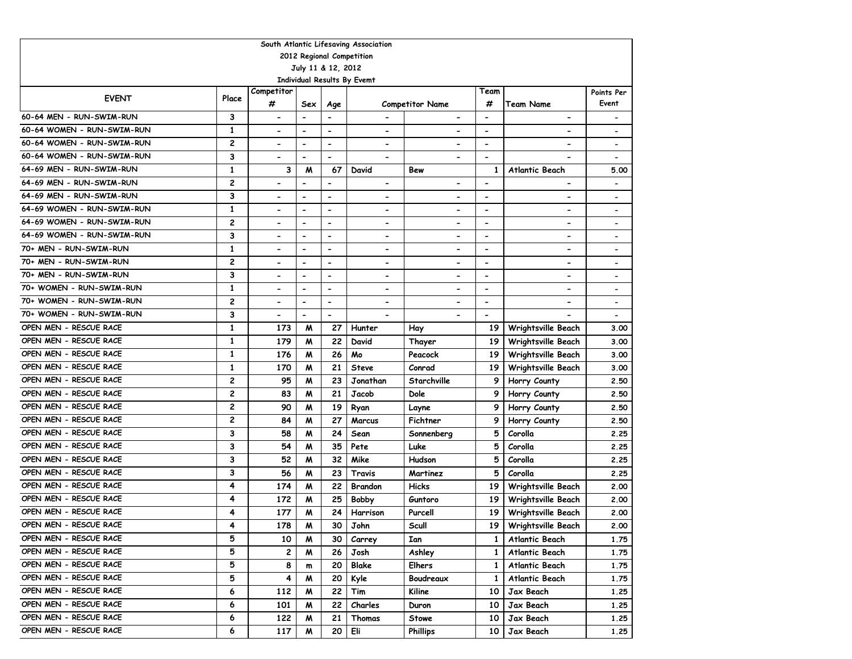| South Atlantic Lifesaving Association                    |                |                                                   |                                                      |                                                      |                                               |                          |                                            |                              |                                                      |  |  |  |
|----------------------------------------------------------|----------------|---------------------------------------------------|------------------------------------------------------|------------------------------------------------------|-----------------------------------------------|--------------------------|--------------------------------------------|------------------------------|------------------------------------------------------|--|--|--|
| 2012 Regional Competition                                |                |                                                   |                                                      |                                                      |                                               |                          |                                            |                              |                                                      |  |  |  |
| July 11 & 12, 2012<br><b>Individual Results By Evemt</b> |                |                                                   |                                                      |                                                      |                                               |                          |                                            |                              |                                                      |  |  |  |
|                                                          |                |                                                   |                                                      |                                                      |                                               |                          |                                            |                              |                                                      |  |  |  |
| <b>EVENT</b>                                             | Place          | Competitor<br>#                                   |                                                      |                                                      |                                               |                          | Team<br>#                                  |                              | Points Per<br>Event                                  |  |  |  |
| 60-64 MEN - RUN-SWIM-RUN                                 | 3              |                                                   | Sex                                                  | Age<br>$\blacksquare$                                |                                               | <b>Competitor Name</b>   |                                            | Team Name                    |                                                      |  |  |  |
| 60-64 WOMEN - RUN-SWIM-RUN                               | $\mathbf{1}$   | $\hbox{\small -}$                                 | $\blacksquare$                                       |                                                      | $\hbox{\small -}$                             | $\overline{\phantom{0}}$ | $\overline{\phantom{a}}$                   | $\hbox{\small -}$            | $\overline{\phantom{a}}$                             |  |  |  |
| 60-64 WOMEN - RUN-SWIM-RUN                               | 2              | $\overline{\phantom{0}}$                          | $\overline{\phantom{a}}$                             | $\blacksquare$                                       | $\qquad \qquad \blacksquare$                  |                          | $\overline{\phantom{a}}$                   |                              |                                                      |  |  |  |
| 60-64 WOMEN - RUN-SWIM-RUN                               | 3              | $\overline{\phantom{0}}$                          | $\blacksquare$<br>$\blacksquare$                     | $\blacksquare$<br>$\blacksquare$                     | $\blacksquare$                                | $\blacksquare$           | $\overline{\phantom{a}}$<br>$\blacksquare$ | $\overline{\phantom{a}}$     |                                                      |  |  |  |
| 64-69 MEN - RUN-SWIM-RUN                                 | $\mathbf{1}$   | $\blacksquare$<br>3                               |                                                      | 67                                                   | $\blacksquare$                                | $\overline{\phantom{a}}$ |                                            |                              |                                                      |  |  |  |
| 64-69 MEN - RUN-SWIM-RUN                                 | 2              |                                                   | M                                                    |                                                      | David                                         | Bew                      | 1<br>$\overline{a}$                        | <b>Atlantic Beach</b>        | 5.00                                                 |  |  |  |
| 64-69 MEN - RUN-SWIM-RUN                                 | 3              | $\qquad \qquad \blacksquare$<br>$\hbox{\small -}$ | $\overline{\phantom{a}}$<br>$\overline{\phantom{a}}$ | $\overline{\phantom{a}}$<br>$\overline{\phantom{a}}$ | $\hbox{\small -}$<br>$\overline{\phantom{a}}$ | $\overline{\phantom{0}}$ | $\overline{\phantom{a}}$                   | $\qquad \qquad \blacksquare$ |                                                      |  |  |  |
| 64-69 WOMEN - RUN-SWIM-RUN                               | 1              | $\overline{\phantom{0}}$                          | $\blacksquare$                                       | $\blacksquare$                                       | $\blacksquare$                                | $\blacksquare$           | $\blacksquare$                             | $\blacksquare$               | $\overline{\phantom{a}}$<br>$\overline{\phantom{0}}$ |  |  |  |
| 64-69 WOMEN - RUN-SWIM-RUN                               | 2              | $\blacksquare$                                    | $\overline{\phantom{a}}$                             | $\blacksquare$                                       | $\blacksquare$                                | $\blacksquare$           | $\overline{\phantom{a}}$                   | $\overline{\phantom{a}}$     | $\blacksquare$                                       |  |  |  |
| 64-69 WOMEN - RUN-SWIM-RUN                               | 3              | $\blacksquare$                                    | $\overline{\phantom{a}}$                             | $\blacksquare$                                       | $\blacksquare$                                | $\blacksquare$           | $\overline{\phantom{a}}$                   | $\blacksquare$               | $\overline{\phantom{0}}$                             |  |  |  |
| 70+ MEN - RUN-SWIM-RUN                                   | $\mathbf{1}$   |                                                   | $\overline{\phantom{a}}$                             | $\overline{\phantom{a}}$                             | $\overline{\phantom{0}}$                      | $\blacksquare$           | $\blacksquare$                             | $\overline{\phantom{a}}$     |                                                      |  |  |  |
| 70+ MEN - RUN-SWIM-RUN                                   | 2              |                                                   | $\overline{\phantom{a}}$                             | $\blacksquare$                                       | $\blacksquare$                                | $\blacksquare$           | $\overline{\phantom{a}}$                   | $\overline{\phantom{0}}$     |                                                      |  |  |  |
| 70+ MEN - RUN-SWIM-RUN                                   | 3              |                                                   | $\blacksquare$                                       | $\blacksquare$                                       | $\blacksquare$                                |                          | $\overline{\phantom{a}}$                   | $\overline{\phantom{0}}$     |                                                      |  |  |  |
| 70+ WOMEN - RUN-SWIM-RUN                                 | $\mathbf{1}$   |                                                   |                                                      | $\overline{\phantom{a}}$                             | $\blacksquare$                                |                          | $\overline{\phantom{0}}$                   | $\blacksquare$               |                                                      |  |  |  |
| 70+ WOMEN - RUN-SWIM-RUN                                 | 2              |                                                   | $\blacksquare$                                       | $\blacksquare$                                       | $\blacksquare$                                |                          | $\overline{\phantom{a}}$                   | $\overline{\phantom{a}}$     |                                                      |  |  |  |
| 70+ WOMEN - RUN-SWIM-RUN                                 | 3              |                                                   | $\overline{a}$                                       | $\overline{\phantom{a}}$                             |                                               |                          | $\qquad \qquad \blacksquare$               |                              |                                                      |  |  |  |
| OPEN MEN - RESCUE RACE                                   | $\mathbf{1}$   | 173                                               | M                                                    | 27                                                   | Hunter                                        | Hay                      | 19                                         | Wrightsville Beach           | 3.00                                                 |  |  |  |
| OPEN MEN - RESCUE RACE                                   | $\mathbf{1}$   | 179                                               | M                                                    | 22                                                   | David                                         | Thayer                   | 19                                         | Wrightsville Beach           | 3.00                                                 |  |  |  |
| OPEN MEN - RESCUE RACE                                   | $\mathbf{1}$   | 176                                               | м                                                    | 26                                                   | Mo                                            | Peacock                  | 19                                         | Wrightsville Beach           | 3.00                                                 |  |  |  |
| OPEN MEN - RESCUE RACE                                   | 1              | 170                                               | м                                                    | 21                                                   | <b>Steve</b>                                  | Conrad                   | 19                                         | Wrightsville Beach           | 3.00                                                 |  |  |  |
| OPEN MEN - RESCUE RACE                                   | 2              | 95                                                | M                                                    | 23                                                   | Jonathan                                      | Starchville              | 9                                          | Horry County                 | 2.50                                                 |  |  |  |
| OPEN MEN - RESCUE RACE                                   | 2              | 83                                                | м                                                    | 21                                                   | Jacob                                         | Dole                     | 9                                          | Horry County                 | 2.50                                                 |  |  |  |
| OPEN MEN - RESCUE RACE                                   | 2              | 90                                                | M                                                    | 19                                                   | Ryan                                          | Layne                    | 9                                          | Horry County                 | 2.50                                                 |  |  |  |
| OPEN MEN - RESCUE RACE                                   | $\overline{c}$ | 84                                                | M                                                    | 27                                                   | <b>Marcus</b>                                 | Fichtner                 | 9                                          | Horry County                 | 2.50                                                 |  |  |  |
| OPEN MEN - RESCUE RACE                                   | 3              | 58                                                | м                                                    | 24                                                   | Sean                                          | Sonnenberg               | 5                                          | Corolla                      | 2.25                                                 |  |  |  |
| OPEN MEN - RESCUE RACE                                   | 3              | 54                                                | M                                                    | 35                                                   | Pete                                          | Luke                     | 5                                          | Corolla                      | 2.25                                                 |  |  |  |
| OPEN MEN - RESCUE RACE                                   | 3              | 52                                                | M                                                    | 32                                                   | Mike                                          | Hudson                   | 5                                          | Corolla                      | 2.25                                                 |  |  |  |
| OPEN MEN - RESCUE RACE                                   | 3              | 56                                                | M                                                    | 23                                                   | Travis                                        | Martinez                 | 5                                          | Corolla                      | 2.25                                                 |  |  |  |
| OPEN MEN - RESCUE RACE                                   | 4              | 174                                               | M                                                    | 22                                                   | <b>Brandon</b>                                | Hicks                    | 19                                         | Wrightsville Beach           | 2.00                                                 |  |  |  |
| OPEN MEN - RESCUE RACE                                   | 4              | 172                                               | M                                                    | 25                                                   | <b>Bobby</b>                                  | Guntoro                  | 19                                         | Wrightsville Beach           | 2.00                                                 |  |  |  |
| OPEN MEN - RESCUE RACE                                   | 4              | 177                                               | W                                                    | 24                                                   | Harrison                                      | Purcell                  | 19                                         | Wrightsville Beach           | 2.00                                                 |  |  |  |
| OPEN MEN - RESCUE RACE                                   | 4              | 178                                               | M                                                    | 30                                                   | John                                          | Scull                    | 19                                         | <b>Wrightsville Beach</b>    | 2.00                                                 |  |  |  |
| OPEN MEN - RESCUE RACE                                   | 5              | 10                                                | M                                                    | 30                                                   | Carrey                                        | Ian                      | $\mathbf{1}$                               | Atlantic Beach               | 1.75                                                 |  |  |  |
| OPEN MEN - RESCUE RACE                                   | 5              | 2                                                 | M                                                    | 26                                                   | Josh                                          | Ashley                   | $\mathbf{1}$                               | Atlantic Beach               | 1.75                                                 |  |  |  |
| OPEN MEN - RESCUE RACE                                   | 5              | 8                                                 | m                                                    | 20                                                   | <b>Blake</b>                                  | <b>Elhers</b>            | $\mathbf{1}$                               | Atlantic Beach               | 1.75                                                 |  |  |  |
| OPEN MEN - RESCUE RACE                                   | 5              | 4                                                 | M                                                    | 20                                                   | Kyle                                          | Boudreaux                | 1                                          | Atlantic Beach               | 1.75                                                 |  |  |  |
| OPEN MEN - RESCUE RACE                                   | 6              | 112                                               | M                                                    | 22                                                   | Tim                                           | Kiline                   | 10                                         | Jax Beach                    | 1.25                                                 |  |  |  |
| OPEN MEN - RESCUE RACE                                   | 6              | 101                                               | M                                                    | 22                                                   | Charles                                       | Duron                    | 10                                         | Jax Beach                    | 1.25                                                 |  |  |  |
| OPEN MEN - RESCUE RACE                                   | 6              | 122                                               | M                                                    | 21                                                   | Thomas                                        | Stowe                    | 10                                         | Jax Beach                    | 1.25                                                 |  |  |  |
| OPEN MEN - RESCUE RACE                                   | 6              | 117                                               | M                                                    | 20                                                   | Eli                                           | <b>Phillips</b>          | 10                                         | Jax Beach                    | 1.25                                                 |  |  |  |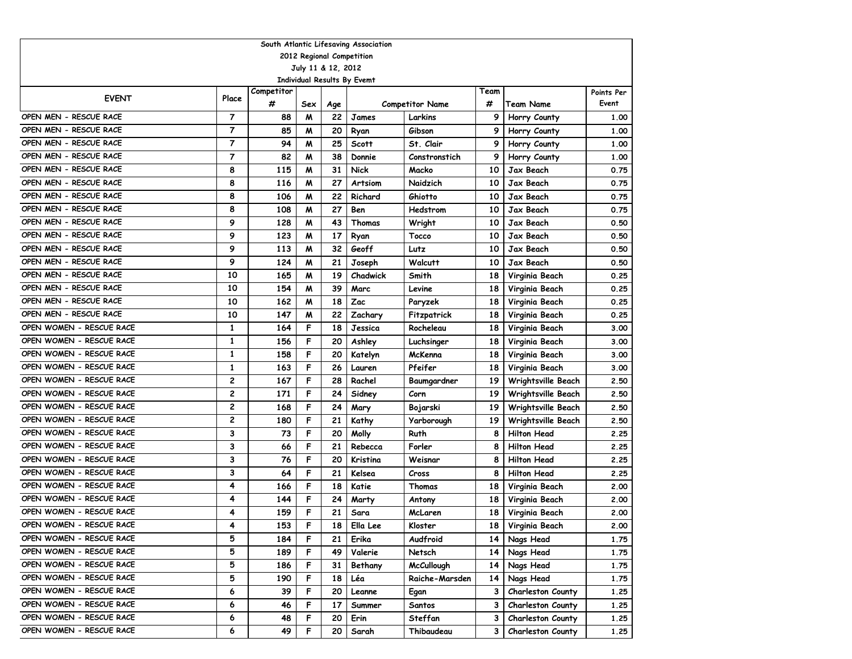| South Atlantic Lifesaving Association             |                |            |     |     |              |                        |      |                          |                     |  |  |  |  |
|---------------------------------------------------|----------------|------------|-----|-----|--------------|------------------------|------|--------------------------|---------------------|--|--|--|--|
| 2012 Regional Competition                         |                |            |     |     |              |                        |      |                          |                     |  |  |  |  |
| July 11 & 12, 2012<br>Individual Results By Evemt |                |            |     |     |              |                        |      |                          |                     |  |  |  |  |
|                                                   |                | Competitor |     |     |              |                        | Team |                          |                     |  |  |  |  |
| <b>EVENT</b>                                      | Place          | #          | Sex | Age |              | <b>Competitor Name</b> | #    | <b>Team Name</b>         | Points Per<br>Event |  |  |  |  |
| OPEN MEN - RESCUE RACE                            | $\overline{7}$ | 88         | M   | 22  | James        | Larkins                | 9    | Horry County             | 1.00                |  |  |  |  |
| OPEN MEN - RESCUE RACE                            | $\overline{7}$ | 85         | M   | 20  | Ryan         | Gibson                 | 9    | Horry County             | 1.00                |  |  |  |  |
| OPEN MEN - RESCUE RACE                            | $\overline{7}$ | 94         | M   | 25  | <b>Scott</b> | St. Clair              | 9    | Horry County             | 1.00                |  |  |  |  |
| OPEN MEN - RESCUE RACE                            | $\overline{7}$ | 82         | M   | 38  | Donnie       | Constronstich          | 9    | Horry County             | 1.00                |  |  |  |  |
| OPEN MEN - RESCUE RACE                            | 8              | 115        | M   | 31  | Nick         | Macko                  | 10   | Jax Beach                | 0.75                |  |  |  |  |
| OPEN MEN - RESCUE RACE                            | 8              | 116        | M   | 27  | Artsiom      | Naidzich               | 10   | Jax Beach                | 0.75                |  |  |  |  |
| OPEN MEN - RESCUE RACE                            | 8              | 106        | M   | 22  | Richard      | Ghiotto                | 10   | Jax Beach                | 0.75                |  |  |  |  |
| OPEN MEN - RESCUE RACE                            | 8              | 108        | W   | 27  | Ben          | Hedstrom               | 10   | Jax Beach                | 0.75                |  |  |  |  |
| OPEN MEN - RESCUE RACE                            | 9              | 128        | M   | 43  | Thomas       | Wright                 | 10   | Jax Beach                | 0.50                |  |  |  |  |
| OPEN MEN - RESCUE RACE                            | 9              | 123        | M   | 17  | Ryan         | Tocco                  | 10   | Jax Beach                | 0.50                |  |  |  |  |
| OPEN MEN - RESCUE RACE                            | 9              | 113        | M   | 32  | Geoff        | Lutz                   | 10   | Jax Beach                | 0.50                |  |  |  |  |
| OPEN MEN - RESCUE RACE                            | 9              | 124        | M   | 21  | Joseph       | Walcutt                | 10   | Jax Beach                | 0.50                |  |  |  |  |
| OPEN MEN - RESCUE RACE                            | 10             | 165        | M   | 19  | Chadwick     | Smith                  | 18   | Virginia Beach           | 0.25                |  |  |  |  |
| OPEN MEN - RESCUE RACE                            | 10             | 154        | M   | 39  | Marc         | Levine                 | 18   | Virginia Beach           | 0.25                |  |  |  |  |
| OPEN MEN - RESCUE RACE                            | 10             | 162        | M   | 18  | Zac          | Paryzek                | 18   | Virginia Beach           | 0.25                |  |  |  |  |
| OPEN MEN - RESCUE RACE                            | 10             | 147        | M   | 22  | Zachary      | Fitzpatrick            | 18   | Virginia Beach           | 0.25                |  |  |  |  |
| OPEN WOMEN - RESCUE RACE                          | 1              | 164        | F   | 18  | Jessica      | Rocheleau              | 18   | Virginia Beach           | 3.00                |  |  |  |  |
| OPEN WOMEN - RESCUE RACE                          | 1              | 156        | F   | 20  | Ashley       | Luchsinger             | 18   | Virginia Beach           | 3.00                |  |  |  |  |
| OPEN WOMEN - RESCUE RACE                          | 1              | 158        | F   | 20  | Katelyn      | McKenna                | 18   | Virginia Beach           | 3.00                |  |  |  |  |
| OPEN WOMEN - RESCUE RACE                          | 1              | 163        | F   | 26  | Lauren       | Pfeifer                | 18   | Virginia Beach           | 3.00                |  |  |  |  |
| OPEN WOMEN - RESCUE RACE                          | 2              | 167        | F   | 28  | Rachel       | Baumgardner            | 19   | Wrightsville Beach       | 2.50                |  |  |  |  |
| OPEN WOMEN - RESCUE RACE                          | $\mathbf{2}$   | 171        | F   | 24  | Sidney       | Corn                   | 19   | Wrightsville Beach       | 2.50                |  |  |  |  |
| OPEN WOMEN - RESCUE RACE                          | $\overline{c}$ | 168        | F   | 24  | Mary         | Bojarski               | 19   | Wrightsville Beach       | 2.50                |  |  |  |  |
| OPEN WOMEN - RESCUE RACE                          | $\overline{c}$ | 180        | F   | 21  | Kathy        | Yarborough             | 19   | Wrightsville Beach       | 2.50                |  |  |  |  |
| OPEN WOMEN - RESCUE RACE                          | 3              | 73         | F   | 20  | Molly        | Ruth                   | 8    | <b>Hilton Head</b>       | 2.25                |  |  |  |  |
| OPEN WOMEN - RESCUE RACE                          | 3              | 66         | F   | 21  | Rebecca      | Forler                 | 8    | <b>Hilton Head</b>       | 2.25                |  |  |  |  |
| OPEN WOMEN - RESCUE RACE                          | 3              | 76         | F   | 20  | Kristina     | Weisnar                | 8    | <b>Hilton Head</b>       | 2.25                |  |  |  |  |
| OPEN WOMEN - RESCUE RACE                          | 3              | 64         | F   | 21  | Kelsea       | Cross                  | 8    | <b>Hilton Head</b>       | 2.25                |  |  |  |  |
| OPEN WOMEN - RESCUE RACE                          | 4              | 166        | F   | 18  | Katie        | Thomas                 | 18   | Virginia Beach           | 2.00                |  |  |  |  |
| OPEN WOMEN - RESCUE RACE                          | 4              | 144        | F   | 24  | Marty        | Antony                 | 18   | Virginia Beach           | 2.00                |  |  |  |  |
| OPEN WOMEN - RESCUE RACE                          | 4              | 159        | F   | 21  | Sara         | McLaren                | 18   | Virginia Beach           | 2.00                |  |  |  |  |
| OPEN WOMEN - RESCUE RACE                          | 4              | 153        | F   | 18  | Ella Lee     | Kloster                | 18   | Virginia Beach           | 2.00                |  |  |  |  |
| OPEN WOMEN - RESCUE RACE                          | 5              | 184        | F   | 21  | Erika        | Audfroid               | 14   | Nags Head                | 1.75                |  |  |  |  |
| OPEN WOMEN - RESCUE RACE                          | 5              | 189        | F   | 49  | Valerie      | Netsch                 | 14   | Nags Head                | 1.75                |  |  |  |  |
| OPEN WOMEN - RESCUE RACE                          | 5              | 186        | F   | 31  | Bethany      | <b>McCullough</b>      | 14   | Nags Head                | 1.75                |  |  |  |  |
| OPEN WOMEN - RESCUE RACE                          | 5              | 190        | F   | 18  | Léa          | Raiche-Marsden         | 14   | Nags Head                | 1.75                |  |  |  |  |
| OPEN WOMEN - RESCUE RACE                          | 6              | 39         | F   | 20  | Leanne       | Egan                   | 3    | Charleston County        | 1.25                |  |  |  |  |
| OPEN WOMEN - RESCUE RACE                          | 6              | 46         | F   | 17  | Summer       | Santos                 | 3    | Charleston County        | 1.25                |  |  |  |  |
| OPEN WOMEN - RESCUE RACE                          | 6              | 48         | F   | 20  | Erin         | Steffan                | 3    | Charleston County        | 1.25                |  |  |  |  |
| OPEN WOMEN - RESCUE RACE                          | 6              | 49         | F   | 20  | Sarah        | Thibaudeau             | 3    | <b>Charleston County</b> | 1.25                |  |  |  |  |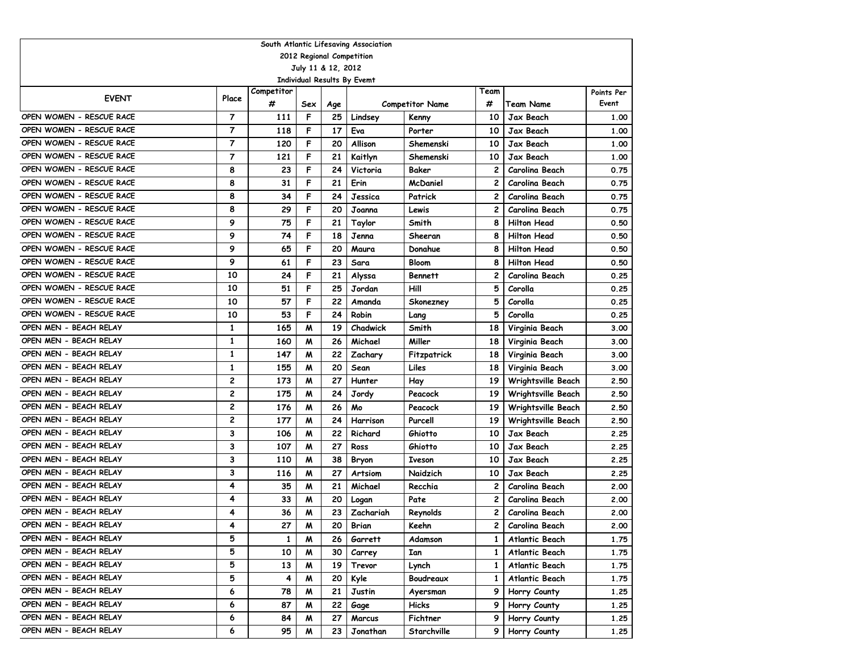| South Atlantic Lifesaving Association |                |                 |                    |           |                             |                        |              |                        |                     |  |  |  |  |
|---------------------------------------|----------------|-----------------|--------------------|-----------|-----------------------------|------------------------|--------------|------------------------|---------------------|--|--|--|--|
| 2012 Regional Competition             |                |                 |                    |           |                             |                        |              |                        |                     |  |  |  |  |
|                                       |                |                 | July 11 & 12, 2012 |           |                             |                        |              |                        |                     |  |  |  |  |
|                                       |                |                 |                    |           | Individual Results By Evemt |                        | Team         |                        |                     |  |  |  |  |
| <b>EVENT</b>                          | Place          | Competitor<br># | Sex                |           |                             |                        | #            | Team Name              | Points Per<br>Event |  |  |  |  |
| OPEN WOMEN - RESCUE RACE              | $\overline{7}$ | 111             | F                  | Age<br>25 |                             | <b>Competitor Name</b> | 10           | Jax Beach              | 1.00                |  |  |  |  |
| OPEN WOMEN - RESCUE RACE              | $\overline{7}$ | 118             | F                  | 17        | Lindsey<br>Eva              | Kenny<br>Porter        | 10           | Jax Beach              | 1.00                |  |  |  |  |
| OPEN WOMEN - RESCUE RACE              | 7              | 120             | F                  | 20        | Allison                     |                        | 10           |                        |                     |  |  |  |  |
| OPEN WOMEN - RESCUE RACE              | $\overline{7}$ | 121             | F                  | 21        | Kaitlyn                     | Shemenski<br>Shemenski | 10           | Jax Beach<br>Jax Beach | 1.00<br>1.00        |  |  |  |  |
| OPEN WOMEN - RESCUE RACE              | 8              | 23              | F                  | 24        | Victoria                    | Baker                  | 2            | Carolina Beach         | 0.75                |  |  |  |  |
| OPEN WOMEN - RESCUE RACE              | 8              | 31              | F                  | 21        | Erin                        | <b>McDaniel</b>        | 2            | Carolina Beach         | 0.75                |  |  |  |  |
| OPEN WOMEN - RESCUE RACE              | 8              | 34              | F                  | 24        | Jessica                     | Patrick                | 2            | Carolina Beach         | 0.75                |  |  |  |  |
| OPEN WOMEN - RESCUE RACE              | 8              | 29              | F                  | 20        | Joanna                      | Lewis                  | 2            | Carolina Beach         | 0.75                |  |  |  |  |
| OPEN WOMEN - RESCUE RACE              | 9              | 75              | F                  | 21        | Taylor                      | Smith                  | 8            | <b>Hilton Head</b>     | 0.50                |  |  |  |  |
| OPEN WOMEN - RESCUE RACE              | 9              | 74              | F                  | 18        | Jenna                       | Sheeran                | 8            | <b>Hilton Head</b>     | 0.50                |  |  |  |  |
| OPEN WOMEN - RESCUE RACE              | 9              | 65              | F                  | 20        | Maura                       | Donahue                | 8            | <b>Hilton Head</b>     | 0.50                |  |  |  |  |
| OPEN WOMEN - RESCUE RACE              | 9              | 61              | F                  | 23        | Sara                        | <b>Bloom</b>           | 8            | <b>Hilton Head</b>     | 0.50                |  |  |  |  |
| OPEN WOMEN - RESCUE RACE              | 10             | 24              | F                  | 21        | Alyssa                      | <b>Bennett</b>         | 2            | Carolina Beach         | 0.25                |  |  |  |  |
| OPEN WOMEN - RESCUE RACE              | 10             | 51              | F                  | 25        | Jordan                      | Hill                   | 5            | Corolla                | 0.25                |  |  |  |  |
| OPEN WOMEN - RESCUE RACE              | 10             | 57              | F                  | 22        | Amanda                      | Skonezney              | 5            | Corolla                | 0.25                |  |  |  |  |
| OPEN WOMEN - RESCUE RACE              | 10             | 53              | F                  | 24        | Robin                       | Lang                   | 5            | Corolla                | 0.25                |  |  |  |  |
| OPEN MEN - BEACH RELAY                | 1              | 165             | M                  | 19        | Chadwick                    | Smith                  | 18           | Virginia Beach         | 3.00                |  |  |  |  |
| OPEN MEN - BEACH RELAY                | 1              | 160             | M                  | 26        | Michael                     | Miller                 | 18           | Virginia Beach         | 3.00                |  |  |  |  |
| OPEN MEN - BEACH RELAY                | 1              | 147             | м                  | 22        | Zachary                     | Fitzpatrick            | 18           | Virginia Beach         | 3.00                |  |  |  |  |
| OPEN MEN - BEACH RELAY                | 1              | 155             | M                  | 20        | Sean                        | Liles                  | 18           | Virginia Beach         | 3.00                |  |  |  |  |
| OPEN MEN - BEACH RELAY                | $\overline{c}$ | 173             | M                  | 27        | Hunter                      | Hay                    | 19           | Wrightsville Beach     | 2.50                |  |  |  |  |
| OPEN MEN - BEACH RELAY                | $\overline{c}$ | 175             | M                  | 24        | Jordy                       | Peacock                | 19           | Wrightsville Beach     | 2.50                |  |  |  |  |
| OPEN MEN - BEACH RELAY                | $\overline{c}$ | 176             | M                  | 26        | Mo                          | Peacock                | 19           | Wrightsville Beach     | 2.50                |  |  |  |  |
| OPEN MEN - BEACH RELAY                | $\overline{c}$ | 177             | M                  | 24        | Harrison                    | Purcell                | 19           | Wrightsville Beach     | 2.50                |  |  |  |  |
| OPEN MEN - BEACH RELAY                | 3              | 106             | M                  | 22        | Richard                     | Ghiotto                | 10           | Jax Beach              | 2.25                |  |  |  |  |
| OPEN MEN - BEACH RELAY                | 3              | 107             | M                  | 27        | Ross                        | Ghiotto                | 10           | Jax Beach              | 2.25                |  |  |  |  |
| OPEN MEN - BEACH RELAY                | 3              | 110             | M                  | 38        | Bryon                       | Iveson                 | 10           | Jax Beach              | 2.25                |  |  |  |  |
| OPEN MEN - BEACH RELAY                | 3              | 116             | M                  | 27        | Artsiom                     | Naidzich               | 10           | Jax Beach              | 2.25                |  |  |  |  |
| OPEN MEN - BEACH RELAY                | 4              | 35              | M                  | 21        | Michael                     | Recchia                | 2            | Carolina Beach         | 2.00                |  |  |  |  |
| OPEN MEN - BEACH RELAY                | 4              | 33              | M                  | 20        | Logan                       | Pate                   | 2            | Carolina Beach         | 2.00                |  |  |  |  |
| OPEN MEN - BEACH RELAY                | 4              | 36              | W                  | 23        | Zachariah                   | Reynolds               | 2            | Carolina Beach         | 2.00                |  |  |  |  |
| OPEN MEN - BEACH RELAY                | 4              | 27              | M                  | 20        | Brian                       | Keehn                  | 2            | Carolina Beach         | 2.00                |  |  |  |  |
| OPEN MEN - BEACH RELAY                | 5              | 1               | M                  | 26        | Garrett                     | Adamson                | 1            | Atlantic Beach         | 1.75                |  |  |  |  |
| OPEN MEN - BEACH RELAY                | 5              | 10              | M                  | 30        | Carrey                      | Ian                    | $\mathbf{1}$ | Atlantic Beach         | 1.75                |  |  |  |  |
| OPEN MEN - BEACH RELAY                | 5              | 13              | W                  | 19        | Trevor                      | Lynch                  | 1            | Atlantic Beach         | 1.75                |  |  |  |  |
| OPEN MEN - BEACH RELAY                | 5              | 4               | W                  | 20        | Kyle                        | Boudreaux              | 1            | Atlantic Beach         | 1.75                |  |  |  |  |
| OPEN MEN - BEACH RELAY                | 6              | 78              | M                  | 21        | Justin                      | Ayersman               | 9            | Horry County           | 1.25                |  |  |  |  |
| OPEN MEN - BEACH RELAY                | 6              | 87              | M                  | 22        | Gage                        | Hicks                  | 9            | Horry County           | 1.25                |  |  |  |  |
| OPEN MEN - BEACH RELAY                | 6              | 84              | M                  | 27        | Marcus                      | Fichtner               | 9            | Horry County           | 1.25                |  |  |  |  |
| OPEN MEN - BEACH RELAY                | 6              | 95              | M                  | 23        | Jonathan                    | Starchville            | 9            | Horry County           | 1.25                |  |  |  |  |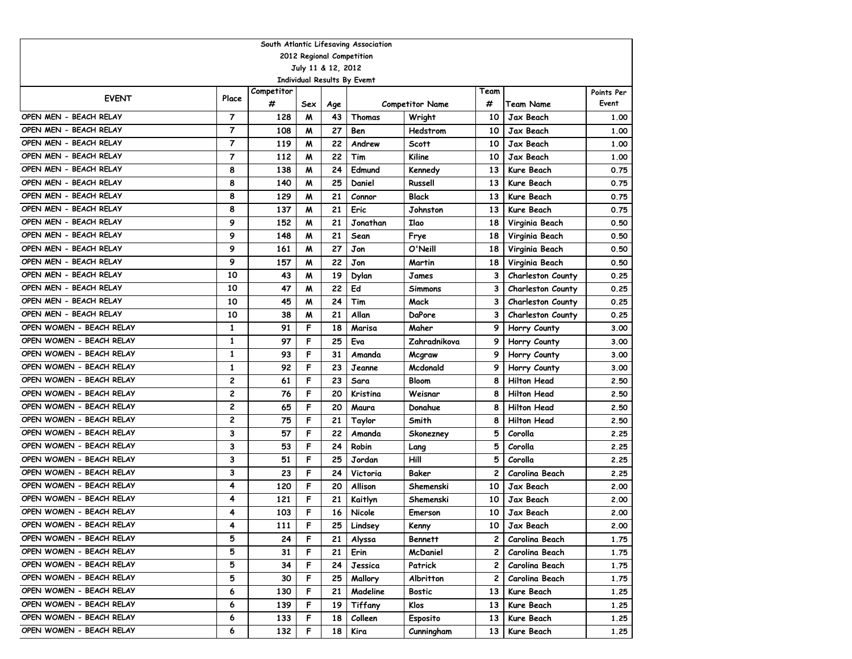| South Atlantic Lifesaving Association                                                           |                |            |     |     |                                    |                        |              |                          |            |  |  |  |  |
|-------------------------------------------------------------------------------------------------|----------------|------------|-----|-----|------------------------------------|------------------------|--------------|--------------------------|------------|--|--|--|--|
| 2012 Regional Competition                                                                       |                |            |     |     |                                    |                        |              |                          |            |  |  |  |  |
| July 11 & 12, 2012                                                                              |                |            |     |     |                                    |                        |              |                          |            |  |  |  |  |
|                                                                                                 |                |            |     |     | <b>Individual Results By Evemt</b> |                        |              |                          |            |  |  |  |  |
| <b>EVENT</b>                                                                                    | Place          | Competitor |     |     |                                    |                        | Team         |                          | Points Per |  |  |  |  |
|                                                                                                 |                | #          | Sex | Age |                                    | <b>Competitor Name</b> | #            | <b>Team Name</b>         | Event      |  |  |  |  |
| OPEN MEN - BEACH RELAY                                                                          | $\overline{7}$ | 128        | M   | 43  | Thomas                             | Wright                 | 10           | Jax Beach                | 1.00       |  |  |  |  |
| OPEN MEN - BEACH RELAY                                                                          | 7              | 108        | M   | 27  | Ben                                | Hedstrom               | 10           | Jax Beach                | 1.00       |  |  |  |  |
| OPEN MEN - BEACH RELAY                                                                          | $\overline{7}$ | 119        | M   | 22  | Andrew                             | <b>Scott</b>           | 10           | Jax Beach                | 1.00       |  |  |  |  |
| OPEN MEN - BEACH RELAY                                                                          | $\overline{7}$ | 112        | M   | 22  | Tim                                | Kiline                 | 10           | Jax Beach                | 1.00       |  |  |  |  |
| OPEN MEN - BEACH RELAY                                                                          | 8              | 138        | M   | 24  | Edmund                             | Kennedy                | 13           | Kure Beach               | 0.75       |  |  |  |  |
| OPEN MEN - BEACH RELAY                                                                          | 8              | 140        | M   | 25  | Daniel                             | Russell                | 13           | Kure Beach               | 0.75       |  |  |  |  |
| OPEN MEN - BEACH RELAY                                                                          | 8              | 129        | M   | 21  | Connor                             | <b>Black</b>           | 13           | Kure Beach               | 0.75       |  |  |  |  |
| OPEN MEN - BEACH RELAY                                                                          | 8              | 137        | M   | 21  | Eric                               | Johnston               | 13           | Kure Beach               | 0.75       |  |  |  |  |
| OPEN MEN - BEACH RELAY                                                                          | 9              | 152        | M   | 21  | Jonathan                           | <b>Ilao</b>            | 18           | Virginia Beach           | 0.50       |  |  |  |  |
| OPEN MEN - BEACH RELAY                                                                          | 9              | 148        | W   | 21  | Sean                               | Frye                   | 18           | Virginia Beach           | 0.50       |  |  |  |  |
| OPEN MEN - BEACH RELAY<br>9<br>161<br>27<br>Jon<br>O'Neill<br>W<br>18<br>Virginia Beach<br>0.50 |                |            |     |     |                                    |                        |              |                          |            |  |  |  |  |
| OPEN MEN - BEACH RELAY                                                                          | 9              | 157        | M   | 22  | Jon                                | Martin                 | 18           | Virginia Beach           | 0.50       |  |  |  |  |
| OPEN MEN - BEACH RELAY                                                                          | 10             | 43         | M   | 19  | Dylan                              | James                  | 3            | <b>Charleston County</b> | 0.25       |  |  |  |  |
| OPEN MEN - BEACH RELAY                                                                          | 10             | 47         | M   | 22  | Ed                                 | <b>Simmons</b>         | 3            | Charleston County        | 0.25       |  |  |  |  |
| OPEN MEN - BEACH RELAY                                                                          | 10             | 45         | м   | 24  | Tim                                | Mack                   | 3            | <b>Charleston County</b> | 0.25       |  |  |  |  |
| OPEN MEN - BEACH RELAY                                                                          | 10             | 38         | M   | 21  | Allan                              | DaPore                 | 3            | <b>Charleston County</b> | 0.25       |  |  |  |  |
| OPEN WOMEN - BEACH RELAY                                                                        | 1              | 91         | F   | 18  | Marisa                             | Maher                  | 9            | Horry County             | 3.00       |  |  |  |  |
| OPEN WOMEN - BEACH RELAY                                                                        | 1              | 97         | F   | 25  | Eva                                | Zahradnikova           | 9            | Horry County             | 3.00       |  |  |  |  |
| OPEN WOMEN - BEACH RELAY                                                                        | 1              | 93         | F   | 31  | Amanda                             | Mcgraw                 | 9            | Horry County             | 3.00       |  |  |  |  |
| OPEN WOMEN - BEACH RELAY                                                                        | 1              | 92         | F   | 23  | Jeanne                             | Mcdonald               | 9            | Horry County             | 3.00       |  |  |  |  |
| OPEN WOMEN - BEACH RELAY                                                                        | 2              | 61         | F   | 23  | Sara                               | <b>Bloom</b>           | 8            | <b>Hilton Head</b>       | 2.50       |  |  |  |  |
| OPEN WOMEN - BEACH RELAY                                                                        | 2              | 76         | F   | 20  | Kristina                           | Weisnar                | 8            | <b>Hilton Head</b>       | 2.50       |  |  |  |  |
| OPEN WOMEN - BEACH RELAY                                                                        | 2              | 65         | F   | 20  | Maura                              | Donahue                | 8            | <b>Hilton Head</b>       | 2.50       |  |  |  |  |
| OPEN WOMEN - BEACH RELAY                                                                        | $\overline{c}$ | 75         | F   | 21  | Taylor                             | Smith                  | 8            | <b>Hilton Head</b>       | 2.50       |  |  |  |  |
| OPEN WOMEN - BEACH RELAY                                                                        | 3              | 57         | F   | 22  | Amanda                             | Skonezney              | 5            | Corolla                  | 2.25       |  |  |  |  |
| OPEN WOMEN - BEACH RELAY                                                                        | 3              | 53         | F   | 24  | Robin                              | Lang                   | 5            | Corolla                  | 2.25       |  |  |  |  |
| OPEN WOMEN - BEACH RELAY                                                                        | 3              | 51         | F   | 25  | Jordan                             | Hill                   | 5            | Corolla                  | 2.25       |  |  |  |  |
| OPEN WOMEN - BEACH RELAY                                                                        | 3              | 23         | F   | 24  | Victoria                           | Baker                  | $\mathbf{2}$ | Carolina Beach           | 2.25       |  |  |  |  |
| OPEN WOMEN - BEACH RELAY                                                                        | 4              | 120        | F   | 20  | Allison                            | Shemenski              | 10           | Jax Beach                | 2.00       |  |  |  |  |
| OPEN WOMEN - BEACH RELAY                                                                        | 4              | 121        | F   | 21  | Kaitlyn                            | Shemenski              | 10           | Jax Beach                | 2.00       |  |  |  |  |
| OPEN WOMEN - BEACH RELAY                                                                        | 4              | 103        | F   | 16  | Nicole                             | Emerson                | 10           | Jax Beach                | 2.00       |  |  |  |  |
| OPEN WOMEN - BEACH RELAY                                                                        | 4              | 111        | F   | 25  | Lindsey                            | Kenny                  | 10           | Jax Beach                | 2.00       |  |  |  |  |
| OPEN WOMEN - BEACH RELAY                                                                        | 5              | 24         | F   | 21  | Alyssa                             | Bennett                | 2            | Carolina Beach           | 1.75       |  |  |  |  |
| OPEN WOMEN - BEACH RELAY                                                                        | 5              | 31         | F   | 21  | Erin                               | McDaniel               | 2            | Carolina Beach           | 1.75       |  |  |  |  |
| OPEN WOMEN - BEACH RELAY                                                                        | 5              | 34         | F   | 24  | Jessica                            | Patrick                | $\mathbf{2}$ | Carolina Beach           | 1.75       |  |  |  |  |
| OPEN WOMEN - BEACH RELAY                                                                        | 5              | 30         | F   | 25  | Mallory                            | Albritton              | 2            | Carolina Beach           | 1.75       |  |  |  |  |
| OPEN WOMEN - BEACH RELAY                                                                        | 6              | 130        | F   | 21  | Madeline                           | <b>Bostic</b>          | 13           | Kure Beach               | 1.25       |  |  |  |  |
| OPEN WOMEN - BEACH RELAY                                                                        | 6              | 139        | F   | 19  | Tiffany                            | Klos                   | 13           | Kure Beach               | 1.25       |  |  |  |  |
| OPEN WOMEN - BEACH RELAY                                                                        | 6              | 133        | F   | 18  | Colleen                            | <b>Esposito</b>        | 13           | Kure Beach               | 1.25       |  |  |  |  |
| OPEN WOMEN - BEACH RELAY                                                                        | 6              | 132        | F   | 18  | Kira                               | Cunningham             | 13           | Kure Beach               | 1.25       |  |  |  |  |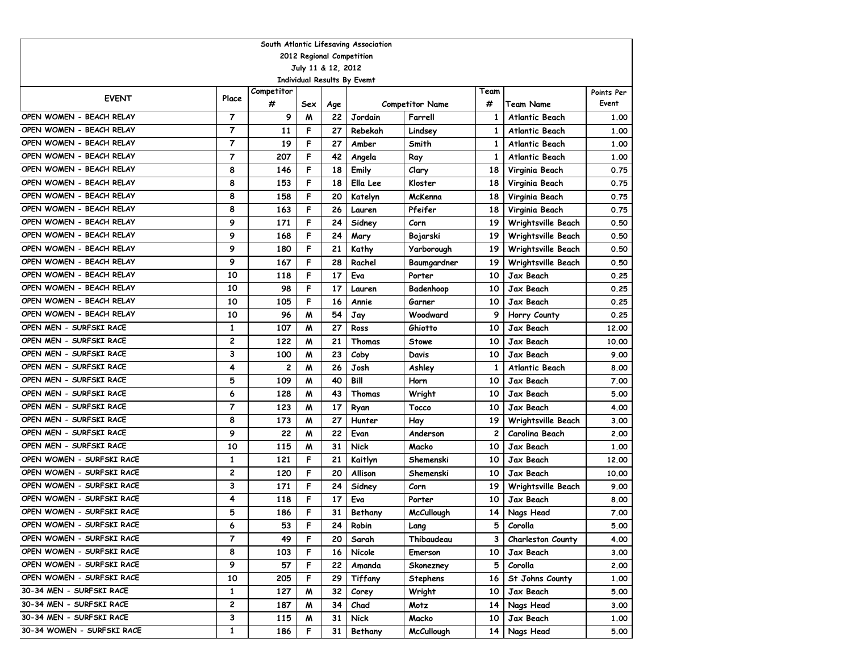|                            |                |            |     |                    | South Atlantic Lifesaving Association |                   |                |                          |            |  |  |  |  |
|----------------------------|----------------|------------|-----|--------------------|---------------------------------------|-------------------|----------------|--------------------------|------------|--|--|--|--|
| 2012 Regional Competition  |                |            |     |                    |                                       |                   |                |                          |            |  |  |  |  |
|                            |                |            |     | July 11 & 12, 2012 |                                       |                   |                |                          |            |  |  |  |  |
|                            |                |            |     |                    | Individual Results By Evemt           |                   |                |                          |            |  |  |  |  |
| <b>EVENT</b>               | Place          | Competitor |     |                    |                                       |                   | Team           |                          | Points Per |  |  |  |  |
|                            |                | #          | Sex | Age                | <b>Competitor Name</b>                |                   | #              | <b>Team Name</b>         | Event      |  |  |  |  |
| OPEN WOMEN - BEACH RELAY   | $\overline{7}$ | 9          | M   | 22                 | Jordain                               | Farrell           | $\mathbf{1}$   | <b>Atlantic Beach</b>    | 1.00       |  |  |  |  |
| OPEN WOMEN - BEACH RELAY   | $\overline{7}$ | 11         | F   | 27                 | Rebekah                               | Lindsey           | 1              | <b>Atlantic Beach</b>    | 1.00       |  |  |  |  |
| OPEN WOMEN - BEACH RELAY   | 7              | 19         | F   | 27                 | Amber                                 | Smith             | 1              | Atlantic Beach           | 1.00       |  |  |  |  |
| OPEN WOMEN - BEACH RELAY   | $\overline{7}$ | 207        | F   | 42                 | Angela                                | Ray               | $\mathbf{1}$   | <b>Atlantic Beach</b>    | 1.00       |  |  |  |  |
| OPEN WOMEN - BEACH RELAY   | 8              | 146        | F   | 18                 | Emily                                 | Clary             | 18             | Virginia Beach           | 0.75       |  |  |  |  |
| OPEN WOMEN - BEACH RELAY   | 8              | 153        | F   | 18                 | Ella Lee                              | Kloster           | 18             | Virginia Beach           | 0.75       |  |  |  |  |
| OPEN WOMEN - BEACH RELAY   | 8              | 158        | F   | 20                 | Katelyn                               | McKenna           | 18             | Virginia Beach           | 0.75       |  |  |  |  |
| OPEN WOMEN - BEACH RELAY   | 8              | 163        | F   | 26                 | Lauren                                | Pfeifer           | 18             | Virginia Beach           | 0.75       |  |  |  |  |
| OPEN WOMEN - BEACH RELAY   | 9              | 171        | F   | 24                 | Sidney                                | Corn              | 19             | Wrightsville Beach       | 0.50       |  |  |  |  |
| OPEN WOMEN - BEACH RELAY   | 9              | 168        | F   | 24                 | Mary                                  | Bojarski          | 19             | Wrightsville Beach       | 0.50       |  |  |  |  |
| OPEN WOMEN - BEACH RELAY   | 9              | 180        | F   | 21                 | Kathy                                 | Yarborough        | 19             | Wrightsville Beach       | 0.50       |  |  |  |  |
| OPEN WOMEN - BEACH RELAY   | 9              | 167        | F   | 28                 | Rachel                                | Baumgardner       | 19             | Wrightsville Beach       | 0.50       |  |  |  |  |
| OPEN WOMEN - BEACH RELAY   | 10             | 118        | F   | 17                 | Eva                                   | Porter            | 10             | Jax Beach                | 0.25       |  |  |  |  |
| OPEN WOMEN - BEACH RELAY   | 10             | 98         | F   | 17                 | Lauren                                | Badenhoop         | 10             | Jax Beach                | 0.25       |  |  |  |  |
| OPEN WOMEN - BEACH RELAY   | 10             | 105        | F   | 16                 | Annie                                 | Garner            | 10             | Jax Beach                | 0.25       |  |  |  |  |
| OPEN WOMEN - BEACH RELAY   | 10             | 96         | M   | 54                 | Jay                                   | Woodward          | 9              | Horry County             | 0.25       |  |  |  |  |
| OPEN MEN - SURFSKI RACE    | 1              | 107        | м   | 27                 | Ross                                  | Ghiotto           | 10             | Jax Beach                | 12,00      |  |  |  |  |
| OPEN MEN - SURFSKI RACE    | 2              | 122        | м   | 21                 | Thomas                                | <b>Stowe</b>      | 10             | Jax Beach                | 10.00      |  |  |  |  |
| OPEN MEN - SURFSKI RACE    | 3              | 100        | м   | 23                 | Coby                                  | Davis             | 10             | Jax Beach                | 9.00       |  |  |  |  |
| OPEN MEN - SURFSKI RACE    | 4              | 2          | M   | 26                 | Josh                                  | Ashley            | 1              | Atlantic Beach           | 8.00       |  |  |  |  |
| OPEN MEN - SURFSKI RACE    | 5              | 109        | M   | 40                 | Bill                                  | Horn              | 10             | Jax Beach                | 7.00       |  |  |  |  |
| OPEN MEN - SURFSKI RACE    | 6              | 128        | M   | 43                 | Thomas                                | Wright            | 10             | Jax Beach                | 5.00       |  |  |  |  |
| OPEN MEN - SURFSKI RACE    | 7              | 123        | M   | 17                 | Ryan                                  | Tocco             | 10             | Jax Beach                | 4.00       |  |  |  |  |
| OPEN MEN - SURFSKI RACE    | 8              | 173        | M   | 27                 | Hunter                                | Hay               | 19             | Wrightsville Beach       | 3.00       |  |  |  |  |
| OPEN MEN - SURFSKI RACE    | 9              | 22         | м   | 22                 | Evan                                  | Anderson          | $\overline{c}$ | Carolina Beach           | 2.00       |  |  |  |  |
| OPEN MEN - SURFSKI RACE    | 10             | 115        | M   | 31                 | <b>Nick</b>                           | Macko             | 10             | Jax Beach                | 1.00       |  |  |  |  |
| OPEN WOMEN - SURFSKI RACE  | $\mathbf{1}$   | 121        | F   | 21                 | Kaitlyn                               | Shemenski         | 10             | Jax Beach                | 12.00      |  |  |  |  |
| OPEN WOMEN - SURFSKI RACE  | 2              | 120        | F   | 20                 | Allison                               | Shemenski         | 10             | Jax Beach                | 10.00      |  |  |  |  |
| OPEN WOMEN - SURFSKI RACE  | 3              | 171        | F   | 24                 | Sidney                                | Corn              | 19             | Wrightsville Beach       | 9.00       |  |  |  |  |
| OPEN WOMEN - SURFSKI RACE  | 4              | 118        | F   | 17                 | Eva                                   | Porter            | 10             | Jax Beach                | 8.00       |  |  |  |  |
| OPEN WOMEN - SURFSKI RACE  | 5              | 186        | F   | 31                 | Bethany                               | <b>McCullough</b> | 14             | Nags Head                | 7.00       |  |  |  |  |
| OPEN WOMEN - SURFSKI RACE  | 6              | 53         | F   | 24                 | Robin                                 | Lang              | 5              | Corolla                  | 5.00       |  |  |  |  |
| OPEN WOMEN - SURFSKI RACE  | 7              | 49         | F   | 20                 | Sarah                                 | Thibaudeau        | З              | <b>Charleston County</b> | 4.00       |  |  |  |  |
| OPEN WOMEN - SURFSKI RACE  | 8              | 103        | F   | 16                 | Nicole                                | Emerson           | 10             | Jax Beach                | 3.00       |  |  |  |  |
| OPEN WOMEN - SURFSKI RACE  | 9              | 57         | F   | 22                 | Amanda                                | Skonezney         | 5              | Corolla                  | 2.00       |  |  |  |  |
| OPEN WOMEN - SURFSKI RACE  | 10             | 205        | F   | 29                 | Tiffany                               | <b>Stephens</b>   | 16             | St Johns County          | 1.00       |  |  |  |  |
| 30-34 MEN - SURFSKI RACE   | 1              | 127        | M   | 32                 | Corey                                 | Wright            | 10             | Jax Beach                | 5.00       |  |  |  |  |
| 30-34 MEN - SURFSKI RACE   | 2              | 187        | M   | 34                 | Chad                                  | Motz              | 14             | Nags Head                | 3.00       |  |  |  |  |
| 30-34 MEN - SURFSKI RACE   | 3              | 115        | M   | 31                 | Nick                                  | Macko             | 10             | Jax Beach                | 1.00       |  |  |  |  |
| 30-34 WOMEN - SURFSKI RACE | 1              | 186        | F   | 31                 | Bethany                               | <b>McCullough</b> | 14             | Nags Head                | 5.00       |  |  |  |  |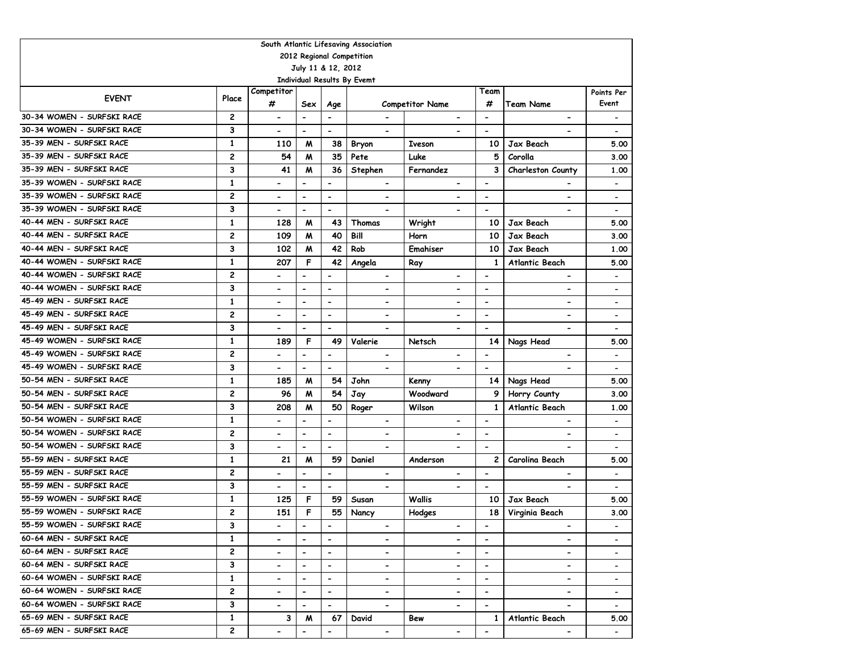| South Atlantic Lifesaving Association           |                |                              |                          |                          |                             |                              |                          |                              |                          |  |  |  |  |
|-------------------------------------------------|----------------|------------------------------|--------------------------|--------------------------|-----------------------------|------------------------------|--------------------------|------------------------------|--------------------------|--|--|--|--|
| 2012 Regional Competition<br>July 11 & 12, 2012 |                |                              |                          |                          |                             |                              |                          |                              |                          |  |  |  |  |
|                                                 |                |                              |                          |                          |                             |                              |                          |                              |                          |  |  |  |  |
|                                                 |                | Competitor                   |                          |                          | Individual Results By Evemt |                              | Team                     |                              |                          |  |  |  |  |
| <b>EVENT</b>                                    | Place          | #                            | Sex                      | Age                      |                             | <b>Competitor Name</b>       | #                        | <b>Team Name</b>             | Points Per<br>Event      |  |  |  |  |
| 30-34 WOMEN - SURFSKI RACE                      | 2              | $\overline{\phantom{0}}$     | $\blacksquare$           | $\blacksquare$           | $\blacksquare$              | $\qquad \qquad \blacksquare$ | $\blacksquare$           | $\overline{\phantom{0}}$     |                          |  |  |  |  |
| 30-34 WOMEN - SURFSKI RACE                      | 3              | $\overline{\phantom{0}}$     | $\blacksquare$           | $\blacksquare$           | $\blacksquare$              |                              | $\blacksquare$           |                              |                          |  |  |  |  |
| 35-39 MEN - SURFSKI RACE                        | $\mathbf{1}$   | 110                          | M                        | 38                       | Bryon                       | <b>Iveson</b>                | 10                       | Jax Beach                    | 5.00                     |  |  |  |  |
| 35-39 MEN - SURFSKI RACE                        | 2              | 54                           | M                        | 35                       | Pete                        | Luke                         | 5                        | Corolla                      | 3.00                     |  |  |  |  |
| 35-39 MEN - SURFSKI RACE                        | 3              | 41                           | M                        | 36                       | Stephen                     | Fernandez                    | 3                        | Charleston County            | 1.00                     |  |  |  |  |
| 35-39 WOMEN - SURFSKI RACE                      | 1              | $\overline{\phantom{0}}$     | $\blacksquare$           | $\overline{\phantom{a}}$ |                             |                              | $\blacksquare$           |                              | $\overline{\phantom{a}}$ |  |  |  |  |
| 35-39 WOMEN - SURFSKI RACE                      | $\overline{c}$ | $\overline{\phantom{0}}$     | $\overline{\phantom{a}}$ | $\blacksquare$           | $\blacksquare$              |                              | $\blacksquare$           | $\overline{\phantom{0}}$     | $\overline{\phantom{a}}$ |  |  |  |  |
| 35-39 WOMEN - SURFSKI RACE                      | 3              | $\overline{\phantom{0}}$     | $\blacksquare$           | $\blacksquare$           | $\overline{\phantom{a}}$    | $\overline{\phantom{a}}$     | $\blacksquare$           | $\qquad \qquad \blacksquare$ | $\overline{\phantom{a}}$ |  |  |  |  |
| 40-44 MEN - SURFSKI RACE                        | $\mathbf{1}$   | 128                          | M                        | 43                       | Thomas                      | Wright                       | 10                       | Jax Beach                    | 5.00                     |  |  |  |  |
| 40-44 MEN - SURFSKI RACE                        | $\overline{c}$ | 109                          | M                        | 40                       | Bill                        | Horn                         | 10                       | Jax Beach                    | 3.00                     |  |  |  |  |
| 40-44 MEN - SURFSKI RACE                        | 3              | 102                          | M                        | 42                       | Rob                         | Emahiser                     | 10                       | Jax Beach                    | 1.00                     |  |  |  |  |
| 40-44 WOMEN - SURFSKI RACE                      | $\mathbf{1}$   | 207                          | F                        | 42                       | Angela                      | Ray                          | 1                        | <b>Atlantic Beach</b>        | 5.00                     |  |  |  |  |
| 40-44 WOMEN - SURFSKI RACE                      | 2              |                              |                          | $\overline{\phantom{a}}$ | $\overline{\phantom{a}}$    |                              | $\overline{\phantom{a}}$ | $\overline{\phantom{a}}$     | $\overline{\phantom{0}}$ |  |  |  |  |
| 40-44 WOMEN - SURFSKI RACE                      | 3              |                              | $\blacksquare$           | $\blacksquare$           | $\overline{\phantom{a}}$    | $\overline{a}$               | $\overline{\phantom{a}}$ | $\overline{\phantom{a}}$     | $\overline{\phantom{a}}$ |  |  |  |  |
| 45-49 MEN - SURFSKI RACE                        | $\mathbf{1}$   |                              | $\overline{\phantom{a}}$ | $\overline{\phantom{a}}$ | $\overline{\phantom{a}}$    | $\overline{\phantom{0}}$     | $\overline{\phantom{a}}$ | $\qquad \qquad \blacksquare$ | $\overline{\phantom{a}}$ |  |  |  |  |
| 45-49 MEN - SURFSKI RACE                        | 2              |                              | $\overline{\phantom{a}}$ | $\overline{\phantom{a}}$ | $\overline{\phantom{a}}$    | $\overline{\phantom{0}}$     | $\overline{\phantom{a}}$ | -                            | $\overline{\phantom{a}}$ |  |  |  |  |
| 45-49 MEN - SURFSKI RACE                        | 3              | $\overline{\phantom{a}}$     | $\hbox{\small -}$        | $\overline{\phantom{a}}$ | $\hbox{\small -}$           |                              | $\overline{\phantom{a}}$ | $\qquad \qquad \blacksquare$ | $\overline{\phantom{a}}$ |  |  |  |  |
| 45-49 WOMEN - SURFSKI RACE                      | $\mathbf{1}$   | 189                          | F                        | 49                       | Valerie                     | Netsch                       | 14                       | Nags Head                    | 5.00                     |  |  |  |  |
| 45-49 WOMEN - SURFSKI RACE                      | 2              | $\qquad \qquad \blacksquare$ | $\hbox{\small -}$        | $\overline{\phantom{a}}$ | $\hbox{\small -}$           | $\overline{a}$               | $\hbox{\small -}$        | $\qquad \qquad \blacksquare$ | $\overline{\phantom{a}}$ |  |  |  |  |
| 45-49 WOMEN - SURFSKI RACE                      | 3              | $\overline{\phantom{0}}$     | $\blacksquare$           | $\blacksquare$           | $\overline{\phantom{a}}$    | $\blacksquare$               | $\blacksquare$           | $\overline{\phantom{0}}$     | $\overline{\phantom{a}}$ |  |  |  |  |
| 50-54 MEN - SURFSKI RACE                        | $\mathbf{1}$   | 185                          | M                        | 54                       | John                        | Kenny                        | 14                       | Nags Head                    | 5.00                     |  |  |  |  |
| 50-54 MEN - SURFSKI RACE                        | 2              | 96                           | M                        | 54                       | Jay                         | Woodward                     | 9                        | Horry County                 | 3.00                     |  |  |  |  |
| 50-54 MEN - SURFSKI RACE                        | 3              | 208                          | м                        | 50                       | Roger                       | Wilson                       | $\mathbf{1}$             | <b>Atlantic Beach</b>        | 1.00                     |  |  |  |  |
| 50-54 WOMEN - SURFSKI RACE                      | $\mathbf{1}$   | $\qquad \qquad \blacksquare$ | $\blacksquare$           | $\blacksquare$           | $\hbox{\small -}$           | $\blacksquare$               | $\overline{\phantom{a}}$ | $\overline{\phantom{a}}$     | $\overline{\phantom{a}}$ |  |  |  |  |
| 50-54 WOMEN - SURFSKI RACE                      | $\overline{c}$ | $\overline{\phantom{0}}$     | $\blacksquare$           | $\blacksquare$           | $\blacksquare$              | $\blacksquare$               | $\blacksquare$           | $\overline{\phantom{0}}$     | $\overline{\phantom{a}}$ |  |  |  |  |
| 50-54 WOMEN - SURFSKI RACE                      | 3              | $\overline{\phantom{0}}$     | $\blacksquare$           | $\blacksquare$           | $\blacksquare$              | $\blacksquare$               | $\blacksquare$           |                              | $\overline{\phantom{a}}$ |  |  |  |  |
| 55-59 MEN - SURFSKI RACE                        | $\mathbf{1}$   | 21                           | M                        | 59                       | Daniel                      | Anderson                     | $\mathbf{2}$             | Carolina Beach               | 5.00                     |  |  |  |  |
| 55-59 MEN - SURFSKI RACE                        | $\overline{c}$ | $\overline{a}$               | $\overline{\phantom{a}}$ | $\blacksquare$           | $\blacksquare$              | $\overline{\phantom{a}}$     | $\overline{\phantom{a}}$ | $\overline{\phantom{0}}$     | $\overline{\phantom{a}}$ |  |  |  |  |
| 55-59 MEN - SURFSKI RACE                        | 3              | $\qquad \qquad \blacksquare$ | $\overline{\phantom{a}}$ | $\overline{\phantom{a}}$ | $\hbox{\small -}$           | $\blacksquare$               | $\overline{\phantom{a}}$ | -                            |                          |  |  |  |  |
| 55-59 WOMEN - SURFSKI RACE                      | 1              | 125                          | F                        | 59                       | Susan                       | Wallis                       | 10                       | Jax Beach                    | 5.00                     |  |  |  |  |
| 55-59 WOMEN - SURFSKI RACE                      | 2              | 151                          | F                        | 55                       | Nancy                       | Hodges                       | 18                       | Virginia Beach               | 3.00                     |  |  |  |  |
| 55-59 WOMEN - SURFSKI RACE                      | 3              | -                            | $\blacksquare$           | $\blacksquare$           | $\overline{\phantom{a}}$    | ۰                            | $\overline{\phantom{a}}$ | $\qquad \qquad \blacksquare$ |                          |  |  |  |  |
| 60-64 MEN - SURFSKI RACE                        | $\mathbf{1}$   | $\overline{\phantom{0}}$     | $\overline{\phantom{a}}$ | $\blacksquare$           | $\overline{\phantom{a}}$    |                              | $\overline{\phantom{a}}$ | $\overline{\phantom{0}}$     |                          |  |  |  |  |
| 60-64 MEN - SURFSKI RACE                        | $\mathbf{2}$   | -                            | $\blacksquare$           | $\blacksquare$           | $\overline{\phantom{a}}$    | $\blacksquare$               | $\overline{\phantom{a}}$ | $\qquad \qquad \blacksquare$ |                          |  |  |  |  |
| 60-64 MEN - SURFSKI RACE                        | 3              |                              | $\hbox{\small -}$        | $\overline{\phantom{a}}$ | $\overline{\phantom{a}}$    |                              | $\overline{\phantom{a}}$ | $\qquad \qquad \blacksquare$ |                          |  |  |  |  |
| 60-64 WOMEN - SURFSKI RACE                      | $\mathbf{1}$   |                              |                          | $\overline{\phantom{a}}$ | $\overline{\phantom{a}}$    |                              | $\overline{\phantom{a}}$ | $\qquad \qquad \blacksquare$ |                          |  |  |  |  |
| 60-64 WOMEN - SURFSKI RACE                      | 2              |                              |                          | $\overline{\phantom{a}}$ | $\hbox{\small -}$           | $\overline{\phantom{0}}$     | $\overline{\phantom{a}}$ | $\qquad \qquad \blacksquare$ | $\overline{\phantom{a}}$ |  |  |  |  |
| 60-64 WOMEN - SURFSKI RACE                      | 3              | $\overline{\phantom{0}}$     | $\overline{\phantom{a}}$ | $\blacksquare$           | $\blacksquare$              | $\overline{\phantom{0}}$     | $\overline{\phantom{a}}$ | $\overline{\phantom{a}}$     | $\overline{\phantom{a}}$ |  |  |  |  |
| 65-69 MEN - SURFSKI RACE                        | $\mathbf{1}$   | 3                            | M                        | 67                       | David                       | Bew                          | 1                        | Atlantic Beach               | 5.00                     |  |  |  |  |
| 65-69 MEN - SURFSKI RACE                        | 2              |                              | $\overline{\phantom{a}}$ | $\overline{\phantom{a}}$ | $\blacksquare$              | -                            |                          | $\blacksquare$               |                          |  |  |  |  |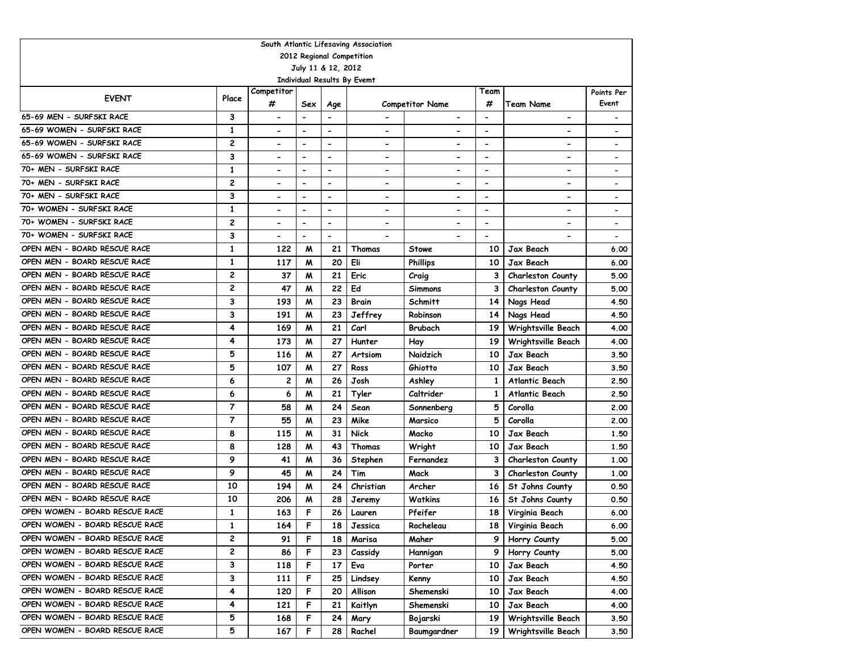| South Atlantic Lifesaving Association<br>2012 Regional Competition |                |                              |                              |                              |                              |                          |                          |                          |                              |  |  |  |  |
|--------------------------------------------------------------------|----------------|------------------------------|------------------------------|------------------------------|------------------------------|--------------------------|--------------------------|--------------------------|------------------------------|--|--|--|--|
|                                                                    |                |                              |                              |                              |                              |                          |                          |                          |                              |  |  |  |  |
|                                                                    |                |                              |                              | July 11 & 12, 2012           |                              |                          |                          |                          |                              |  |  |  |  |
|                                                                    |                |                              |                              |                              | Individual Results By Evemt  |                          |                          |                          |                              |  |  |  |  |
| <b>EVENT</b>                                                       | Place          | Competitor<br>#              |                              |                              |                              |                          | Team                     |                          | Points Per<br>Event          |  |  |  |  |
|                                                                    |                |                              | Sex                          | Age                          |                              | <b>Competitor Name</b>   | #                        | Team Name                |                              |  |  |  |  |
| 65-69 MEN - SURFSKI RACE                                           | 3              | $\qquad \qquad \blacksquare$ | $\overline{\phantom{a}}$     | $\overline{\phantom{a}}$     | $\overline{\phantom{a}}$     | $\hbox{\small -}$        | $\overline{\phantom{a}}$ | $\blacksquare$           |                              |  |  |  |  |
| 65-69 WOMEN - SURFSKI RACE                                         | 1              | $\overline{\phantom{0}}$     | $\blacksquare$               | $\blacksquare$               | $\qquad \qquad \blacksquare$ |                          | $\overline{\phantom{a}}$ |                          |                              |  |  |  |  |
| 65-69 WOMEN - SURFSKI RACE                                         | 2              | $\overline{\phantom{a}}$     | $\overline{\phantom{a}}$     | $\blacksquare$               | $\overline{\phantom{a}}$     | $\blacksquare$           | $\overline{\phantom{a}}$ |                          | $\overline{\phantom{a}}$     |  |  |  |  |
| 65-69 WOMEN - SURFSKI RACE<br>70+ MEN - SURFSKI RACE               | 3              | $\hbox{\small -}$            | $\overline{\phantom{a}}$     | $\overline{\phantom{a}}$     | $\overline{\phantom{a}}$     | $\hbox{\small -}$        | $\overline{\phantom{a}}$ | $\blacksquare$           | $\overline{\phantom{a}}$     |  |  |  |  |
|                                                                    | 1              | $\qquad \qquad \blacksquare$ | $\qquad \qquad \blacksquare$ | $\overline{\phantom{a}}$     | $\hbox{\small -}$            | $\overline{\phantom{a}}$ | $\overline{\phantom{a}}$ | $\overline{\phantom{a}}$ | $\overline{\phantom{a}}$     |  |  |  |  |
| 70+ MEN - SURFSKI RACE                                             | $\overline{c}$ | $\hbox{\small -}$            | $\qquad \qquad \blacksquare$ | $\overline{\phantom{0}}$     | $\overline{\phantom{a}}$     | $\blacksquare$           | $\overline{\phantom{a}}$ |                          | $\qquad \qquad \blacksquare$ |  |  |  |  |
| 70+ MEN - SURFSKI RACE                                             | 3              | $\overline{\phantom{a}}$     | $\overline{\phantom{a}}$     | $\qquad \qquad \blacksquare$ | $\overline{\phantom{a}}$     | $\overline{\phantom{a}}$ | $\overline{\phantom{a}}$ | $\blacksquare$           | $\overline{\phantom{a}}$     |  |  |  |  |
| 70+ WOMEN - SURFSKI RACE                                           | 1              | $\overline{\phantom{0}}$     | $\qquad \qquad \blacksquare$ | $\blacksquare$               | $\overline{\phantom{a}}$     | $\overline{\phantom{a}}$ | $\overline{\phantom{a}}$ | $\blacksquare$           | $\overline{\phantom{a}}$     |  |  |  |  |
| 70+ WOMEN - SURFSKI RACE                                           | 2              | $\blacksquare$               | $\blacksquare$               | $\blacksquare$               | $\qquad \qquad \blacksquare$ | $\overline{\phantom{a}}$ | $\blacksquare$           | $\blacksquare$           | $\overline{\phantom{a}}$     |  |  |  |  |
| 70+ WOMEN - SURFSKI RACE                                           | 3              | $\blacksquare$               | $\blacksquare$               | $\blacksquare$               | $\qquad \qquad \blacksquare$ |                          | $\blacksquare$           |                          | $\overline{\phantom{a}}$     |  |  |  |  |
| OPEN MEN - BOARD RESCUE RACE                                       | $\mathbf{1}$   | 122                          | M                            | 21                           | Thomas                       | Stowe                    | 10                       | Jax Beach                | 6.00                         |  |  |  |  |
| OPEN MEN - BOARD RESCUE RACE                                       | $\mathbf{1}$   | 117                          | M                            | 20                           | Eli                          | <b>Phillips</b>          | 10                       | Jax Beach                | 6.00                         |  |  |  |  |
| OPEN MEN - BOARD RESCUE RACE                                       | $\overline{c}$ | 37                           | W                            | 21                           | Eric                         | Craig                    | 3                        | <b>Charleston County</b> | 5.00                         |  |  |  |  |
| OPEN MEN - BOARD RESCUE RACE                                       | $\overline{c}$ | 47                           | M                            | 22                           | Ed                           | <b>Simmons</b>           | 3                        | <b>Charleston County</b> | 5.00                         |  |  |  |  |
| OPEN MEN - BOARD RESCUE RACE                                       | 3              | 193                          | M                            | 23                           | Brain                        | Schmitt                  | 14                       | Nags Head                | 4.50                         |  |  |  |  |
| OPEN MEN - BOARD RESCUE RACE                                       | 3              | 191                          | M                            | 23                           | Jeffrey                      | Robinson                 | 14                       | Nags Head                | 4.50                         |  |  |  |  |
| OPEN MEN - BOARD RESCUE RACE                                       | 4              | 169                          | M                            | 21                           | Carl                         | Brubach                  | 19                       | Wrightsville Beach       | 4.00                         |  |  |  |  |
| OPEN MEN - BOARD RESCUE RACE                                       | 4              | 173                          | M                            | 27                           | Hunter                       | Hay                      | 19                       | Wrightsville Beach       | 4.00                         |  |  |  |  |
| OPEN MEN - BOARD RESCUE RACE                                       | 5              | 116                          | M                            | 27                           | Artsiom                      | Naidzich                 | 10                       | Jax Beach                | 3.50                         |  |  |  |  |
| OPEN MEN - BOARD RESCUE RACE                                       | 5              | 107                          | M                            | 27                           | Ross                         | Ghiotto                  | 10                       | Jax Beach                | 3.50                         |  |  |  |  |
| OPEN MEN - BOARD RESCUE RACE                                       | 6              | 2                            | M                            | 26                           | Josh                         | Ashley                   | 1                        | Atlantic Beach           | 2.50                         |  |  |  |  |
| OPEN MEN - BOARD RESCUE RACE                                       | 6              | 6                            | M                            | 21                           | Tyler                        | Caltrider                | 1                        | Atlantic Beach           | 2.50                         |  |  |  |  |
| OPEN MEN - BOARD RESCUE RACE                                       | $\overline{7}$ | 58                           | M                            | 24                           | Sean                         | Sonnenberg               | 5                        | Corolla                  | 2.00                         |  |  |  |  |
| OPEN MEN - BOARD RESCUE RACE                                       | $\overline{7}$ | 55                           | M                            | 23                           | Mike                         | Marsico                  | 5                        | Corolla                  | 2.00                         |  |  |  |  |
| OPEN MEN - BOARD RESCUE RACE                                       | 8              | 115                          | M                            | 31                           | <b>Nick</b>                  | Macko                    | 10                       | Jax Beach                | 1.50                         |  |  |  |  |
| OPEN MEN - BOARD RESCUE RACE                                       | 8              | 128                          | M                            | 43                           | Thomas                       | Wright                   | 10                       | Jax Beach                | 1.50                         |  |  |  |  |
| OPEN MEN - BOARD RESCUE RACE                                       | 9              | 41                           | M                            | 36                           | Stephen                      | Fernandez                | 3                        | <b>Charleston County</b> | 1.00                         |  |  |  |  |
| OPEN MEN - BOARD RESCUE RACE                                       | 9              | 45                           | M                            | 24                           | Tim                          | Mack                     | 3                        | <b>Charleston County</b> | 1,00                         |  |  |  |  |
| OPEN MEN - BOARD RESCUE RACE                                       | 10             | 194                          | M                            | 24                           | Christian                    | Archer                   | 16                       | St Johns County          | 0.50                         |  |  |  |  |
| OPEN MEN - BOARD RESCUE RACE                                       | 10             | 206                          | M                            | 28                           | Jeremy                       | <b>Watkins</b>           | 16                       | St Johns County          | 0.50                         |  |  |  |  |
| OPEN WOMEN - BOARD RESCUE RACE                                     | 1              | 163                          | F                            | 26                           | Lauren                       | Pfeifer                  | 18                       | Virginia Beach           | 6.00                         |  |  |  |  |
| OPEN WOMEN - BOARD RESCUE RACE                                     | 1              | 164                          | F                            | 18                           | Jessica                      | Rocheleau                | 18                       | Virginia Beach           | 6.00                         |  |  |  |  |
| OPEN WOMEN - BOARD RESCUE RACE                                     | 2              | 91                           | F                            | 18                           | Marisa                       | Maher                    | 9                        | Horry County             | 5.00                         |  |  |  |  |
| OPEN WOMEN - BOARD RESCUE RACE                                     | 2              | 86                           | F                            | 23                           | Cassidy                      | Hannigan                 | 9                        | Horry County             | 5.00                         |  |  |  |  |
| OPEN WOMEN - BOARD RESCUE RACE                                     | 3              | 118                          | F                            | 17                           | Eva                          | Porter                   | 10                       | Jax Beach                | 4.50                         |  |  |  |  |
| OPEN WOMEN - BOARD RESCUE RACE                                     | 3              | 111                          | F                            | 25                           | Lindsey                      | Kenny                    | 10                       | Jax Beach                | 4.50                         |  |  |  |  |
| OPEN WOMEN - BOARD RESCUE RACE                                     | 4              | 120                          | F                            | 20                           | Allison                      | Shemenski                | 10                       | Jax Beach                | 4.00                         |  |  |  |  |
| OPEN WOMEN - BOARD RESCUE RACE                                     | 4              | 121                          | F                            | 21                           | Kaitlyn                      | Shemenski                | 10                       | Jax Beach                | 4.00                         |  |  |  |  |
| OPEN WOMEN - BOARD RESCUE RACE                                     | 5              | 168                          | F                            | 24                           | Mary                         | Bojarski                 | 19                       | Wrightsville Beach       | 3.50                         |  |  |  |  |
| OPEN WOMEN - BOARD RESCUE RACE                                     | 5              | 167                          | F                            | 28                           | Rachel                       | Baumgardner              | 19                       | Wrightsville Beach       | 3.50                         |  |  |  |  |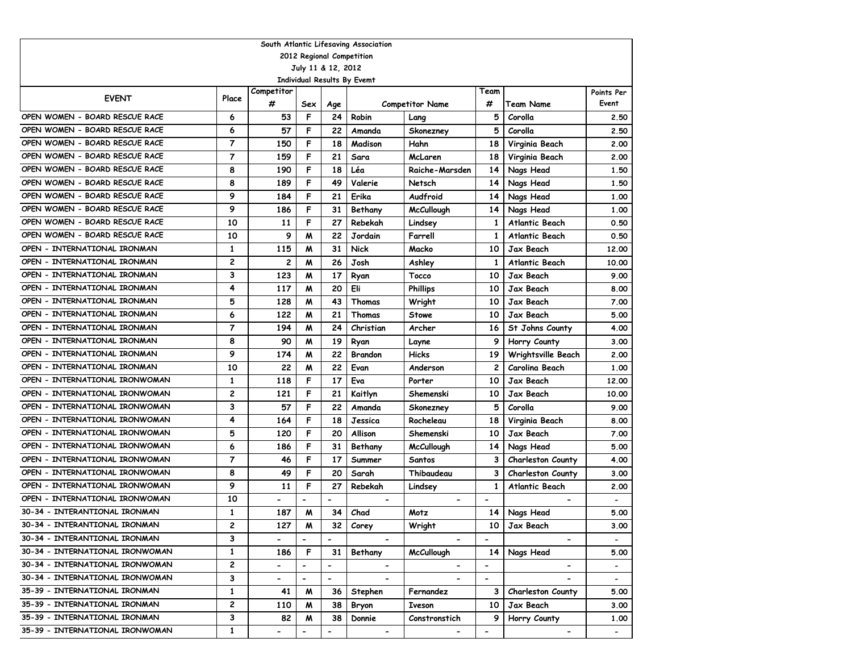| South Atlantic Lifesaving Association             |                |                              |                              |                          |                |                        |                              |                              |                          |  |  |  |  |
|---------------------------------------------------|----------------|------------------------------|------------------------------|--------------------------|----------------|------------------------|------------------------------|------------------------------|--------------------------|--|--|--|--|
| 2012 Regional Competition                         |                |                              |                              |                          |                |                        |                              |                              |                          |  |  |  |  |
| July 11 & 12, 2012<br>Individual Results By Evemt |                |                              |                              |                          |                |                        |                              |                              |                          |  |  |  |  |
|                                                   |                |                              |                              |                          |                |                        |                              |                              |                          |  |  |  |  |
| <b>EVENT</b>                                      | Place          | Competitor                   |                              |                          |                |                        | Team                         |                              | Points Per               |  |  |  |  |
|                                                   |                | #                            | Sex                          | Age                      |                | <b>Competitor Name</b> | #                            | Team Name                    | Event                    |  |  |  |  |
| OPEN WOMEN - BOARD RESCUE RACE                    | 6              | 53                           | F                            | 24                       | Robin          | Lang                   | 5                            | Corolla                      | 2.50                     |  |  |  |  |
| OPEN WOMEN - BOARD RESCUE RACE                    | 6              | 57                           | F                            | 22                       | Amanda         | Skonezney              | 5                            | Corolla                      | 2.50                     |  |  |  |  |
| OPEN WOMEN - BOARD RESCUE RACE                    | $\overline{7}$ | 150                          | F                            | 18                       | Madison        | Hahn                   | 18                           | Virginia Beach               | 2.00                     |  |  |  |  |
| OPEN WOMEN - BOARD RESCUE RACE                    | 7              | 159                          | F                            | 21                       | Sara           | McLaren                | 18                           | Virginia Beach               | 2.00                     |  |  |  |  |
| OPEN WOMEN - BOARD RESCUE RACE                    | 8              | 190                          | F                            | 18                       | Léa            | Raiche-Marsden         | 14                           | Nags Head                    | 1.50                     |  |  |  |  |
| OPEN WOMEN - BOARD RESCUE RACE                    | 8              | 189                          | F                            | 49                       | Valerie        | Netsch                 | 14                           | Nags Head                    | 1.50                     |  |  |  |  |
| OPEN WOMEN - BOARD RESCUE RACE                    | 9              | 184                          | F                            | 21                       | Erika          | Audfroid               | 14                           | Nags Head                    | 1.00                     |  |  |  |  |
| OPEN WOMEN - BOARD RESCUE RACE                    | 9              | 186                          | F                            | 31                       | Bethany        | <b>McCullough</b>      | 14                           | Nags Head                    | 1.00                     |  |  |  |  |
| OPEN WOMEN - BOARD RESCUE RACE                    | 10             | 11                           | F                            | 27                       | Rebekah        | Lindsey                | $\mathbf{1}$                 | <b>Atlantic Beach</b>        | 0.50                     |  |  |  |  |
| OPEN WOMEN - BOARD RESCUE RACE                    | 10             | 9                            | M                            | 22                       | Jordain        | Farrell                | $\mathbf{1}$                 | <b>Atlantic Beach</b>        | 0.50                     |  |  |  |  |
| OPEN - INTERNATIONAL IRONMAN                      | $\mathbf{1}$   | 115                          | M                            | 31                       | <b>Nick</b>    | Macko                  | 10                           | Jax Beach                    | 12,00                    |  |  |  |  |
| OPEN - INTERNATIONAL IRONMAN                      | 2              | 2                            | M                            | 26                       | Josh           | Ashley                 | 1                            | <b>Atlantic Beach</b>        | 10.00                    |  |  |  |  |
| OPEN - INTERNATIONAL IRONMAN                      | 3              | 123                          | M                            | 17                       | Ryan           | <b>Tocco</b>           | 10                           | Jax Beach                    | 9.00                     |  |  |  |  |
| OPEN - INTERNATIONAL IRONMAN                      | 4              | 117                          | M                            | 20                       | Eli            | <b>Phillips</b>        | 10                           | Jax Beach                    | 8.00                     |  |  |  |  |
| OPEN - INTERNATIONAL IRONMAN                      | 5              | 128                          | M                            | 43                       | Thomas         | Wright                 | 10                           | Jax Beach                    | 7.00                     |  |  |  |  |
| OPEN - INTERNATIONAL IRONMAN                      | 6              | 122                          | M                            | 21                       | Thomas         | Stowe                  | 10                           | Jax Beach                    | 5.00                     |  |  |  |  |
| OPEN - INTERNATIONAL IRONMAN                      | $\overline{7}$ | 194                          | M                            | 24                       | Christian      | Archer                 | 16                           | St Johns County              | 4.00                     |  |  |  |  |
| OPEN - INTERNATIONAL IRONMAN                      | 8              | 90                           | M                            | 19                       | Ryan           | Layne                  |                              | Horry County                 | 3.00                     |  |  |  |  |
| OPEN - INTERNATIONAL IRONMAN                      | 9              | 174                          | M                            | 22                       | <b>Brandon</b> | <b>Hicks</b>           | 19                           | Wrightsville Beach           | 2.00                     |  |  |  |  |
| OPEN - INTERNATIONAL IRONMAN                      | 10             | 22                           | M                            | 22                       | Evan           | Anderson               | $\mathbf{2}$                 | Carolina Beach               | 1.00                     |  |  |  |  |
| OPEN - INTERNATIONAL IRONWOMAN                    | 1              | 118                          | F                            | 17                       | Eva            | Porter                 | 10                           | Jax Beach                    | 12.00                    |  |  |  |  |
| OPEN - INTERNATIONAL IRONWOMAN                    | 2              | 121                          | F                            | 21                       | Kaitlyn        | Shemenski              | 10                           | Jax Beach                    | 10.00                    |  |  |  |  |
| OPEN - INTERNATIONAL IRONWOMAN                    | 3              | 57                           | F                            | 22                       | Amanda         | Skonezney              | 5                            | Corolla                      | 9.00                     |  |  |  |  |
| OPEN - INTERNATIONAL IRONWOMAN                    | 4              | 164                          | F                            | 18                       | Jessica        | Rocheleau              | 18                           | Virginia Beach               | 8.00                     |  |  |  |  |
| OPEN - INTERNATIONAL IRONWOMAN                    | 5              | 120                          | F                            | 20                       | Allison        | Shemenski              | 10                           | Jax Beach                    | 7.00                     |  |  |  |  |
| OPEN - INTERNATIONAL IRONWOMAN                    | 6              | 186                          | F                            | 31                       | Bethany        | <b>McCullough</b>      | 14                           | Nags Head                    | 5.00                     |  |  |  |  |
| OPEN - INTERNATIONAL IRONWOMAN                    | $\overline{7}$ | 46                           | F                            | 17                       | Summer         | Santos                 | 3                            | <b>Charleston County</b>     | 4.00                     |  |  |  |  |
| OPEN - INTERNATIONAL IRONWOMAN                    | 8              | 49                           | F                            | 20                       | Sarah          | Thibaudeau             | 3                            | <b>Charleston County</b>     | 3.00                     |  |  |  |  |
| OPEN - INTERNATIONAL IRONWOMAN                    | 9              | 11                           | F                            | 27                       | Rebekah        | Lindsey                | 1                            | <b>Atlantic Beach</b>        | 2.00                     |  |  |  |  |
| OPEN - INTERNATIONAL IRONWOMAN                    | 10             | $\overline{\phantom{a}}$     | $\blacksquare$               | $\blacksquare$           | $\blacksquare$ |                        | $\overline{\phantom{a}}$     |                              |                          |  |  |  |  |
| 30-34 - INTERANTIONAL IRONMAN                     | 1              | 187                          | M                            | 34                       | Chad           | Motz                   | 14                           | Nags Head                    | 5.00                     |  |  |  |  |
| 30-34 - INTERANTIONAL IRONMAN                     | 2              | 127                          | M                            | 32                       | Corey          | Wright                 | 10                           | Jax Beach                    | 3.00                     |  |  |  |  |
| 30-34 - INTERANTIONAL IRONMAN                     | 3              |                              |                              |                          |                |                        |                              |                              |                          |  |  |  |  |
| 30-34 - INTERNATIONAL IRONWOMAN                   | $\mathbf 1$    | 186                          | F                            | 31                       | Bethany        | <b>McCullough</b>      | 14                           | Nags Head                    | 5.00                     |  |  |  |  |
| 30-34 - INTERNATIONAL IRONWOMAN                   | 2              |                              | $\overline{\phantom{0}}$     | $\overline{\phantom{a}}$ |                |                        | $\overline{\phantom{a}}$     | $\qquad \qquad \blacksquare$ | $\overline{\phantom{a}}$ |  |  |  |  |
| 30-34 - INTERNATIONAL IRONWOMAN                   | 3              | $\qquad \qquad \blacksquare$ | $\qquad \qquad \blacksquare$ | $\overline{\phantom{a}}$ | $\blacksquare$ |                        | $\qquad \qquad \blacksquare$ |                              |                          |  |  |  |  |
| 35-39 - INTERNATIONAL IRONMAN                     | $\mathbf{1}$   | 41                           | M                            | 36                       | Stephen        | Fernandez              | 3                            | <b>Charleston County</b>     | 5.00                     |  |  |  |  |
| 35-39 - INTERNATIONAL IRONMAN                     | 2              | 110                          | M                            | 38                       | Bryon          | Iveson                 | 10                           | Jax Beach                    | 3.00                     |  |  |  |  |
| 35-39 - INTERNATIONAL IRONMAN                     | 3              | 82                           | M                            | 38                       | Donnie         | Constronstich          | 9                            | Horry County                 | 1.00                     |  |  |  |  |
| 35-39 - INTERNATIONAL IRONWOMAN                   | $\mathbf{1}$   | $\overline{\phantom{0}}$     | $\overline{\phantom{0}}$     | $\overline{\phantom{a}}$ | $\blacksquare$ |                        | $\overline{\phantom{0}}$     | $\overline{\phantom{a}}$     |                          |  |  |  |  |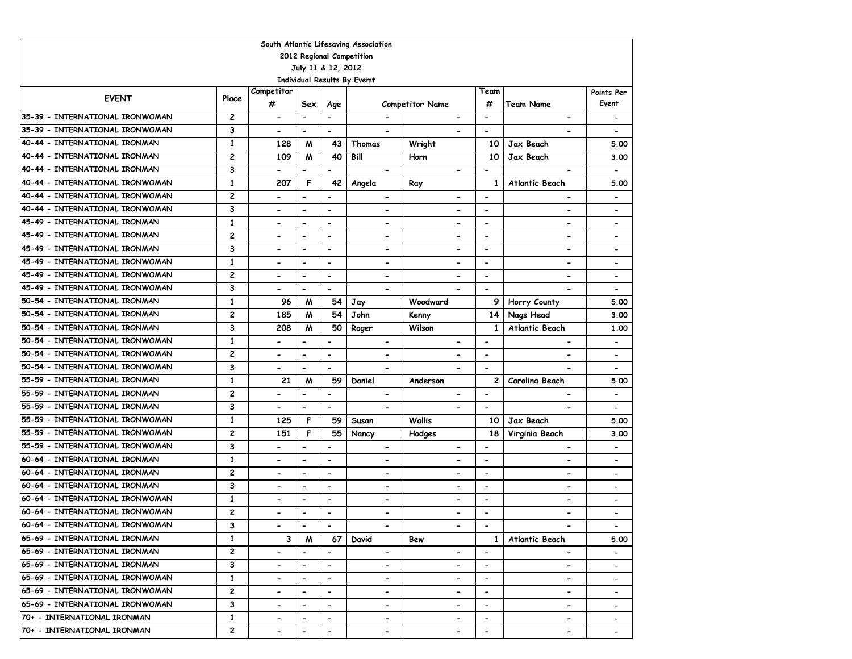|                                 |                |                          |                          |                          | South Atlantic Lifesaving Association |                              |                          |                              |                              |
|---------------------------------|----------------|--------------------------|--------------------------|--------------------------|---------------------------------------|------------------------------|--------------------------|------------------------------|------------------------------|
|                                 |                |                          |                          |                          | 2012 Regional Competition             |                              |                          |                              |                              |
|                                 |                |                          | July 11 & 12, 2012       |                          |                                       |                              |                          |                              |                              |
|                                 |                |                          |                          |                          | <b>Individual Results By Evemt</b>    |                              |                          |                              |                              |
| <b>EVENT</b>                    | Place          | Competitor               |                          |                          |                                       |                              | Team                     |                              | Points Per                   |
|                                 |                | #                        | Sex                      | Age                      |                                       | <b>Competitor Name</b>       | #                        | <b>Team Name</b>             | Event                        |
| 35-39 - INTERNATIONAL IRONWOMAN | $\mathbf{2}$   | $\hbox{\small -}$        | $\overline{\phantom{a}}$ | $\overline{\phantom{a}}$ | $\hbox{\small -}$                     | $\qquad \qquad \blacksquare$ | $\overline{\phantom{a}}$ | $\qquad \qquad \blacksquare$ |                              |
| 35-39 - INTERNATIONAL IRONWOMAN | 3              | $\blacksquare$           | $\overline{\phantom{0}}$ | $\overline{\phantom{a}}$ |                                       |                              | $\overline{\phantom{0}}$ |                              |                              |
| 40-44 - INTERNATIONAL IRONMAN   | $\mathbf{1}$   | 128                      | M                        | 43                       | Thomas                                | Wright                       | 10                       | Jax Beach                    | 5.00                         |
| 40-44 - INTERNATIONAL IRONMAN   | $\overline{c}$ | 109                      | M                        | 40                       | Bill                                  | Horn                         | 10                       | Jax Beach                    | 3.00                         |
| 40-44 - INTERNATIONAL IRONMAN   | 3              | $\overline{a}$           | $\overline{\phantom{0}}$ | $\overline{\phantom{a}}$ |                                       | $\blacksquare$               | $\overline{a}$           |                              | $\overline{\phantom{a}}$     |
| 40-44 - INTERNATIONAL IRONWOMAN | $\mathbf{1}$   | 207                      | F                        | 42                       | Angela                                | Ray                          | $\mathbf{1}$             | <b>Atlantic Beach</b>        | 5.00                         |
| 40-44 - INTERNATIONAL IRONWOMAN | $\mathbf{2}$   | $\blacksquare$           | $\hbox{\small -}$        | $\blacksquare$           |                                       |                              | $\overline{\phantom{a}}$ |                              |                              |
| 40-44 - INTERNATIONAL IRONWOMAN | 3              |                          | $\blacksquare$           | $\blacksquare$           | $\blacksquare$                        |                              | $\blacksquare$           | $\blacksquare$               | $\overline{\phantom{0}}$     |
| 45-49 - INTERNATIONAL IRONMAN   | 1              | $\overline{\phantom{a}}$ | $\blacksquare$           | $\overline{\phantom{a}}$ | $\overline{\phantom{0}}$              | $\overline{\phantom{a}}$     | $\blacksquare$           | $\blacksquare$               | $\overline{\phantom{0}}$     |
| 45-49 - INTERNATIONAL IRONMAN   | 2              | $\blacksquare$           | $\blacksquare$           | $\overline{\phantom{a}}$ | $\blacksquare$                        | $\overline{\phantom{a}}$     | $\blacksquare$           | $\blacksquare$               | $\overline{\phantom{0}}$     |
| 45-49 - INTERNATIONAL IRONMAN   | 3              | $\overline{\phantom{a}}$ | $\overline{\phantom{a}}$ | $\overline{\phantom{a}}$ | $\overline{\phantom{0}}$              | $\blacksquare$               | $\overline{\phantom{a}}$ | $\blacksquare$               | $\overline{\phantom{0}}$     |
| 45-49 - INTERNATIONAL IRONWOMAN | $\mathbf{1}$   | $\blacksquare$           | $\overline{\phantom{a}}$ | $\blacksquare$           | $\overline{\phantom{0}}$              | $\blacksquare$               | $\overline{\phantom{a}}$ | $\blacksquare$               |                              |
| 45-49 - INTERNATIONAL IRONWOMAN | $\overline{c}$ |                          | $\overline{\phantom{a}}$ | $\blacksquare$           | $\overline{\phantom{0}}$              |                              | $\hbox{\small -}$        | $\overline{\phantom{0}}$     |                              |
| 45-49 - INTERNATIONAL IRONWOMAN | 3              |                          | $\overline{\phantom{0}}$ | $\blacksquare$           |                                       |                              | $\blacksquare$           |                              |                              |
| 50-54 - INTERNATIONAL IRONMAN   | $\mathbf{1}$   | 96                       | M                        | 54                       | Jay                                   | Woodward                     | 9                        | Horry County                 | 5.00                         |
| 50-54 - INTERNATIONAL IRONMAN   | $\overline{c}$ | 185                      | M                        | 54                       | John                                  | Kenny                        | 14                       | Nags Head                    | 3.00                         |
| 50-54 - INTERNATIONAL IRONMAN   | 3              | 208                      | M                        | 50                       | Roger                                 | Wilson                       | 1                        | Atlantic Beach               | 1.00                         |
| 50-54 - INTERNATIONAL IRONWOMAN | $\mathbf{1}$   |                          | $\overline{\phantom{0}}$ | $\blacksquare$           | $\overline{\phantom{a}}$              | $\blacksquare$               | $\overline{\phantom{a}}$ | $\blacksquare$               |                              |
| 50-54 - INTERNATIONAL IRONWOMAN | $\overline{c}$ |                          | $\hbox{\small -}$        | $\overline{\phantom{a}}$ | $\overline{\phantom{a}}$              |                              | $\overline{\phantom{a}}$ | $\overline{\phantom{0}}$     | $\qquad \qquad \blacksquare$ |
| 50-54 - INTERNATIONAL IRONWOMAN | 3              | $\blacksquare$           | $\overline{\phantom{0}}$ | $\blacksquare$           | $\blacksquare$                        |                              | $\blacksquare$           |                              | $\overline{\phantom{a}}$     |
| 55-59 - INTERNATIONAL IRONMAN   | $\mathbf{1}$   | 21                       | M                        | 59                       | Daniel                                | Anderson                     | $\mathbf{2}$             | Carolina Beach               | 5.00                         |
| 55-59 - INTERNATIONAL IRONMAN   | 2              | $\blacksquare$           | $\blacksquare$           | $\overline{\phantom{a}}$ | $\hbox{\small -}$                     | $\overline{a}$               | $\blacksquare$           | $\qquad \qquad \blacksquare$ | $\overline{\phantom{a}}$     |
| 55-59 - INTERNATIONAL IRONMAN   | 3              | $\blacksquare$           | $\overline{a}$           | $\blacksquare$           | $\blacksquare$                        | $\blacksquare$               | $\blacksquare$           | $\qquad \qquad \blacksquare$ | $\overline{\phantom{a}}$     |
| 55-59 - INTERNATIONAL IRONWOMAN | $\mathbf{1}$   | 125                      | F                        | 59                       | Susan                                 | Wallis                       | 10                       | Jax Beach                    | 5.00                         |
| 55-59 - INTERNATIONAL IRONWOMAN | $\overline{c}$ | 151                      | F                        | 55                       | Nancy                                 | Hodges                       | 18                       | Virginia Beach               | 3.00                         |
| 55-59 - INTERNATIONAL IRONWOMAN | 3              | $\blacksquare$           | $\blacksquare$           | $\blacksquare$           | $\overline{\phantom{a}}$              | $\blacksquare$               | $\overline{\phantom{a}}$ | $\blacksquare$               |                              |
| 60-64 - INTERNATIONAL IRONMAN   | $\mathbf{1}$   | $\blacksquare$           | $\blacksquare$           | $\overline{\phantom{a}}$ | $\blacksquare$                        | $\blacksquare$               | $\overline{\phantom{a}}$ | $\qquad \qquad \blacksquare$ |                              |
| 60-64 - INTERNATIONAL IRONMAN   | $\overline{c}$ | $\blacksquare$           | $\overline{\phantom{a}}$ | $\blacksquare$           | $\overline{\phantom{0}}$              | $\blacksquare$               | $\overline{\phantom{a}}$ | $\blacksquare$               |                              |
| 60-64 - INTERNATIONAL IRONMAN   | 3              | $\blacksquare$           | $\overline{\phantom{a}}$ | $\blacksquare$           | $\overline{\phantom{a}}$              | $\blacksquare$               | $\hbox{\small -}$        | $\qquad \qquad \blacksquare$ |                              |
| 60-64 - INTERNATIONAL IRONWOMAN | $\mathbf{1}$   | $\blacksquare$           | $\blacksquare$           | $\blacksquare$           | $\blacksquare$                        | $\blacksquare$               | $\overline{\phantom{a}}$ | $\overline{\phantom{0}}$     | $\overline{\phantom{a}}$     |
| 60-64 - INTERNATIONAL IRONWOMAN | $\overline{c}$ |                          | $\hbox{\small -}$        | $\overline{\phantom{0}}$ | $\overline{\phantom{0}}$              | $\overline{\phantom{0}}$     | $\blacksquare$           |                              |                              |
| 60-64 - INTERNATIONAL IRONWOMAN | 3              | $\blacksquare$           | $\overline{\phantom{a}}$ |                          |                                       |                              | $\overline{\phantom{a}}$ |                              |                              |
| 65-69 - INTERNATIONAL IRONMAN   | $\mathbf{1}$   | 3                        | M                        | 67                       | David                                 | Bew                          | $\mathbf{1}$             | Atlantic Beach               | 5.00                         |
| 65-69 - INTERNATIONAL IRONMAN   | 2              |                          | $\blacksquare$           | $\blacksquare$           | $\blacksquare$                        | $\blacksquare$               | $\blacksquare$           |                              |                              |
| 65-69 - INTERNATIONAL IRONMAN   | 3              | $\overline{\phantom{a}}$ | $\blacksquare$           | $\blacksquare$           | $\overline{\phantom{a}}$              | $\overline{\phantom{0}}$     | $\overline{\phantom{a}}$ | $\qquad \qquad \blacksquare$ |                              |
| 65-69 - INTERNATIONAL IRONWOMAN | $\mathbf{1}$   |                          | $\overline{\phantom{a}}$ |                          | $\overline{\phantom{0}}$              |                              | $\overline{\phantom{0}}$ | $\qquad \qquad \blacksquare$ |                              |
| 65-69 - INTERNATIONAL IRONWOMAN | 2              |                          | $\hbox{\small -}$        |                          | -                                     | $\overline{\phantom{0}}$     | $\overline{\phantom{a}}$ | $\qquad \qquad \blacksquare$ |                              |
| 65-69 - INTERNATIONAL IRONWOMAN | 3              | $\overline{\phantom{0}}$ | $\blacksquare$           |                          | $\overline{\phantom{a}}$              | $\overline{\phantom{0}}$     | $\overline{\phantom{a}}$ | $\qquad \qquad \blacksquare$ |                              |
| 70+ - INTERNATIONAL IRONMAN     | 1              | $\overline{\phantom{0}}$ | $\blacksquare$           |                          | $\overline{\phantom{a}}$              | $\overline{\phantom{0}}$     | $\overline{\phantom{a}}$ | $\qquad \qquad \blacksquare$ |                              |
| 70+ - INTERNATIONAL IRONMAN     | $\mathbf{2}$   |                          | $\overline{\phantom{a}}$ | $\overline{\phantom{a}}$ | $\blacksquare$                        | -                            | $\overline{\phantom{a}}$ | -                            |                              |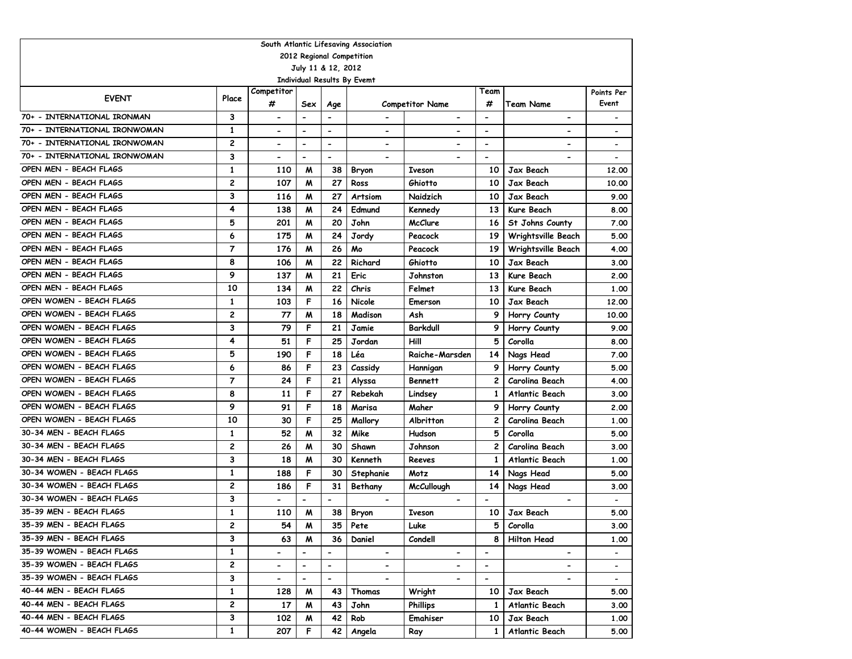| South Atlantic Lifesaving Association |                |                              |                          |                          |                              |                          |                          |                          |                          |  |  |  |  |
|---------------------------------------|----------------|------------------------------|--------------------------|--------------------------|------------------------------|--------------------------|--------------------------|--------------------------|--------------------------|--|--|--|--|
| 2012 Regional Competition             |                |                              |                          |                          |                              |                          |                          |                          |                          |  |  |  |  |
|                                       |                |                              | July 11 & 12, 2012       |                          |                              |                          |                          |                          |                          |  |  |  |  |
|                                       |                |                              |                          |                          | Individual Results By Evemt  |                          |                          |                          |                          |  |  |  |  |
| <b>EVENT</b>                          | Place          | Competitor<br>#              |                          |                          | <b>Competitor Name</b>       |                          | Team                     |                          | Points Per<br>Event      |  |  |  |  |
|                                       |                |                              | Sex                      | Age                      |                              |                          | #                        | <b>Team Name</b>         |                          |  |  |  |  |
| 70+ - INTERNATIONAL IRONMAN           | 3              | $\qquad \qquad \blacksquare$ | $\overline{\phantom{a}}$ | $\overline{a}$           | $\overline{\phantom{a}}$     | $\blacksquare$           | $\overline{\phantom{a}}$ | $\blacksquare$           |                          |  |  |  |  |
| 70+ - INTERNATIONAL IRONWOMAN         | $\mathbf{1}$   | $\overline{\phantom{0}}$     | $\blacksquare$           | $\blacksquare$           | $\overline{\phantom{a}}$     |                          | $\overline{\phantom{a}}$ |                          |                          |  |  |  |  |
| 70+ - INTERNATIONAL IRONWOMAN         | 2              | $\overline{\phantom{a}}$     | $\overline{\phantom{a}}$ | $\overline{\phantom{a}}$ | $\qquad \qquad \blacksquare$ |                          | $\overline{\phantom{a}}$ |                          | $\overline{\phantom{a}}$ |  |  |  |  |
| 70+ - INTERNATIONAL IRONWOMAN         | 3              | $\overline{\phantom{a}}$     | $\overline{\phantom{a}}$ | $\overline{a}$           |                              |                          | $\overline{\phantom{a}}$ |                          | $\overline{\phantom{a}}$ |  |  |  |  |
| OPEN MEN - BEACH FLAGS                | 1              | 110                          | M                        | 38                       | Bryon                        | <b>Iveson</b>            | 10                       | Jax Beach                | 12,00                    |  |  |  |  |
| OPEN MEN - BEACH FLAGS                | $\overline{c}$ | 107                          | W                        | 27                       | Ross                         | Ghiotto                  | 10                       | Jax Beach                | 10.00                    |  |  |  |  |
| OPEN MEN - BEACH FLAGS                | 3              | 116                          | W                        | 27                       | Artsiom                      | Naidzich                 | 10                       | Jax Beach                | 9.00                     |  |  |  |  |
| OPEN MEN - BEACH FLAGS                | 4              | 138                          | M                        | 24                       | Edmund                       | Kennedy                  | 13                       | Kure Beach               | 8.00                     |  |  |  |  |
| OPEN MEN - BEACH FLAGS                | 5              | 201                          | W                        | 20                       | John                         | <b>McClure</b>           | 16                       | St Johns County          | 7.00                     |  |  |  |  |
| OPEN MEN - BEACH FLAGS                | 6              | 175                          | M                        | 24                       | Jordy                        | Peacock                  | 19                       | Wrightsville Beach       | 5.00                     |  |  |  |  |
| OPEN MEN - BEACH FLAGS                | $\overline{7}$ | 176                          | W                        | 26                       | Mo                           | Peacock                  | 19                       | Wrightsville Beach       | 4.00                     |  |  |  |  |
| OPEN MEN - BEACH FLAGS                | 8              | 106                          | W                        | 22                       | Richard                      | Ghiotto                  | 10                       | Jax Beach                | 3.00                     |  |  |  |  |
| OPEN MEN - BEACH FLAGS                | 9              | 137                          | W                        | 21                       | Eric                         | Johnston                 | 13                       | Kure Beach               | 2.00                     |  |  |  |  |
| OPEN MEN - BEACH FLAGS                | 10             | 134                          | M                        | 22                       | Chris                        | Felmet                   | 13                       | Kure Beach               | 1.00                     |  |  |  |  |
| OPEN WOMEN - BEACH FLAGS              | $\mathbf{1}$   | 103                          | F                        | 16                       | Nicole                       | Emerson                  | 10                       | Jax Beach                | 12,00                    |  |  |  |  |
| OPEN WOMEN - BEACH FLAGS              | 2              | 77                           | M                        | 18                       | Madison                      | Ash                      | 9                        | Horry County             | 10.00                    |  |  |  |  |
| OPEN WOMEN - BEACH FLAGS              | 3              | 79                           | F                        | 21                       | Jamie                        | Barkdull                 | 9                        | Horry County             | 9.00                     |  |  |  |  |
| OPEN WOMEN - BEACH FLAGS              | 4              | 51                           | F                        | 25                       | Jordan                       | Hill                     | 5                        | Corolla                  | 8.00                     |  |  |  |  |
| OPEN WOMEN - BEACH FLAGS              | 5              | 190                          | F                        | 18                       | Léa                          | Raiche-Marsden           | 14                       | Nags Head                | 7.00                     |  |  |  |  |
| OPEN WOMEN - BEACH FLAGS              | 6              | 86                           | F                        | 23                       | Cassidy                      | Hannigan                 |                          | Horry County             | 5.00                     |  |  |  |  |
| OPEN WOMEN - BEACH FLAGS              | $\overline{7}$ | 24                           | F                        | 21                       | Alyssa                       | <b>Bennett</b>           | 2                        | Carolina Beach           | 4.00                     |  |  |  |  |
| OPEN WOMEN - BEACH FLAGS              | 8              | 11                           | F                        | 27                       | Rebekah                      | Lindsey                  | $\mathbf{1}$             | Atlantic Beach           | 3.00                     |  |  |  |  |
| OPEN WOMEN - BEACH FLAGS              | 9              | 91                           | F                        | 18                       | Marisa                       | Maher                    | 9                        | Horry County             | 2.00                     |  |  |  |  |
| OPEN WOMEN - BEACH FLAGS              | 10             | 30                           | F                        | 25                       | Mallory                      | Albritton                | 2                        | Carolina Beach           | 1.00                     |  |  |  |  |
| 30-34 MEN - BEACH FLAGS               | $\mathbf{1}$   | 52                           | M                        | 32                       | Mike                         | Hudson                   | 5                        | Corolla                  | 5.00                     |  |  |  |  |
| 30-34 MEN - BEACH FLAGS               | $\overline{c}$ | 26                           | M                        | 30                       | Shawn                        | Johnson                  | 2                        | Carolina Beach           | 3.00                     |  |  |  |  |
| 30-34 MEN - BEACH FLAGS               | 3              | 18                           | M                        | 30                       | Kenneth                      | Reeves                   | 1                        | Atlantic Beach           | 1.00                     |  |  |  |  |
| 30-34 WOMEN - BEACH FLAGS             | 1              | 188                          | F                        | 30                       | Stephanie                    | Motz                     | 14                       | Nags Head                | 5.00                     |  |  |  |  |
| 30-34 WOMEN - BEACH FLAGS             | 2              | 186                          | F                        | 31                       | Bethany                      | McCullough               | 14                       | Nags Head                | 3.00                     |  |  |  |  |
| 30-34 WOMEN - BEACH FLAGS             | 3              | $\qquad \qquad \blacksquare$ |                          |                          |                              |                          | $\overline{\phantom{a}}$ |                          |                          |  |  |  |  |
| 35-39 MEN - BEACH FLAGS               | 1              | 110                          | W                        | 38                       | Bryon                        | <b>Iveson</b>            | 10                       | Jax Beach                | 5.00                     |  |  |  |  |
| 35-39 MEN - BEACH FLAGS               | $\overline{c}$ | 54                           | M                        | 35                       | Pete                         | Luke                     | 5.                       | Corolla                  | 3.00                     |  |  |  |  |
| 35-39 MEN - BEACH FLAGS               | 3              | 63                           | M                        | 36                       | Daniel                       | Condell                  | 8                        | <b>Hilton Head</b>       | 1.00                     |  |  |  |  |
| 35-39 WOMEN - BEACH FLAGS             | $\mathbf{1}$   | $\overline{\phantom{0}}$     |                          | $\blacksquare$           |                              | $\blacksquare$           | $\blacksquare$           | $\overline{\phantom{0}}$ |                          |  |  |  |  |
| 35-39 WOMEN - BEACH FLAGS             | 2              |                              |                          |                          | $\blacksquare$               |                          |                          |                          |                          |  |  |  |  |
| 35-39 WOMEN - BEACH FLAGS             |                | $\overline{\phantom{0}}$     |                          | $\overline{\phantom{0}}$ | $\blacksquare$               | $\overline{\phantom{a}}$ | $\overline{\phantom{a}}$ | $\overline{\phantom{0}}$ | $\overline{\phantom{a}}$ |  |  |  |  |
| 40-44 MEN - BEACH FLAGS               | 3              | $\overline{\phantom{0}}$     |                          | $\blacksquare$           |                              |                          | $\overline{\phantom{a}}$ |                          | $\overline{\phantom{0}}$ |  |  |  |  |
|                                       | $\mathbf{1}$   | 128                          | M                        | 43                       | Thomas                       | Wright                   | 10                       | Jax Beach                | 5.00                     |  |  |  |  |
| 40-44 MEN - BEACH FLAGS               | 2              | 17                           | M                        | 43                       | John                         | <b>Phillips</b>          | 1                        | Atlantic Beach           | 3.00                     |  |  |  |  |
| 40-44 MEN - BEACH FLAGS               | 3              | 102                          | M                        | 42                       | Rob                          | Emahiser                 | 10                       | Jax Beach                | 1.00                     |  |  |  |  |
| 40-44 WOMEN - BEACH FLAGS             | $\mathbf{1}$   | 207                          | F                        | 42                       | Angela                       | Ray                      | 1                        | Atlantic Beach           | 5.00                     |  |  |  |  |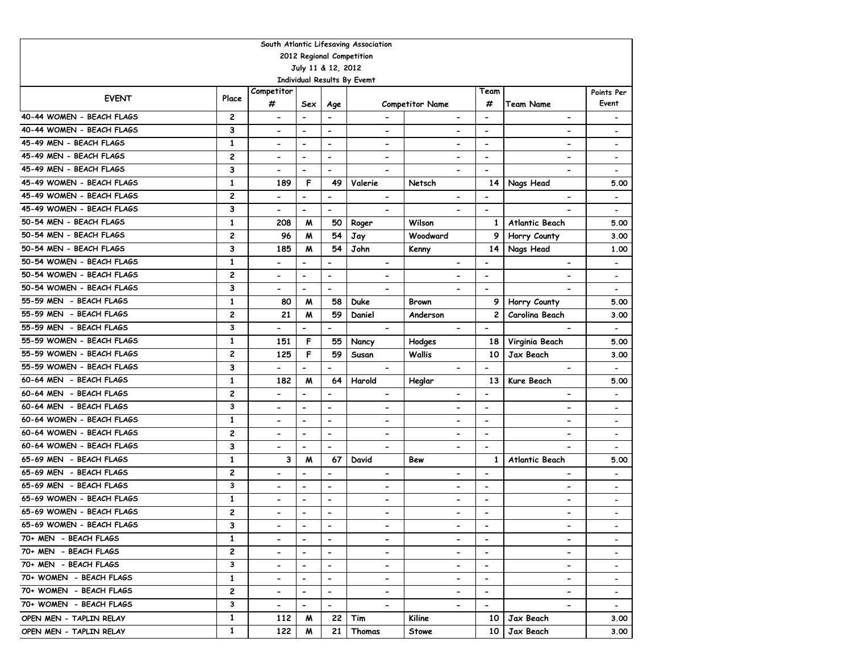|                                                          |                         |                              |                              |                          | South Atlantic Lifesaving Association |                              |                              |                              |                          |  |  |  |  |
|----------------------------------------------------------|-------------------------|------------------------------|------------------------------|--------------------------|---------------------------------------|------------------------------|------------------------------|------------------------------|--------------------------|--|--|--|--|
| 2012 Regional Competition                                |                         |                              |                              |                          |                                       |                              |                              |                              |                          |  |  |  |  |
| July 11 & 12, 2012<br><b>Individual Results By Evemt</b> |                         |                              |                              |                          |                                       |                              |                              |                              |                          |  |  |  |  |
|                                                          |                         |                              |                              |                          |                                       |                              |                              |                              |                          |  |  |  |  |
| <b>EVENT</b>                                             | Place                   | Competitor                   |                              |                          |                                       |                              | Team                         |                              | Points Per               |  |  |  |  |
|                                                          |                         | #                            | Sex                          | Age                      |                                       | <b>Competitor Name</b>       | #                            | <b>Team Name</b>             | Event                    |  |  |  |  |
| 40-44 WOMEN - BEACH FLAGS                                | $\overline{c}$          | $\overline{\phantom{a}}$     | $\overline{\phantom{a}}$     | $\overline{\phantom{a}}$ | $\hbox{\small -}$                     | $\overline{\phantom{a}}$     | $\overline{\phantom{a}}$     | $\overline{\phantom{a}}$     | $\overline{\phantom{a}}$ |  |  |  |  |
| 40-44 WOMEN - BEACH FLAGS                                | 3                       | $\overline{\phantom{0}}$     | $\qquad \qquad \blacksquare$ | $\overline{\phantom{a}}$ | $\overline{\phantom{a}}$              | $\overline{\phantom{0}}$     | $\overline{\phantom{a}}$     | $\qquad \qquad \blacksquare$ | $\overline{\phantom{a}}$ |  |  |  |  |
| 45-49 MEN - BEACH FLAGS                                  | $\mathbf{1}$            | $\overline{\phantom{a}}$     | $\overline{\phantom{a}}$     | $\overline{\phantom{m}}$ | $\hbox{\small -}$                     | $\overline{\phantom{0}}$     | $\overline{\phantom{a}}$     | $\qquad \qquad \blacksquare$ | $\overline{\phantom{a}}$ |  |  |  |  |
| 45-49 MEN - BEACH FLAGS                                  | 2                       | $\overline{\phantom{0}}$     | $\overline{\phantom{m}}$     | $\overline{\phantom{a}}$ | $\blacksquare$                        | $\overline{\phantom{0}}$     | $\overline{\phantom{a}}$     | $\qquad \qquad \blacksquare$ | $\overline{\phantom{a}}$ |  |  |  |  |
| 45-49 MEN - BEACH FLAGS                                  | 3                       | $\overline{\phantom{0}}$     | $\overline{\phantom{0}}$     | $\overline{\phantom{a}}$ |                                       | $\overline{\phantom{0}}$     | $\overline{\phantom{a}}$     | $\overline{\phantom{a}}$     | $\overline{\phantom{a}}$ |  |  |  |  |
| 45-49 WOMEN - BEACH FLAGS                                | $\mathbf{1}$            | 189                          | F                            | 49                       | Valerie                               | Netsch                       | 14                           | Nags Head                    | 5.00                     |  |  |  |  |
| 45-49 WOMEN - BEACH FLAGS                                | 2                       | $\hbox{\small -}$            | $\overline{\phantom{a}}$     | $\overline{\phantom{a}}$ | $\hbox{\small -}$                     |                              | $\overline{\phantom{a}}$     | -                            | $\overline{\phantom{a}}$ |  |  |  |  |
| 45-49 WOMEN - BEACH FLAGS                                | 3                       | $\blacksquare$               | $\overline{\phantom{0}}$     | $\overline{\phantom{a}}$ | $\blacksquare$                        | $\overline{\phantom{0}}$     | $\blacksquare$               |                              | $\overline{\phantom{a}}$ |  |  |  |  |
| 50-54 MEN - BEACH FLAGS                                  | $\mathbf{1}$            | 208                          | M                            | 50                       | Roger                                 | Wilson                       | $\mathbf{1}$                 | Atlantic Beach               | 5.00                     |  |  |  |  |
| 50-54 MEN - BEACH FLAGS                                  | 2                       | 96                           | M                            | 54                       | Jay                                   | Woodward                     | 9                            | Horry County                 | 3.00                     |  |  |  |  |
| 50-54 MEN - BEACH FLAGS                                  | 3                       | 185                          | M                            | 54                       | John                                  | Kenny                        | 14                           | Nags Head                    | 1.00                     |  |  |  |  |
| 50-54 WOMEN - BEACH FLAGS                                | $\mathbf{1}$            | $\blacksquare$               | $\overline{\phantom{0}}$     | $\overline{\phantom{m}}$ | $\hbox{\small -}$                     | $\overline{\phantom{0}}$     | $\overline{\phantom{a}}$     | $\overline{\phantom{a}}$     | $\overline{\phantom{a}}$ |  |  |  |  |
| 50-54 WOMEN - BEACH FLAGS                                | $\overline{c}$          | $\blacksquare$               | $\overline{\phantom{0}}$     | $\overline{\phantom{m}}$ | $\qquad \qquad \blacksquare$          | $\overline{\phantom{0}}$     | $\overline{\phantom{a}}$     | $\overline{\phantom{a}}$     | $\overline{\phantom{a}}$ |  |  |  |  |
| 50-54 WOMEN - BEACH FLAGS                                | 3                       |                              | $\overline{\phantom{0}}$     | $\overline{\phantom{a}}$ |                                       |                              | $\overline{\phantom{a}}$     |                              | $\overline{\phantom{a}}$ |  |  |  |  |
| 55-59 MEN - BEACH FLAGS                                  | $\mathbf{1}$            | 80                           | M                            | 58                       | <b>Duke</b>                           | Brown                        | 9                            | Horry County                 | 5.00                     |  |  |  |  |
| 55-59 MEN - BEACH FLAGS                                  | $\overline{\mathbf{c}}$ | 21                           | M                            | 59                       | Daniel                                | Anderson                     | 2                            | Carolina Beach               | 3.00                     |  |  |  |  |
| 55-59 MEN - BEACH FLAGS                                  | 3                       |                              | $\overline{a}$               | $\overline{\phantom{a}}$ | $\blacksquare$                        | $\qquad \qquad \blacksquare$ | $\qquad \qquad \blacksquare$ |                              | $\overline{\phantom{a}}$ |  |  |  |  |
| 55-59 WOMEN - BEACH FLAGS                                | $\mathbf{1}$            | 151                          | F                            | 55                       | Nancy                                 | Hodges                       | 18                           | Virginia Beach               | 5.00                     |  |  |  |  |
| 55-59 WOMEN - BEACH FLAGS                                | $\overline{\mathbf{c}}$ | 125                          | F                            | 59                       | Susan                                 | Wallis                       | 10                           | <b>Jax Beach</b>             | 3.00                     |  |  |  |  |
| 55-59 WOMEN - BEACH FLAGS                                | 3                       |                              | $\overline{\phantom{0}}$     | $\overline{\phantom{a}}$ | $\blacksquare$                        | $\overline{\phantom{a}}$     | $\blacksquare$               | $\overline{\phantom{a}}$     | $\overline{\phantom{a}}$ |  |  |  |  |
| 60-64 MEN - BEACH FLAGS                                  | $\mathbf{1}$            | 182                          | M                            | 64                       | Harold                                | Heglar                       | 13                           | Kure Beach                   | 5.00                     |  |  |  |  |
| 60-64 MEN - BEACH FLAGS                                  | $\overline{\mathbf{c}}$ | $\blacksquare$               | $\qquad \qquad \blacksquare$ | $\overline{\phantom{a}}$ | $\blacksquare$                        | $\overline{\phantom{a}}$     | $\overline{\phantom{a}}$     | $\overline{\phantom{0}}$     | $\overline{\phantom{a}}$ |  |  |  |  |
| 60-64 MEN - BEACH FLAGS                                  | 3                       | $\overline{\phantom{a}}$     | $\overline{a}$               | $\blacksquare$           | $\blacksquare$                        | $\overline{\phantom{0}}$     | $\blacksquare$               | $\overline{\phantom{0}}$     | $\overline{\phantom{a}}$ |  |  |  |  |
| 60-64 WOMEN - BEACH FLAGS                                | $\mathbf{1}$            | $\overline{\phantom{a}}$     | $\qquad \qquad \blacksquare$ | $\blacksquare$           | $\overline{\phantom{a}}$              | $\overline{\phantom{0}}$     | $\blacksquare$               | $\overline{\phantom{0}}$     | $\overline{\phantom{a}}$ |  |  |  |  |
| 60-64 WOMEN - BEACH FLAGS                                | 2                       | $\blacksquare$               | $\overline{\phantom{a}}$     | $\overline{\phantom{a}}$ | $\hbox{\small -}$                     | $\qquad \qquad \blacksquare$ | $\overline{\phantom{a}}$     | $\overline{\phantom{a}}$     | $\overline{\phantom{a}}$ |  |  |  |  |
| 60-64 WOMEN - BEACH FLAGS                                | 3                       |                              | $\qquad \qquad \blacksquare$ | $\blacksquare$           | $\blacksquare$                        | $\overline{\phantom{0}}$     | $\overline{\phantom{a}}$     |                              | $\blacksquare$           |  |  |  |  |
| 65-69 MEN - BEACH FLAGS                                  | $\mathbf{1}$            | 3                            | M                            | 67                       | David                                 | Bew                          | $\mathbf{1}$                 | <b>Atlantic Beach</b>        | 5.00                     |  |  |  |  |
| 65-69 MEN - BEACH FLAGS                                  | $\overline{c}$          | $\blacksquare$               | $\overline{a}$               | $\blacksquare$           | $\blacksquare$                        | $\overline{\phantom{0}}$     | $\overline{\phantom{a}}$     | $\qquad \qquad \blacksquare$ | $\overline{\phantom{a}}$ |  |  |  |  |
| 65-69 MEN - BEACH FLAGS                                  | 3                       | $\blacksquare$               | $\overline{\phantom{0}}$     | $\overline{\phantom{a}}$ | $\overline{\phantom{a}}$              | $\overline{\phantom{0}}$     | $\overline{\phantom{a}}$     | $\qquad \qquad \blacksquare$ | $\overline{\phantom{a}}$ |  |  |  |  |
| 65-69 WOMEN - BEACH FLAGS                                | $\mathbf{1}$            | $\blacksquare$               | $\blacksquare$               | $\overline{\phantom{a}}$ | $\overline{\phantom{a}}$              | $\qquad \qquad \blacksquare$ | $\overline{\phantom{a}}$     | $\qquad \qquad \blacksquare$ | $\overline{\phantom{a}}$ |  |  |  |  |
| 65-69 WOMEN - BEACH FLAGS                                | 2                       |                              | $\qquad \qquad \blacksquare$ | $\overline{\phantom{a}}$ | $\qquad \qquad \blacksquare$          | $\qquad \qquad \blacksquare$ | $\overline{\phantom{a}}$     | -                            |                          |  |  |  |  |
| 65-69 WOMEN - BEACH FLAGS                                | 3                       | $\overline{\phantom{0}}$     | $\hbox{\small -}$            | $\overline{\phantom{a}}$ | $\overline{\phantom{a}}$              | $\overline{\phantom{0}}$     | $\blacksquare$               | $\qquad \qquad \blacksquare$ |                          |  |  |  |  |
| 70+ MEN - BEACH FLAGS                                    | $\mathbf{1}$            |                              |                              |                          | $\blacksquare$                        |                              |                              |                              |                          |  |  |  |  |
| 70+ MEN - BEACH FLAGS                                    | $\overline{c}$          | $\blacksquare$               | $\blacksquare$               | $\overline{\phantom{a}}$ | $\blacksquare$                        | $\overline{\phantom{0}}$     | $\overline{\phantom{a}}$     | $\overline{\phantom{0}}$     |                          |  |  |  |  |
| 70+ MEN - BEACH FLAGS                                    | 3                       | $\blacksquare$               | $\blacksquare$               | $\blacksquare$           | $\overline{\phantom{a}}$              | $\overline{\phantom{0}}$     | $\overline{\phantom{a}}$     | $\overline{\phantom{a}}$     |                          |  |  |  |  |
| 70+ WOMEN - BEACH FLAGS                                  | $\mathbf{1}$            |                              | $\overline{\phantom{a}}$     | $\blacksquare$           | $\overline{\phantom{a}}$              |                              | $\blacksquare$               | $\overline{\phantom{0}}$     |                          |  |  |  |  |
| 70+ WOMEN - BEACH FLAGS                                  | $\overline{c}$          | $\qquad \qquad \blacksquare$ | $\hbox{\small -}$            | $\overline{\phantom{a}}$ | $\overline{\phantom{a}}$              |                              | $\overline{\phantom{a}}$     | $\qquad \qquad \blacksquare$ | $\overline{\phantom{a}}$ |  |  |  |  |
| 70+ WOMEN - BEACH FLAGS                                  | 3                       | $\overline{\phantom{a}}$     | $\overline{\phantom{0}}$     | $\overline{\phantom{a}}$ | $\hbox{\small -}$                     | $\overline{\phantom{0}}$     | $\overline{\phantom{a}}$     | $\qquad \qquad \blacksquare$ | $\overline{\phantom{0}}$ |  |  |  |  |
| OPEN MEN - TAPLIN RELAY                                  | 1                       | 112                          | M                            | 22                       | Tim                                   | Kiline                       | 10                           | Jax Beach                    | 3.00                     |  |  |  |  |
| OPEN MEN - TAPLIN RELAY                                  | $\mathbf{1}$            | 122                          | M                            | 21                       | Thomas                                | Stowe                        | 10                           | Jax Beach                    | 3.00                     |  |  |  |  |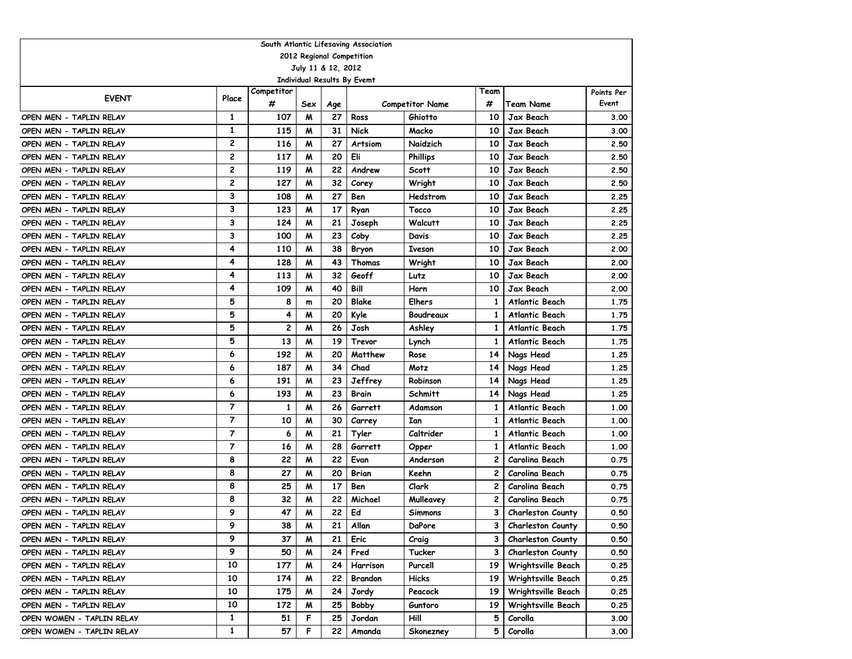| South Atlantic Lifesaving Association              |                |                 |                    |           |                             |                                   |           |                          |                     |  |  |  |  |
|----------------------------------------------------|----------------|-----------------|--------------------|-----------|-----------------------------|-----------------------------------|-----------|--------------------------|---------------------|--|--|--|--|
| 2012 Regional Competition                          |                |                 |                    |           |                             |                                   |           |                          |                     |  |  |  |  |
|                                                    |                |                 | July 11 & 12, 2012 |           |                             |                                   |           |                          |                     |  |  |  |  |
|                                                    |                |                 |                    |           | Individual Results By Evemt |                                   |           |                          |                     |  |  |  |  |
| <b>EVENT</b>                                       | Place          | Competitor<br># | Sex                |           |                             |                                   | Team<br># | Team Name                | Points Per<br>Event |  |  |  |  |
| OPEN MEN - TAPLIN RELAY                            | 1              | 107             | M                  | Age<br>27 | Ross                        | <b>Competitor Name</b><br>Ghiotto | 10        | Jax Beach                | 3.00                |  |  |  |  |
| OPEN MEN - TAPLIN RELAY                            | 1              | 115             | M                  | 31        | Nick                        | Macko                             | 10        | Jax Beach                | 3.00                |  |  |  |  |
|                                                    | $\mathbf{2}$   | 116             | M                  | 27        |                             | Naidzich                          | 10        | Jax Beach                |                     |  |  |  |  |
| OPEN MEN - TAPLIN RELAY                            | $\overline{c}$ | 117             | M                  | 20        | Artsiom<br>Eli              | <b>Phillips</b>                   | 10        | Jax Beach                | 2.50                |  |  |  |  |
| OPEN MEN - TAPLIN RELAY<br>OPEN MEN - TAPLIN RELAY | $\overline{c}$ | 119             | M                  | 22        | Andrew                      | Scott                             | 10        | Jax Beach                | 2.50<br>2.50        |  |  |  |  |
| OPEN MEN - TAPLIN RELAY                            | $\overline{c}$ | 127             | м                  | 32        | Corey                       | Wright                            | 10        | Jax Beach                | 2.50                |  |  |  |  |
| OPEN MEN - TAPLIN RELAY                            | 3              | 108             | м                  | 27        | Ben                         | Hedstrom                          | 10        | Jax Beach                | 2.25                |  |  |  |  |
| OPEN MEN - TAPLIN RELAY                            | 3              | 123             | M                  | 17        | Ryan                        | Tocco                             | 10        | Jax Beach                | 2.25                |  |  |  |  |
| OPEN MEN - TAPLIN RELAY                            | 3              | 124             | M                  | 21        | Joseph                      | Walcutt                           | 10        | Jax Beach                | 2.25                |  |  |  |  |
| OPEN MEN - TAPLIN RELAY                            | 3              | 100             | M                  | 23        | Coby                        | Davis                             | 10        | Jax Beach                | 2.25                |  |  |  |  |
| OPEN MEN - TAPLIN RELAY                            | 4              | 110             | M                  | 38        | Bryon                       | <b>Iveson</b>                     | 10        | Jax Beach                | 2.00                |  |  |  |  |
| OPEN MEN - TAPLIN RELAY                            | 4              | 128             | M                  | 43        | Thomas                      | Wright                            | 10        | Jax Beach                | 2.00                |  |  |  |  |
| OPEN MEN - TAPLIN RELAY                            | 4              | 113             | M                  | 32        | Geoff                       | Lutz                              | 10        | Jax Beach                | 2.00                |  |  |  |  |
| OPEN MEN - TAPLIN RELAY                            | 4              | 109             | м                  | 40        | Bill                        | Horn                              | 10        | Jax Beach                | 2.00                |  |  |  |  |
| OPEN MEN - TAPLIN RELAY                            | 5              | 8               | m                  | 20        | Blake                       | Elhers                            | 1         | <b>Atlantic Beach</b>    | 1.75                |  |  |  |  |
| OPEN MEN - TAPLIN RELAY                            | 5              | 4               | M                  | 20        | Kyle                        | Boudreaux                         | 1         | Atlantic Beach           | 1.75                |  |  |  |  |
| OPEN MEN - TAPLIN RELAY                            | 5              | 2               | M                  | 26        | Josh                        | Ashley                            | 1         | Atlantic Beach           | 1.75                |  |  |  |  |
| OPEN MEN - TAPLIN RELAY                            | 5              | 13              | M                  | 19        | Trevor                      | Lynch                             | 1         | Atlantic Beach           | 1.75                |  |  |  |  |
| OPEN MEN - TAPLIN RELAY                            | 6              | 192             | M                  | 20        | Matthew                     | Rose                              | 14        | Nags Head                | 1.25                |  |  |  |  |
| OPEN MEN - TAPLIN RELAY                            | 6              | 187             | M                  | 34        | Chad                        | Motz                              | 14        | Nags Head                | 1.25                |  |  |  |  |
| OPEN MEN - TAPLIN RELAY                            | 6              | 191             | M                  | 23        | Jeffrey                     | Robinson                          | 14        | Nags Head                | 1.25                |  |  |  |  |
| OPEN MEN - TAPLIN RELAY                            | 6              | 193             | M                  | 23        | Brain                       | Schmitt                           | 14        | Nags Head                | 1.25                |  |  |  |  |
| OPEN MEN - TAPLIN RELAY                            | $\overline{7}$ | 1               | M                  | 26        | Garrett                     | Adamson                           | 1         | <b>Atlantic Beach</b>    | 1.00                |  |  |  |  |
| OPEN MEN - TAPLIN RELAY                            | $\overline{7}$ | 10              | M                  | 30        | Carrey                      | Ian                               | 1         | Atlantic Beach           | 1.00                |  |  |  |  |
| OPEN MEN - TAPLIN RELAY                            | $\overline{7}$ | 6               | M                  | 21        | Tyler                       | Caltrider                         | 1         | Atlantic Beach           | 1.00                |  |  |  |  |
| OPEN MEN - TAPLIN RELAY                            | $\overline{7}$ | 16              | M                  | 28        | Garrett                     | Opper                             | 1         | <b>Atlantic Beach</b>    | 1.00                |  |  |  |  |
| OPEN MEN - TAPLIN RELAY                            | 8              | 22              | M                  | 22        | Evan                        | Anderson                          | 2         | Carolina Beach           | 0.75                |  |  |  |  |
| OPEN MEN - TAPLIN RELAY                            | 8              | 27              | M                  | 20        | Brian                       | Keehn                             | 2         | Carolina Beach           | 0.75                |  |  |  |  |
| OPEN MEN - TAPLIN RELAY                            | 8              | 25              | M                  | 17        | Ben                         | Clark                             | 2         | Carolina Beach           | 0.75                |  |  |  |  |
| OPEN MEN - TAPLIN RELAY                            | 8              | 32              | M                  | 22        | Michael                     | Mulleavey                         | 2         | Carolina Beach           | 0.75                |  |  |  |  |
| OPEN MEN - TAPLIN RELAY                            | 9              | 47              | M                  | 22        | Ed                          | <b>Simmons</b>                    | 3         | <b>Charleston County</b> | 0.50                |  |  |  |  |
| OPEN MEN - TAPLIN RELAY                            | 9              | 38              | M                  | 21        | Allan                       | DaPore                            | 3.        | Charleston County        | 0.50                |  |  |  |  |
| OPEN MEN - TAPLIN RELAY                            | 9              | 37              | M                  | 21        | Eric                        | Craig                             | 3         | <b>Charleston County</b> | 0.50                |  |  |  |  |
| OPEN MEN - TAPLIN RELAY                            | 9              | 50              | M                  | 24        | Fred                        | Tucker                            | 3         | <b>Charleston County</b> | 0.50                |  |  |  |  |
| OPEN MEN - TAPLIN RELAY                            | 10             | 177             | W                  | 24        | Harrison                    | Purcell                           | 19        | Wrightsville Beach       | 0.25                |  |  |  |  |
| OPEN MEN - TAPLIN RELAY                            | 10             | 174             | W                  | 22        | Brandon                     | <b>Hicks</b>                      | 19        | Wrightsville Beach       | 0.25                |  |  |  |  |
| OPEN MEN - TAPLIN RELAY                            | 10             | 175             | M                  | 24        | Jordy                       | Peacock                           | 19        | Wrightsville Beach       | 0.25                |  |  |  |  |
| OPEN MEN - TAPLIN RELAY                            | 10             | 172             | M                  | 25        | Bobby                       | Guntoro                           | 19        | Wrightsville Beach       | 0.25                |  |  |  |  |
| OPEN WOMEN - TAPLIN RELAY                          | $\mathbf{1}$   | 51              | F                  | 25        | Jordan                      | Hill                              | 5         | Corolla                  | 3.00                |  |  |  |  |
| OPEN WOMEN - TAPLIN RELAY                          | $\mathbf{1}$   | 57              | F                  | 22        | Amanda                      | Skonezney                         | 5         | Corolla                  | 3.00                |  |  |  |  |